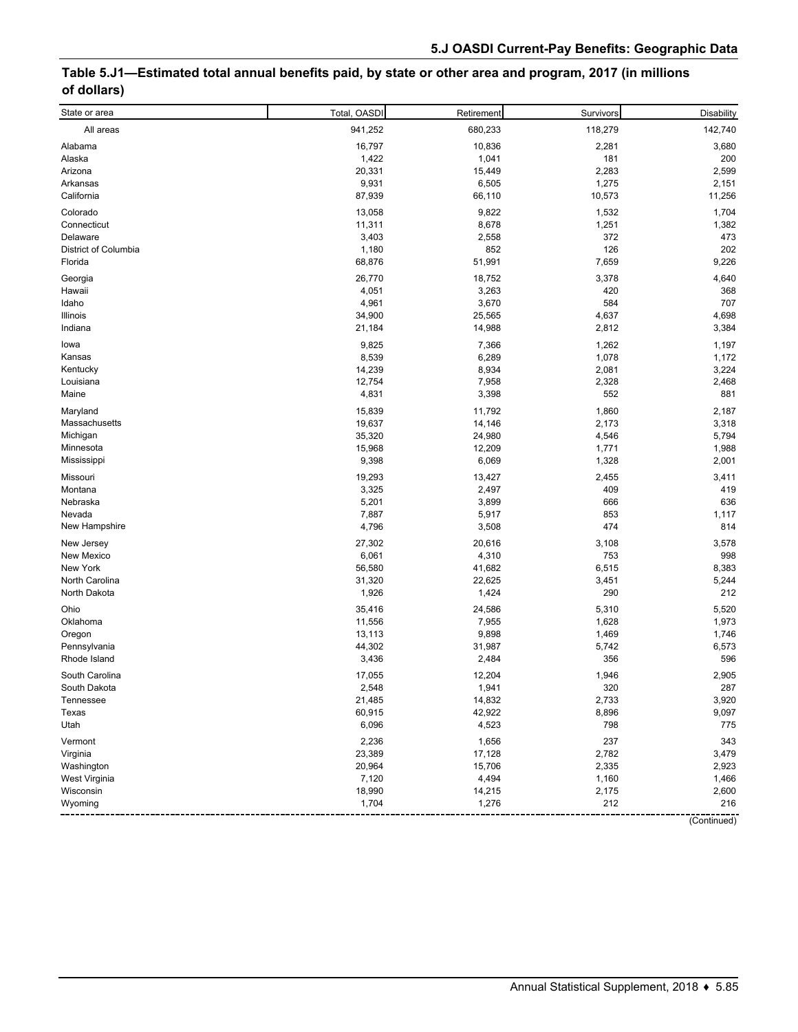# **Table 5.J1—Estimated total annual benefits paid, by state or other area and program, 2017 (in millions of dollars)**

| 142,740<br>941,252<br>680,233<br>118,279<br>All areas<br>Alabama<br>16,797<br>10,836<br>2,281<br>3,680<br>Alaska<br>1,422<br>181<br>200<br>1,041<br>20,331<br>2,283<br>2,599<br>15,449<br>Arizona<br>9,931<br>1,275<br>Arkansas<br>6,505<br>2,151<br>California<br>87,939<br>10,573<br>11,256<br>66,110<br>Colorado<br>13,058<br>9,822<br>1,532<br>1,704<br>11,311<br>8,678<br>1,251<br>1,382<br>Connecticut<br>3,403<br>372<br>Delaware<br>2,558<br>473<br>District of Columbia<br>1,180<br>852<br>126<br>202<br>68,876<br>51,991<br>7,659<br>9,226<br>Florida<br>18,752<br>3,378<br>4,640<br>26,770<br>Georgia<br>Hawaii<br>4,051<br>3,263<br>420<br>368<br>4,961<br>3,670<br>584<br>707<br>Idaho<br>4,637<br>4,698<br>34,900<br>25,565<br>Illinois<br>21,184<br>14,988<br>2,812<br>3,384<br>Indiana<br>9,825<br>7,366<br>1,262<br>1,197<br>lowa<br>8,539<br>6,289<br>1,078<br>Kansas<br>1,172<br>14,239<br>8,934<br>2,081<br>3,224<br>Kentucky<br>12,754<br>7,958<br>2,328<br>2,468<br>Louisiana<br>Maine<br>4,831<br>552<br>881<br>3,398<br>15,839<br>11,792<br>1,860<br>2,187<br>Maryland<br>Massachusetts<br>19,637<br>14,146<br>2,173<br>3,318<br>Michigan<br>35,320<br>4,546<br>5,794<br>24,980<br>15,968<br>12,209<br>1,988<br>1,771<br>Minnesota<br>9,398<br>1,328<br>2,001<br>6,069<br>Mississippi<br>19,293<br>Missouri<br>13,427<br>2,455<br>3,411<br>Montana<br>3,325<br>409<br>419<br>2,497<br>5,201<br>636<br>Nebraska<br>3,899<br>666<br>5,917<br>Nevada<br>7,887<br>853<br>1,117<br>3,508<br>474<br>814<br>New Hampshire<br>4,796<br>New Jersey<br>27,302<br>20,616<br>3,578<br>3,108<br>6,061<br>4,310<br>753<br>998<br>New Mexico<br>6,515<br>8,383<br>New York<br>56,580<br>41,682<br>North Carolina<br>5,244<br>31,320<br>22,625<br>3,451<br>1,926<br>1,424<br>290<br>212<br>North Dakota<br>5,310<br>Ohio<br>35,416<br>24,586<br>5,520<br>11,556<br>7,955<br>1,628<br>1,973<br>Oklahoma<br>Oregon<br>13,113<br>9,898<br>1,469<br>1,746<br>44,302<br>5,742<br>Pennsylvania<br>31,987<br>6,573<br>596<br>Rhode Island<br>3,436<br>2,484<br>356<br>South Carolina<br>17,055<br>12,204<br>2,905<br>1,946<br>South Dakota<br>2,548<br>1,941<br>287<br>320<br>21,485<br>14,832<br>2,733<br>3,920<br>Tennessee<br>60,915<br>8,896<br>9,097<br>Texas<br>42,922<br>Utah<br>6,096<br>4,523<br>798<br>775<br>2,236<br>237<br>Vermont<br>1,656<br>343<br>Virginia<br>23,389<br>17,128<br>2,782<br>3,479<br>20,964<br>15,706<br>2,335<br>2,923<br>Washington<br>West Virginia<br>7,120<br>4,494<br>1,160<br>1,466<br>18,990<br>14,215<br>2,600<br>Wisconsin<br>2,175<br>1,704<br>1,276<br>212<br>216<br>Wyoming | State or area | Total, OASDI | Retirement | Survivors | <b>Disability</b> |
|---------------------------------------------------------------------------------------------------------------------------------------------------------------------------------------------------------------------------------------------------------------------------------------------------------------------------------------------------------------------------------------------------------------------------------------------------------------------------------------------------------------------------------------------------------------------------------------------------------------------------------------------------------------------------------------------------------------------------------------------------------------------------------------------------------------------------------------------------------------------------------------------------------------------------------------------------------------------------------------------------------------------------------------------------------------------------------------------------------------------------------------------------------------------------------------------------------------------------------------------------------------------------------------------------------------------------------------------------------------------------------------------------------------------------------------------------------------------------------------------------------------------------------------------------------------------------------------------------------------------------------------------------------------------------------------------------------------------------------------------------------------------------------------------------------------------------------------------------------------------------------------------------------------------------------------------------------------------------------------------------------------------------------------------------------------------------------------------------------------------------------------------------------------------------------------------------------------------------------------------------------------------------------------------------------------------------------------------------------------------------------------------------------------------------------------------------------------------------------------------------------------------------------------------------------------------------------------------------------------------------|---------------|--------------|------------|-----------|-------------------|
|                                                                                                                                                                                                                                                                                                                                                                                                                                                                                                                                                                                                                                                                                                                                                                                                                                                                                                                                                                                                                                                                                                                                                                                                                                                                                                                                                                                                                                                                                                                                                                                                                                                                                                                                                                                                                                                                                                                                                                                                                                                                                                                                                                                                                                                                                                                                                                                                                                                                                                                                                                                                                           |               |              |            |           |                   |
|                                                                                                                                                                                                                                                                                                                                                                                                                                                                                                                                                                                                                                                                                                                                                                                                                                                                                                                                                                                                                                                                                                                                                                                                                                                                                                                                                                                                                                                                                                                                                                                                                                                                                                                                                                                                                                                                                                                                                                                                                                                                                                                                                                                                                                                                                                                                                                                                                                                                                                                                                                                                                           |               |              |            |           |                   |
|                                                                                                                                                                                                                                                                                                                                                                                                                                                                                                                                                                                                                                                                                                                                                                                                                                                                                                                                                                                                                                                                                                                                                                                                                                                                                                                                                                                                                                                                                                                                                                                                                                                                                                                                                                                                                                                                                                                                                                                                                                                                                                                                                                                                                                                                                                                                                                                                                                                                                                                                                                                                                           |               |              |            |           |                   |
|                                                                                                                                                                                                                                                                                                                                                                                                                                                                                                                                                                                                                                                                                                                                                                                                                                                                                                                                                                                                                                                                                                                                                                                                                                                                                                                                                                                                                                                                                                                                                                                                                                                                                                                                                                                                                                                                                                                                                                                                                                                                                                                                                                                                                                                                                                                                                                                                                                                                                                                                                                                                                           |               |              |            |           |                   |
|                                                                                                                                                                                                                                                                                                                                                                                                                                                                                                                                                                                                                                                                                                                                                                                                                                                                                                                                                                                                                                                                                                                                                                                                                                                                                                                                                                                                                                                                                                                                                                                                                                                                                                                                                                                                                                                                                                                                                                                                                                                                                                                                                                                                                                                                                                                                                                                                                                                                                                                                                                                                                           |               |              |            |           |                   |
|                                                                                                                                                                                                                                                                                                                                                                                                                                                                                                                                                                                                                                                                                                                                                                                                                                                                                                                                                                                                                                                                                                                                                                                                                                                                                                                                                                                                                                                                                                                                                                                                                                                                                                                                                                                                                                                                                                                                                                                                                                                                                                                                                                                                                                                                                                                                                                                                                                                                                                                                                                                                                           |               |              |            |           |                   |
|                                                                                                                                                                                                                                                                                                                                                                                                                                                                                                                                                                                                                                                                                                                                                                                                                                                                                                                                                                                                                                                                                                                                                                                                                                                                                                                                                                                                                                                                                                                                                                                                                                                                                                                                                                                                                                                                                                                                                                                                                                                                                                                                                                                                                                                                                                                                                                                                                                                                                                                                                                                                                           |               |              |            |           |                   |
|                                                                                                                                                                                                                                                                                                                                                                                                                                                                                                                                                                                                                                                                                                                                                                                                                                                                                                                                                                                                                                                                                                                                                                                                                                                                                                                                                                                                                                                                                                                                                                                                                                                                                                                                                                                                                                                                                                                                                                                                                                                                                                                                                                                                                                                                                                                                                                                                                                                                                                                                                                                                                           |               |              |            |           |                   |
|                                                                                                                                                                                                                                                                                                                                                                                                                                                                                                                                                                                                                                                                                                                                                                                                                                                                                                                                                                                                                                                                                                                                                                                                                                                                                                                                                                                                                                                                                                                                                                                                                                                                                                                                                                                                                                                                                                                                                                                                                                                                                                                                                                                                                                                                                                                                                                                                                                                                                                                                                                                                                           |               |              |            |           |                   |
|                                                                                                                                                                                                                                                                                                                                                                                                                                                                                                                                                                                                                                                                                                                                                                                                                                                                                                                                                                                                                                                                                                                                                                                                                                                                                                                                                                                                                                                                                                                                                                                                                                                                                                                                                                                                                                                                                                                                                                                                                                                                                                                                                                                                                                                                                                                                                                                                                                                                                                                                                                                                                           |               |              |            |           |                   |
|                                                                                                                                                                                                                                                                                                                                                                                                                                                                                                                                                                                                                                                                                                                                                                                                                                                                                                                                                                                                                                                                                                                                                                                                                                                                                                                                                                                                                                                                                                                                                                                                                                                                                                                                                                                                                                                                                                                                                                                                                                                                                                                                                                                                                                                                                                                                                                                                                                                                                                                                                                                                                           |               |              |            |           |                   |
|                                                                                                                                                                                                                                                                                                                                                                                                                                                                                                                                                                                                                                                                                                                                                                                                                                                                                                                                                                                                                                                                                                                                                                                                                                                                                                                                                                                                                                                                                                                                                                                                                                                                                                                                                                                                                                                                                                                                                                                                                                                                                                                                                                                                                                                                                                                                                                                                                                                                                                                                                                                                                           |               |              |            |           |                   |
|                                                                                                                                                                                                                                                                                                                                                                                                                                                                                                                                                                                                                                                                                                                                                                                                                                                                                                                                                                                                                                                                                                                                                                                                                                                                                                                                                                                                                                                                                                                                                                                                                                                                                                                                                                                                                                                                                                                                                                                                                                                                                                                                                                                                                                                                                                                                                                                                                                                                                                                                                                                                                           |               |              |            |           |                   |
|                                                                                                                                                                                                                                                                                                                                                                                                                                                                                                                                                                                                                                                                                                                                                                                                                                                                                                                                                                                                                                                                                                                                                                                                                                                                                                                                                                                                                                                                                                                                                                                                                                                                                                                                                                                                                                                                                                                                                                                                                                                                                                                                                                                                                                                                                                                                                                                                                                                                                                                                                                                                                           |               |              |            |           |                   |
|                                                                                                                                                                                                                                                                                                                                                                                                                                                                                                                                                                                                                                                                                                                                                                                                                                                                                                                                                                                                                                                                                                                                                                                                                                                                                                                                                                                                                                                                                                                                                                                                                                                                                                                                                                                                                                                                                                                                                                                                                                                                                                                                                                                                                                                                                                                                                                                                                                                                                                                                                                                                                           |               |              |            |           |                   |
|                                                                                                                                                                                                                                                                                                                                                                                                                                                                                                                                                                                                                                                                                                                                                                                                                                                                                                                                                                                                                                                                                                                                                                                                                                                                                                                                                                                                                                                                                                                                                                                                                                                                                                                                                                                                                                                                                                                                                                                                                                                                                                                                                                                                                                                                                                                                                                                                                                                                                                                                                                                                                           |               |              |            |           |                   |
|                                                                                                                                                                                                                                                                                                                                                                                                                                                                                                                                                                                                                                                                                                                                                                                                                                                                                                                                                                                                                                                                                                                                                                                                                                                                                                                                                                                                                                                                                                                                                                                                                                                                                                                                                                                                                                                                                                                                                                                                                                                                                                                                                                                                                                                                                                                                                                                                                                                                                                                                                                                                                           |               |              |            |           |                   |
|                                                                                                                                                                                                                                                                                                                                                                                                                                                                                                                                                                                                                                                                                                                                                                                                                                                                                                                                                                                                                                                                                                                                                                                                                                                                                                                                                                                                                                                                                                                                                                                                                                                                                                                                                                                                                                                                                                                                                                                                                                                                                                                                                                                                                                                                                                                                                                                                                                                                                                                                                                                                                           |               |              |            |           |                   |
|                                                                                                                                                                                                                                                                                                                                                                                                                                                                                                                                                                                                                                                                                                                                                                                                                                                                                                                                                                                                                                                                                                                                                                                                                                                                                                                                                                                                                                                                                                                                                                                                                                                                                                                                                                                                                                                                                                                                                                                                                                                                                                                                                                                                                                                                                                                                                                                                                                                                                                                                                                                                                           |               |              |            |           |                   |
|                                                                                                                                                                                                                                                                                                                                                                                                                                                                                                                                                                                                                                                                                                                                                                                                                                                                                                                                                                                                                                                                                                                                                                                                                                                                                                                                                                                                                                                                                                                                                                                                                                                                                                                                                                                                                                                                                                                                                                                                                                                                                                                                                                                                                                                                                                                                                                                                                                                                                                                                                                                                                           |               |              |            |           |                   |
|                                                                                                                                                                                                                                                                                                                                                                                                                                                                                                                                                                                                                                                                                                                                                                                                                                                                                                                                                                                                                                                                                                                                                                                                                                                                                                                                                                                                                                                                                                                                                                                                                                                                                                                                                                                                                                                                                                                                                                                                                                                                                                                                                                                                                                                                                                                                                                                                                                                                                                                                                                                                                           |               |              |            |           |                   |
|                                                                                                                                                                                                                                                                                                                                                                                                                                                                                                                                                                                                                                                                                                                                                                                                                                                                                                                                                                                                                                                                                                                                                                                                                                                                                                                                                                                                                                                                                                                                                                                                                                                                                                                                                                                                                                                                                                                                                                                                                                                                                                                                                                                                                                                                                                                                                                                                                                                                                                                                                                                                                           |               |              |            |           |                   |
|                                                                                                                                                                                                                                                                                                                                                                                                                                                                                                                                                                                                                                                                                                                                                                                                                                                                                                                                                                                                                                                                                                                                                                                                                                                                                                                                                                                                                                                                                                                                                                                                                                                                                                                                                                                                                                                                                                                                                                                                                                                                                                                                                                                                                                                                                                                                                                                                                                                                                                                                                                                                                           |               |              |            |           |                   |
|                                                                                                                                                                                                                                                                                                                                                                                                                                                                                                                                                                                                                                                                                                                                                                                                                                                                                                                                                                                                                                                                                                                                                                                                                                                                                                                                                                                                                                                                                                                                                                                                                                                                                                                                                                                                                                                                                                                                                                                                                                                                                                                                                                                                                                                                                                                                                                                                                                                                                                                                                                                                                           |               |              |            |           |                   |
|                                                                                                                                                                                                                                                                                                                                                                                                                                                                                                                                                                                                                                                                                                                                                                                                                                                                                                                                                                                                                                                                                                                                                                                                                                                                                                                                                                                                                                                                                                                                                                                                                                                                                                                                                                                                                                                                                                                                                                                                                                                                                                                                                                                                                                                                                                                                                                                                                                                                                                                                                                                                                           |               |              |            |           |                   |
|                                                                                                                                                                                                                                                                                                                                                                                                                                                                                                                                                                                                                                                                                                                                                                                                                                                                                                                                                                                                                                                                                                                                                                                                                                                                                                                                                                                                                                                                                                                                                                                                                                                                                                                                                                                                                                                                                                                                                                                                                                                                                                                                                                                                                                                                                                                                                                                                                                                                                                                                                                                                                           |               |              |            |           |                   |
|                                                                                                                                                                                                                                                                                                                                                                                                                                                                                                                                                                                                                                                                                                                                                                                                                                                                                                                                                                                                                                                                                                                                                                                                                                                                                                                                                                                                                                                                                                                                                                                                                                                                                                                                                                                                                                                                                                                                                                                                                                                                                                                                                                                                                                                                                                                                                                                                                                                                                                                                                                                                                           |               |              |            |           |                   |
|                                                                                                                                                                                                                                                                                                                                                                                                                                                                                                                                                                                                                                                                                                                                                                                                                                                                                                                                                                                                                                                                                                                                                                                                                                                                                                                                                                                                                                                                                                                                                                                                                                                                                                                                                                                                                                                                                                                                                                                                                                                                                                                                                                                                                                                                                                                                                                                                                                                                                                                                                                                                                           |               |              |            |           |                   |
|                                                                                                                                                                                                                                                                                                                                                                                                                                                                                                                                                                                                                                                                                                                                                                                                                                                                                                                                                                                                                                                                                                                                                                                                                                                                                                                                                                                                                                                                                                                                                                                                                                                                                                                                                                                                                                                                                                                                                                                                                                                                                                                                                                                                                                                                                                                                                                                                                                                                                                                                                                                                                           |               |              |            |           |                   |
|                                                                                                                                                                                                                                                                                                                                                                                                                                                                                                                                                                                                                                                                                                                                                                                                                                                                                                                                                                                                                                                                                                                                                                                                                                                                                                                                                                                                                                                                                                                                                                                                                                                                                                                                                                                                                                                                                                                                                                                                                                                                                                                                                                                                                                                                                                                                                                                                                                                                                                                                                                                                                           |               |              |            |           |                   |
|                                                                                                                                                                                                                                                                                                                                                                                                                                                                                                                                                                                                                                                                                                                                                                                                                                                                                                                                                                                                                                                                                                                                                                                                                                                                                                                                                                                                                                                                                                                                                                                                                                                                                                                                                                                                                                                                                                                                                                                                                                                                                                                                                                                                                                                                                                                                                                                                                                                                                                                                                                                                                           |               |              |            |           |                   |
|                                                                                                                                                                                                                                                                                                                                                                                                                                                                                                                                                                                                                                                                                                                                                                                                                                                                                                                                                                                                                                                                                                                                                                                                                                                                                                                                                                                                                                                                                                                                                                                                                                                                                                                                                                                                                                                                                                                                                                                                                                                                                                                                                                                                                                                                                                                                                                                                                                                                                                                                                                                                                           |               |              |            |           |                   |
|                                                                                                                                                                                                                                                                                                                                                                                                                                                                                                                                                                                                                                                                                                                                                                                                                                                                                                                                                                                                                                                                                                                                                                                                                                                                                                                                                                                                                                                                                                                                                                                                                                                                                                                                                                                                                                                                                                                                                                                                                                                                                                                                                                                                                                                                                                                                                                                                                                                                                                                                                                                                                           |               |              |            |           |                   |
|                                                                                                                                                                                                                                                                                                                                                                                                                                                                                                                                                                                                                                                                                                                                                                                                                                                                                                                                                                                                                                                                                                                                                                                                                                                                                                                                                                                                                                                                                                                                                                                                                                                                                                                                                                                                                                                                                                                                                                                                                                                                                                                                                                                                                                                                                                                                                                                                                                                                                                                                                                                                                           |               |              |            |           |                   |
|                                                                                                                                                                                                                                                                                                                                                                                                                                                                                                                                                                                                                                                                                                                                                                                                                                                                                                                                                                                                                                                                                                                                                                                                                                                                                                                                                                                                                                                                                                                                                                                                                                                                                                                                                                                                                                                                                                                                                                                                                                                                                                                                                                                                                                                                                                                                                                                                                                                                                                                                                                                                                           |               |              |            |           |                   |
|                                                                                                                                                                                                                                                                                                                                                                                                                                                                                                                                                                                                                                                                                                                                                                                                                                                                                                                                                                                                                                                                                                                                                                                                                                                                                                                                                                                                                                                                                                                                                                                                                                                                                                                                                                                                                                                                                                                                                                                                                                                                                                                                                                                                                                                                                                                                                                                                                                                                                                                                                                                                                           |               |              |            |           |                   |
|                                                                                                                                                                                                                                                                                                                                                                                                                                                                                                                                                                                                                                                                                                                                                                                                                                                                                                                                                                                                                                                                                                                                                                                                                                                                                                                                                                                                                                                                                                                                                                                                                                                                                                                                                                                                                                                                                                                                                                                                                                                                                                                                                                                                                                                                                                                                                                                                                                                                                                                                                                                                                           |               |              |            |           |                   |
|                                                                                                                                                                                                                                                                                                                                                                                                                                                                                                                                                                                                                                                                                                                                                                                                                                                                                                                                                                                                                                                                                                                                                                                                                                                                                                                                                                                                                                                                                                                                                                                                                                                                                                                                                                                                                                                                                                                                                                                                                                                                                                                                                                                                                                                                                                                                                                                                                                                                                                                                                                                                                           |               |              |            |           |                   |
|                                                                                                                                                                                                                                                                                                                                                                                                                                                                                                                                                                                                                                                                                                                                                                                                                                                                                                                                                                                                                                                                                                                                                                                                                                                                                                                                                                                                                                                                                                                                                                                                                                                                                                                                                                                                                                                                                                                                                                                                                                                                                                                                                                                                                                                                                                                                                                                                                                                                                                                                                                                                                           |               |              |            |           |                   |
|                                                                                                                                                                                                                                                                                                                                                                                                                                                                                                                                                                                                                                                                                                                                                                                                                                                                                                                                                                                                                                                                                                                                                                                                                                                                                                                                                                                                                                                                                                                                                                                                                                                                                                                                                                                                                                                                                                                                                                                                                                                                                                                                                                                                                                                                                                                                                                                                                                                                                                                                                                                                                           |               |              |            |           |                   |
|                                                                                                                                                                                                                                                                                                                                                                                                                                                                                                                                                                                                                                                                                                                                                                                                                                                                                                                                                                                                                                                                                                                                                                                                                                                                                                                                                                                                                                                                                                                                                                                                                                                                                                                                                                                                                                                                                                                                                                                                                                                                                                                                                                                                                                                                                                                                                                                                                                                                                                                                                                                                                           |               |              |            |           |                   |
|                                                                                                                                                                                                                                                                                                                                                                                                                                                                                                                                                                                                                                                                                                                                                                                                                                                                                                                                                                                                                                                                                                                                                                                                                                                                                                                                                                                                                                                                                                                                                                                                                                                                                                                                                                                                                                                                                                                                                                                                                                                                                                                                                                                                                                                                                                                                                                                                                                                                                                                                                                                                                           |               |              |            |           |                   |
|                                                                                                                                                                                                                                                                                                                                                                                                                                                                                                                                                                                                                                                                                                                                                                                                                                                                                                                                                                                                                                                                                                                                                                                                                                                                                                                                                                                                                                                                                                                                                                                                                                                                                                                                                                                                                                                                                                                                                                                                                                                                                                                                                                                                                                                                                                                                                                                                                                                                                                                                                                                                                           |               |              |            |           |                   |
|                                                                                                                                                                                                                                                                                                                                                                                                                                                                                                                                                                                                                                                                                                                                                                                                                                                                                                                                                                                                                                                                                                                                                                                                                                                                                                                                                                                                                                                                                                                                                                                                                                                                                                                                                                                                                                                                                                                                                                                                                                                                                                                                                                                                                                                                                                                                                                                                                                                                                                                                                                                                                           |               |              |            |           |                   |
|                                                                                                                                                                                                                                                                                                                                                                                                                                                                                                                                                                                                                                                                                                                                                                                                                                                                                                                                                                                                                                                                                                                                                                                                                                                                                                                                                                                                                                                                                                                                                                                                                                                                                                                                                                                                                                                                                                                                                                                                                                                                                                                                                                                                                                                                                                                                                                                                                                                                                                                                                                                                                           |               |              |            |           |                   |
|                                                                                                                                                                                                                                                                                                                                                                                                                                                                                                                                                                                                                                                                                                                                                                                                                                                                                                                                                                                                                                                                                                                                                                                                                                                                                                                                                                                                                                                                                                                                                                                                                                                                                                                                                                                                                                                                                                                                                                                                                                                                                                                                                                                                                                                                                                                                                                                                                                                                                                                                                                                                                           |               |              |            |           |                   |
|                                                                                                                                                                                                                                                                                                                                                                                                                                                                                                                                                                                                                                                                                                                                                                                                                                                                                                                                                                                                                                                                                                                                                                                                                                                                                                                                                                                                                                                                                                                                                                                                                                                                                                                                                                                                                                                                                                                                                                                                                                                                                                                                                                                                                                                                                                                                                                                                                                                                                                                                                                                                                           |               |              |            |           |                   |
|                                                                                                                                                                                                                                                                                                                                                                                                                                                                                                                                                                                                                                                                                                                                                                                                                                                                                                                                                                                                                                                                                                                                                                                                                                                                                                                                                                                                                                                                                                                                                                                                                                                                                                                                                                                                                                                                                                                                                                                                                                                                                                                                                                                                                                                                                                                                                                                                                                                                                                                                                                                                                           |               |              |            |           |                   |
|                                                                                                                                                                                                                                                                                                                                                                                                                                                                                                                                                                                                                                                                                                                                                                                                                                                                                                                                                                                                                                                                                                                                                                                                                                                                                                                                                                                                                                                                                                                                                                                                                                                                                                                                                                                                                                                                                                                                                                                                                                                                                                                                                                                                                                                                                                                                                                                                                                                                                                                                                                                                                           |               |              |            |           |                   |
|                                                                                                                                                                                                                                                                                                                                                                                                                                                                                                                                                                                                                                                                                                                                                                                                                                                                                                                                                                                                                                                                                                                                                                                                                                                                                                                                                                                                                                                                                                                                                                                                                                                                                                                                                                                                                                                                                                                                                                                                                                                                                                                                                                                                                                                                                                                                                                                                                                                                                                                                                                                                                           |               |              |            |           |                   |
|                                                                                                                                                                                                                                                                                                                                                                                                                                                                                                                                                                                                                                                                                                                                                                                                                                                                                                                                                                                                                                                                                                                                                                                                                                                                                                                                                                                                                                                                                                                                                                                                                                                                                                                                                                                                                                                                                                                                                                                                                                                                                                                                                                                                                                                                                                                                                                                                                                                                                                                                                                                                                           |               |              |            |           |                   |
|                                                                                                                                                                                                                                                                                                                                                                                                                                                                                                                                                                                                                                                                                                                                                                                                                                                                                                                                                                                                                                                                                                                                                                                                                                                                                                                                                                                                                                                                                                                                                                                                                                                                                                                                                                                                                                                                                                                                                                                                                                                                                                                                                                                                                                                                                                                                                                                                                                                                                                                                                                                                                           |               |              |            |           |                   |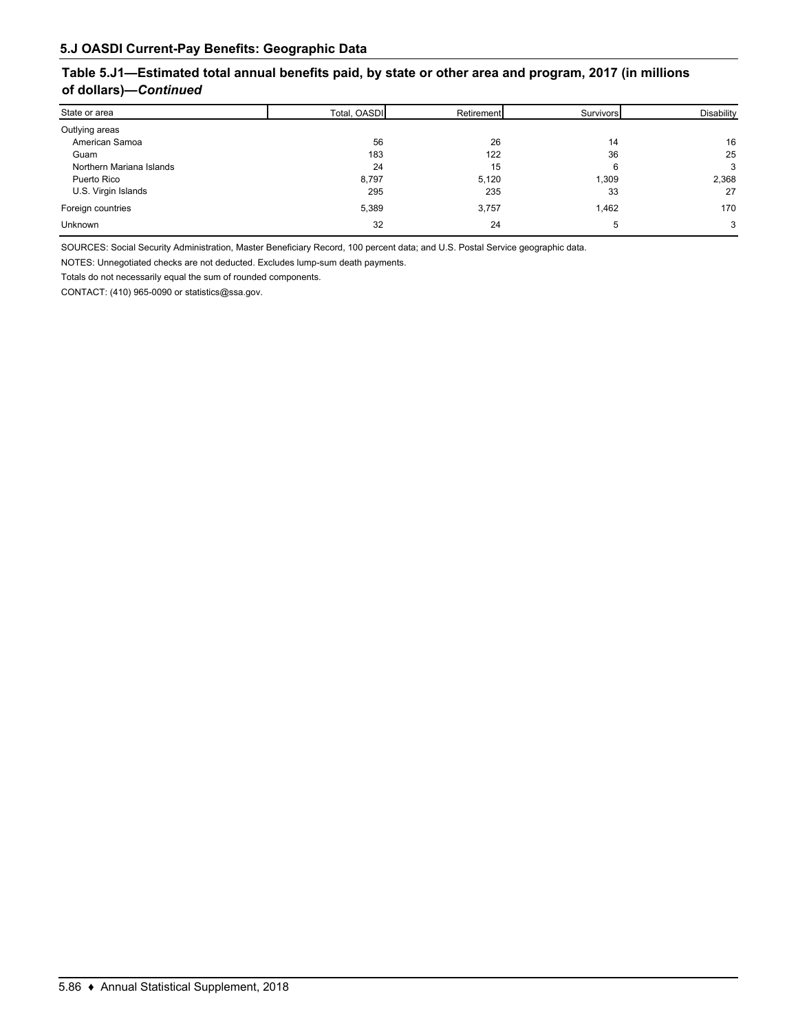### **Table 5.J1—Estimated total annual benefits paid, by state or other area and program, 2017 (in millions of dollars)—***Continued*

| State or area            | Total, OASDI | Retirement | Survivors | Disability |
|--------------------------|--------------|------------|-----------|------------|
| Outlying areas           |              |            |           |            |
| American Samoa           | 56           | 26         | 14        | 16         |
| Guam                     | 183          | 122        | 36        | 25         |
| Northern Mariana Islands | 24           | 15         |           | 3          |
| Puerto Rico              | 8,797        | 5,120      | 1,309     | 2,368      |
| U.S. Virgin Islands      | 295          | 235        | 33        | 27         |
| Foreign countries        | 5,389        | 3,757      | 1,462     | 170        |
| <b>Unknown</b>           | 32           | 24         |           | 3          |

SOURCES: Social Security Administration, Master Beneficiary Record, 100 percent data; and U.S. Postal Service geographic data.

NOTES: Unnegotiated checks are not deducted. Excludes lump-sum death payments.

Totals do not necessarily equal the sum of rounded components.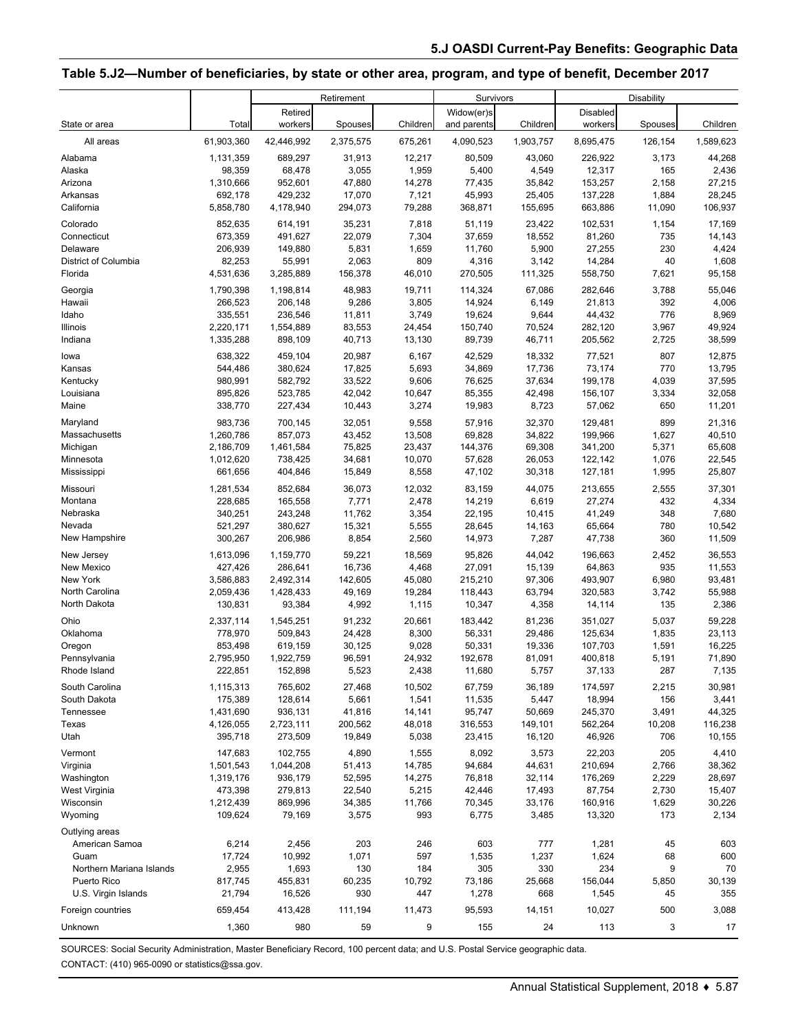#### **Table 5.J2—Number of beneficiaries, by state or other area, program, and type of benefit, December 2017**

|                              |                      | Retirement<br>Survivors |                      |                     |                          |                 | <b>Disability</b>    |                    |                       |
|------------------------------|----------------------|-------------------------|----------------------|---------------------|--------------------------|-----------------|----------------------|--------------------|-----------------------|
|                              | Total                | Retired                 |                      |                     | Widow(er)s               | Children        | <b>Disabled</b>      |                    |                       |
| State or area<br>All areas   | 61,903,360           | workers<br>42,446,992   | Spouses<br>2,375,575 | Children<br>675,261 | and parents<br>4,090,523 | 1,903,757       | workers<br>8,695,475 | Spouses<br>126,154 | Children<br>1,589,623 |
| Alabama                      | 1,131,359            | 689,297                 | 31,913               | 12,217              | 80,509                   | 43,060          | 226,922              | 3,173              | 44,268                |
| Alaska                       | 98,359               | 68,478                  | 3,055                | 1,959               | 5,400                    | 4,549           | 12,317               | 165                | 2,436                 |
| Arizona                      | 1,310,666            | 952,601                 | 47,880               | 14,278              | 77,435                   | 35,842          | 153,257              | 2,158              | 27,215                |
| Arkansas                     | 692,178              | 429,232                 | 17,070               | 7,121               | 45,993                   | 25,405          | 137,228              | 1,884              | 28,245                |
| California                   | 5,858,780            | 4,178,940               | 294,073              | 79,288              | 368,871                  | 155,695         | 663,886              | 11,090             | 106,937               |
| Colorado                     | 852,635              | 614,191                 | 35,231               | 7,818               | 51,119                   | 23,422          | 102,531              | 1,154              | 17,169                |
| Connecticut                  | 673,359              | 491,627                 | 22,079               | 7,304               | 37,659                   | 18,552          | 81,260               | 735                | 14,143                |
| Delaware                     | 206,939              | 149,880                 | 5,831                | 1,659               | 11,760                   | 5,900           | 27,255               | 230                | 4,424                 |
| District of Columbia         | 82,253               | 55,991                  | 2,063                | 809                 | 4,316                    | 3,142           | 14,284               | 40                 | 1,608                 |
| Florida                      | 4,531,636            | 3,285,889               | 156,378              | 46,010              | 270,505                  | 111,325         | 558,750              | 7,621              | 95,158                |
| Georgia                      | 1,790,398            | 1,198,814               | 48,983               | 19,711              | 114,324                  | 67,086          | 282,646              | 3,788              | 55,046                |
| Hawaii                       | 266,523              | 206,148                 | 9,286                | 3,805               | 14,924                   | 6,149           | 21,813               | 392                | 4,006                 |
| Idaho                        | 335,551              | 236,546                 | 11,811               | 3,749               | 19,624                   | 9,644           | 44,432               | 776                | 8,969                 |
| Illinois                     | 2,220,171            | 1,554,889               | 83,553               | 24,454              | 150,740                  | 70,524          | 282,120              | 3,967              | 49,924                |
| Indiana                      | 1,335,288            | 898,109                 | 40,713               | 13,130              | 89,739                   | 46,711          | 205,562              | 2,725              | 38,599                |
| lowa                         | 638,322              | 459,104                 | 20,987               | 6,167               | 42,529                   | 18,332          | 77,521               | 807                | 12,875                |
| Kansas                       | 544,486              | 380,624                 | 17,825               | 5,693               | 34,869                   | 17,736          | 73,174               | 770                | 13,795                |
| Kentucky                     | 980,991              | 582,792                 | 33,522               | 9,606               | 76,625                   | 37,634          | 199,178              | 4,039              | 37,595                |
| Louisiana<br>Maine           | 895,826<br>338,770   | 523,785<br>227,434      | 42,042<br>10,443     | 10,647<br>3,274     | 85,355<br>19,983         | 42,498<br>8,723 | 156,107<br>57,062    | 3,334<br>650       | 32,058<br>11,201      |
| Maryland                     | 983,736              |                         | 32,051               |                     |                          | 32,370          | 129,481              | 899                | 21,316                |
| Massachusetts                | 1,260,786            | 700,145<br>857,073      | 43,452               | 9,558<br>13,508     | 57,916<br>69,828         | 34,822          | 199,966              | 1,627              | 40,510                |
| Michigan                     | 2,186,709            | 1,461,584               | 75,825               | 23,437              | 144,376                  | 69,308          | 341,200              | 5,371              | 65,608                |
| Minnesota                    | 1,012,620            | 738,425                 | 34,681               | 10,070              | 57,628                   | 26,053          | 122,142              | 1,076              | 22,545                |
| Mississippi                  | 661,656              | 404,846                 | 15,849               | 8,558               | 47,102                   | 30,318          | 127,181              | 1,995              | 25,807                |
| Missouri                     | 1,281,534            | 852,684                 | 36,073               | 12,032              | 83,159                   | 44,075          | 213,655              | 2,555              | 37,301                |
| Montana                      | 228,685              | 165,558                 | 7,771                | 2,478               | 14,219                   | 6,619           | 27,274               | 432                | 4,334                 |
| Nebraska                     | 340,251              | 243,248                 | 11,762               | 3,354               | 22,195                   | 10,415          | 41,249               | 348                | 7,680                 |
| Nevada                       | 521,297              | 380,627                 | 15,321               | 5,555               | 28,645                   | 14,163          | 65,664               | 780                | 10,542                |
| New Hampshire                | 300,267              | 206,986                 | 8,854                | 2,560               | 14,973                   | 7,287           | 47,738               | 360                | 11,509                |
| New Jersey                   | 1,613,096            | 1,159,770               | 59,221               | 18,569              | 95,826                   | 44,042          | 196,663              | 2,452              | 36,553                |
| New Mexico                   | 427,426              | 286,641                 | 16,736               | 4,468               | 27,091                   | 15,139          | 64,863               | 935                | 11,553                |
| New York                     | 3,586,883            | 2,492,314               | 142,605              | 45,080              | 215,210                  | 97,306          | 493,907              | 6,980              | 93,481                |
| North Carolina               | 2,059,436            | 1,428,433               | 49,169               | 19,284              | 118,443                  | 63,794          | 320,583              | 3,742              | 55,988                |
| North Dakota                 | 130,831              | 93,384                  | 4,992                | 1,115               | 10,347                   | 4,358           | 14,114               | 135                | 2,386                 |
| Ohio                         | 2,337,114            | 1,545,251               | 91,232               | 20,661              | 183,442                  | 81,236          | 351,027              | 5,037              | 59,228                |
| Oklahoma                     | 778,970              | 509,843                 | 24,428               | 8,300               | 56,331                   | 29,486          | 125,634              | 1,835              | 23,113                |
| Oregon                       | 853,498              | 619,159                 | 30,125               | 9,028               | 50,331                   | 19,336          | 107,703              | 1,591              | 16,225                |
| Pennsylvania<br>Rhode Island | 2,795,950<br>222,851 | 1,922,759<br>152,898    | 96,591<br>5,523      | 24,932<br>2,438     | 192,678                  | 81,091          | 400,818<br>37,133    | 5,191<br>287       | 71,890                |
|                              |                      |                         |                      |                     | 11,680                   | 5,757           |                      |                    | 7,135                 |
| South Carolina               | 1,115,313<br>175,389 | 765,602<br>128,614      | 27,468<br>5,661      | 10,502<br>1,541     | 67,759<br>11,535         | 36,189          | 174,597<br>18,994    | 2,215              | 30,981<br>3,441       |
| South Dakota<br>Tennessee    | 1,431,690            | 936,131                 | 41,816               | 14,141              | 95,747                   | 5,447<br>50,669 | 245,370              | 156                | 44,325                |
| Texas                        | 4,126,055            | 2,723,111               | 200,562              | 48,018              | 316,553                  | 149,101         | 562,264              | 3,491<br>10,208    | 116,238               |
| Utah                         | 395,718              | 273,509                 | 19,849               | 5,038               | 23,415                   | 16,120          | 46,926               | 706                | 10,155                |
| Vermont                      | 147,683              | 102,755                 | 4,890                | 1,555               | 8,092                    | 3,573           | 22,203               | 205                | 4,410                 |
| Virginia                     | 1,501,543            | 1,044,208               | 51,413               | 14,785              | 94,684                   | 44,631          | 210,694              | 2,766              | 38,362                |
| Washington                   | 1,319,176            | 936,179                 | 52,595               | 14,275              | 76,818                   | 32,114          | 176,269              | 2,229              | 28,697                |
| West Virginia                | 473,398              | 279,813                 | 22,540               | 5,215               | 42,446                   | 17,493          | 87,754               | 2,730              | 15,407                |
| Wisconsin                    | 1,212,439            | 869,996                 | 34,385               | 11,766              | 70,345                   | 33,176          | 160,916              | 1,629              | 30,226                |
| Wyoming                      | 109,624              | 79,169                  | 3,575                | 993                 | 6,775                    | 3,485           | 13,320               | 173                | 2,134                 |
| Outlying areas               |                      |                         |                      |                     |                          |                 |                      |                    |                       |
| American Samoa               | 6,214                | 2,456                   | 203                  | 246                 | 603                      | 777             | 1,281                | 45                 | 603                   |
| Guam                         | 17,724               | 10,992                  | 1,071                | 597                 | 1,535                    | 1,237           | 1,624                | 68                 | 600                   |
| Northern Mariana Islands     | 2,955                | 1,693                   | 130                  | 184                 | 305                      | 330             | 234                  | 9                  | 70                    |
| Puerto Rico                  | 817,745              | 455,831                 | 60,235               | 10,792              | 73,186                   | 25,668          | 156,044              | 5,850              | 30,139                |
| U.S. Virgin Islands          | 21,794               | 16,526                  | 930                  | 447                 | 1,278                    | 668             | 1,545                | 45                 | 355                   |
| Foreign countries            | 659,454              | 413,428                 | 111,194              | 11,473              | 95,593                   | 14,151          | 10,027               | 500                | 3,088                 |
| Unknown                      | 1,360                | 980                     | 59                   | 9                   | 155                      | 24              | 113                  | 3                  | 17                    |

SOURCES: Social Security Administration, Master Beneficiary Record, 100 percent data; and U.S. Postal Service geographic data. CONTACT: (410) 965-0090 or statistics@ssa.gov.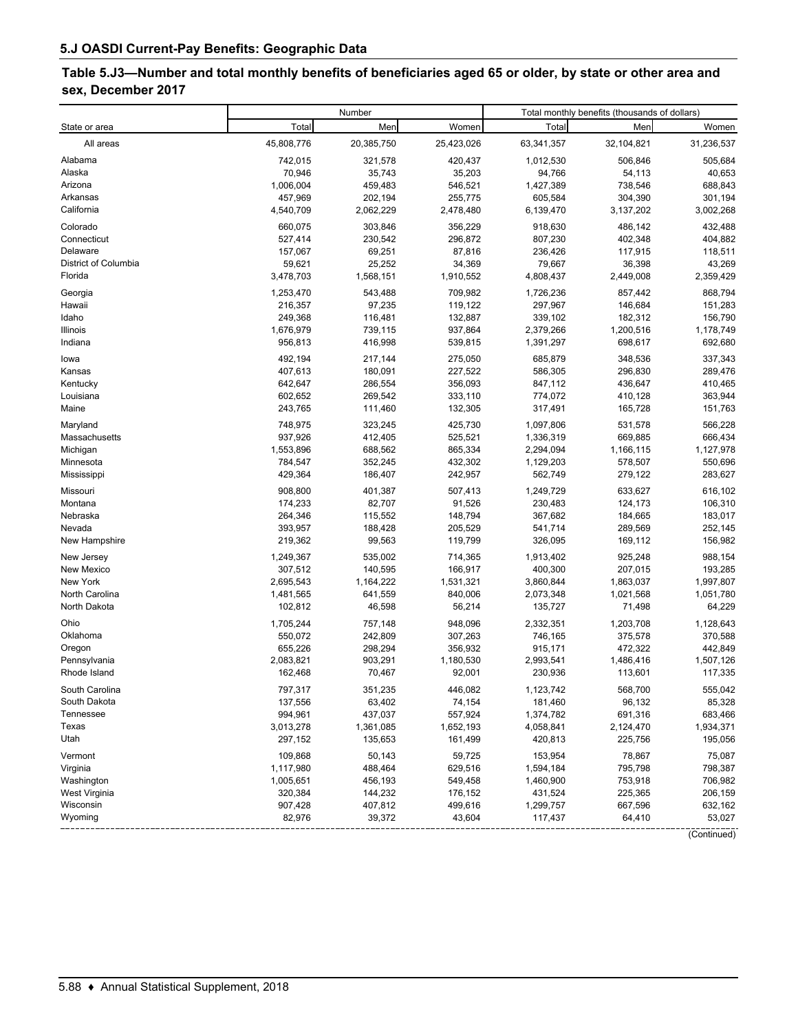# **Table 5.J3—Number and total monthly benefits of beneficiaries aged 65 or older, by state or other area and sex, December 2017**

| Total<br>Women<br>Men<br>Total<br>Men<br>Women<br>State or area<br>45,808,776<br>All areas<br>20,385,750<br>25,423,026<br>63,341,357<br>32,104,821<br>31,236,537<br>742,015<br>505,684<br>321,578<br>420,437<br>1,012,530<br>506,846<br>Alabama<br>Alaska<br>70,946<br>35,743<br>35,203<br>94,766<br>54,113<br>40,653<br>1,006,004<br>1,427,389<br>738,546<br>Arizona<br>459,483<br>546,521<br>688,843<br>457,969<br>605,584<br>Arkansas<br>202,194<br>255,775<br>304,390<br>301,194<br>3,002,268<br>California<br>4,540,709<br>2,062,229<br>2,478,480<br>6,139,470<br>3,137,202<br>Colorado<br>303,846<br>356,229<br>432,488<br>660,075<br>918,630<br>486,142<br>Connecticut<br>527,414<br>230,542<br>296,872<br>807,230<br>402,348<br>404,882<br>Delaware<br>157,067<br>69,251<br>87,816<br>236,426<br>117,915<br>118,511<br>District of Columbia<br>59,621<br>25,252<br>34,369<br>79,667<br>36,398<br>43,269<br>Florida<br>3,478,703<br>1,568,151<br>1,910,552<br>4,808,437<br>2,449,008<br>2,359,429<br>868,794<br>Georgia<br>1,253,470<br>543,488<br>709,982<br>1,726,236<br>857,442<br>97,235<br>297,967<br>Hawaii<br>216,357<br>119,122<br>146,684<br>151,283<br>Idaho<br>156,790<br>249,368<br>116,481<br>132,887<br>339,102<br>182,312<br>2,379,266<br>1,178,749<br>Illinois<br>1,676,979<br>739,115<br>937,864<br>1,200,516<br>692,680<br>Indiana<br>956,813<br>416,998<br>539,815<br>1,391,297<br>698,617<br>337,343<br>492,194<br>217,144<br>275,050<br>685,879<br>348,536<br>lowa<br>Kansas<br>407,613<br>180,091<br>586,305<br>289,476<br>227,522<br>296,830<br>Kentucky<br>642,647<br>286,554<br>356,093<br>847,112<br>436,647<br>410,465<br>774,072<br>Louisiana<br>602,652<br>269,542<br>333,110<br>410,128<br>363,944<br>Maine<br>243,765<br>111,460<br>132,305<br>317,491<br>165,728<br>151,763<br>Maryland<br>748,975<br>323,245<br>425,730<br>566,228<br>1,097,806<br>531,578<br>937,926<br>Massachusetts<br>412,405<br>525,521<br>1,336,319<br>669,885<br>666,434<br>1,553,896<br>2,294,094<br>688,562<br>865,334<br>1,166,115<br>1,127,978<br>Michigan<br>Minnesota<br>784,547<br>352,245<br>432,302<br>1,129,203<br>578,507<br>550,696<br>429,364<br>Mississippi<br>186,407<br>242,957<br>562,749<br>279,122<br>283,627<br>908,800<br>507,413<br>1,249,729<br>616,102<br>Missouri<br>401,387<br>633,627<br>Montana<br>174,233<br>82,707<br>91,526<br>230,483<br>124,173<br>106,310<br>Nebraska<br>264,346<br>115,552<br>148,794<br>183,017<br>367,682<br>184,665<br>393,957<br>Nevada<br>188,428<br>205,529<br>541,714<br>289,569<br>252,145<br>New Hampshire<br>219,362<br>99,563<br>119,799<br>326,095<br>169,112<br>156,982<br>New Jersey<br>988,154<br>1,249,367<br>535,002<br>714,365<br>1,913,402<br>925,248<br>New Mexico<br>307,512<br>140,595<br>166,917<br>400,300<br>207,015<br>193,285<br>New York<br>2,695,543<br>1,164,222<br>1,531,321<br>3,860,844<br>1,863,037<br>1,997,807<br>North Carolina<br>1,481,565<br>641,559<br>840,006<br>2,073,348<br>1,021,568<br>1,051,780<br>North Dakota<br>102,812<br>46,598<br>56,214<br>135,727<br>71,498<br>64,229<br>Ohio<br>1,705,244<br>948,096<br>2,332,351<br>1,128,643<br>757,148<br>1,203,708<br>Oklahoma<br>550,072<br>242,809<br>307,263<br>746,165<br>375,578<br>370,588<br>442,849<br>Oregon<br>655,226<br>298,294<br>356,932<br>915,171<br>472,322<br>Pennsylvania<br>2,083,821<br>1,180,530<br>2,993,541<br>903,291<br>1,486,416<br>1,507,126<br>Rhode Island<br>162,468<br>92,001<br>230,936<br>117,335<br>70,467<br>113,601<br>1,123,742<br>797,317<br>351,235<br>568,700<br>555,042<br>South Carolina<br>446,082<br>South Dakota<br>63,402<br>74,154<br>181,460<br>96,132<br>85,328<br>137,556<br>Tennessee<br>994,961<br>437,037<br>557,924<br>1,374,782<br>691,316<br>683,466<br>Texas<br>3,013,278<br>1,361,085<br>1,652,193<br>4,058,841<br>2,124,470<br>1,934,371<br>Utah<br>297,152<br>135,653<br>161,499<br>420,813<br>225,756<br>195,056<br>Vermont<br>75,087<br>109,868<br>50,143<br>59,725<br>153,954<br>78,867<br>795,798<br>798,387<br>Virginia<br>1,117,980<br>488,464<br>629,516<br>1,594,184<br>Washington<br>456,193<br>753,918<br>706,982<br>1,005,651<br>549,458<br>1,460,900<br>West Virginia<br>320,384<br>144,232<br>176,152<br>225,365<br>206,159<br>431,524<br>Wisconsin<br>907,428<br>407,812<br>667,596<br>632,162<br>499,616<br>1,299,757<br>82,976<br>39,372<br>53,027<br>Wyoming<br>43,604<br>117,437<br>64,410<br>(Continued) |  | Number | Total monthly benefits (thousands of dollars) |  |  |
|--------------------------------------------------------------------------------------------------------------------------------------------------------------------------------------------------------------------------------------------------------------------------------------------------------------------------------------------------------------------------------------------------------------------------------------------------------------------------------------------------------------------------------------------------------------------------------------------------------------------------------------------------------------------------------------------------------------------------------------------------------------------------------------------------------------------------------------------------------------------------------------------------------------------------------------------------------------------------------------------------------------------------------------------------------------------------------------------------------------------------------------------------------------------------------------------------------------------------------------------------------------------------------------------------------------------------------------------------------------------------------------------------------------------------------------------------------------------------------------------------------------------------------------------------------------------------------------------------------------------------------------------------------------------------------------------------------------------------------------------------------------------------------------------------------------------------------------------------------------------------------------------------------------------------------------------------------------------------------------------------------------------------------------------------------------------------------------------------------------------------------------------------------------------------------------------------------------------------------------------------------------------------------------------------------------------------------------------------------------------------------------------------------------------------------------------------------------------------------------------------------------------------------------------------------------------------------------------------------------------------------------------------------------------------------------------------------------------------------------------------------------------------------------------------------------------------------------------------------------------------------------------------------------------------------------------------------------------------------------------------------------------------------------------------------------------------------------------------------------------------------------------------------------------------------------------------------------------------------------------------------------------------------------------------------------------------------------------------------------------------------------------------------------------------------------------------------------------------------------------------------------------------------------------------------------------------------------------------------------------------------------------------------------------------------------------------------------------------------------------------------------------------------------------------------------------------------------------------------------------------------------------------------------------------------------------------------------------------------------------------------------------------------------------------------------------------------------------------------------------------------------------------------------------------------------------------------------------------------------------------------------------------------------------------------------------------------------------------------------------------------------------------------------------------------------------------------|--|--------|-----------------------------------------------|--|--|
|                                                                                                                                                                                                                                                                                                                                                                                                                                                                                                                                                                                                                                                                                                                                                                                                                                                                                                                                                                                                                                                                                                                                                                                                                                                                                                                                                                                                                                                                                                                                                                                                                                                                                                                                                                                                                                                                                                                                                                                                                                                                                                                                                                                                                                                                                                                                                                                                                                                                                                                                                                                                                                                                                                                                                                                                                                                                                                                                                                                                                                                                                                                                                                                                                                                                                                                                                                                                                                                                                                                                                                                                                                                                                                                                                                                                                                                                                                                                                                                                                                                                                                                                                                                                                                                                                                                                                                                                                                                        |  |        |                                               |  |  |
|                                                                                                                                                                                                                                                                                                                                                                                                                                                                                                                                                                                                                                                                                                                                                                                                                                                                                                                                                                                                                                                                                                                                                                                                                                                                                                                                                                                                                                                                                                                                                                                                                                                                                                                                                                                                                                                                                                                                                                                                                                                                                                                                                                                                                                                                                                                                                                                                                                                                                                                                                                                                                                                                                                                                                                                                                                                                                                                                                                                                                                                                                                                                                                                                                                                                                                                                                                                                                                                                                                                                                                                                                                                                                                                                                                                                                                                                                                                                                                                                                                                                                                                                                                                                                                                                                                                                                                                                                                                        |  |        |                                               |  |  |
|                                                                                                                                                                                                                                                                                                                                                                                                                                                                                                                                                                                                                                                                                                                                                                                                                                                                                                                                                                                                                                                                                                                                                                                                                                                                                                                                                                                                                                                                                                                                                                                                                                                                                                                                                                                                                                                                                                                                                                                                                                                                                                                                                                                                                                                                                                                                                                                                                                                                                                                                                                                                                                                                                                                                                                                                                                                                                                                                                                                                                                                                                                                                                                                                                                                                                                                                                                                                                                                                                                                                                                                                                                                                                                                                                                                                                                                                                                                                                                                                                                                                                                                                                                                                                                                                                                                                                                                                                                                        |  |        |                                               |  |  |
|                                                                                                                                                                                                                                                                                                                                                                                                                                                                                                                                                                                                                                                                                                                                                                                                                                                                                                                                                                                                                                                                                                                                                                                                                                                                                                                                                                                                                                                                                                                                                                                                                                                                                                                                                                                                                                                                                                                                                                                                                                                                                                                                                                                                                                                                                                                                                                                                                                                                                                                                                                                                                                                                                                                                                                                                                                                                                                                                                                                                                                                                                                                                                                                                                                                                                                                                                                                                                                                                                                                                                                                                                                                                                                                                                                                                                                                                                                                                                                                                                                                                                                                                                                                                                                                                                                                                                                                                                                                        |  |        |                                               |  |  |
|                                                                                                                                                                                                                                                                                                                                                                                                                                                                                                                                                                                                                                                                                                                                                                                                                                                                                                                                                                                                                                                                                                                                                                                                                                                                                                                                                                                                                                                                                                                                                                                                                                                                                                                                                                                                                                                                                                                                                                                                                                                                                                                                                                                                                                                                                                                                                                                                                                                                                                                                                                                                                                                                                                                                                                                                                                                                                                                                                                                                                                                                                                                                                                                                                                                                                                                                                                                                                                                                                                                                                                                                                                                                                                                                                                                                                                                                                                                                                                                                                                                                                                                                                                                                                                                                                                                                                                                                                                                        |  |        |                                               |  |  |
|                                                                                                                                                                                                                                                                                                                                                                                                                                                                                                                                                                                                                                                                                                                                                                                                                                                                                                                                                                                                                                                                                                                                                                                                                                                                                                                                                                                                                                                                                                                                                                                                                                                                                                                                                                                                                                                                                                                                                                                                                                                                                                                                                                                                                                                                                                                                                                                                                                                                                                                                                                                                                                                                                                                                                                                                                                                                                                                                                                                                                                                                                                                                                                                                                                                                                                                                                                                                                                                                                                                                                                                                                                                                                                                                                                                                                                                                                                                                                                                                                                                                                                                                                                                                                                                                                                                                                                                                                                                        |  |        |                                               |  |  |
|                                                                                                                                                                                                                                                                                                                                                                                                                                                                                                                                                                                                                                                                                                                                                                                                                                                                                                                                                                                                                                                                                                                                                                                                                                                                                                                                                                                                                                                                                                                                                                                                                                                                                                                                                                                                                                                                                                                                                                                                                                                                                                                                                                                                                                                                                                                                                                                                                                                                                                                                                                                                                                                                                                                                                                                                                                                                                                                                                                                                                                                                                                                                                                                                                                                                                                                                                                                                                                                                                                                                                                                                                                                                                                                                                                                                                                                                                                                                                                                                                                                                                                                                                                                                                                                                                                                                                                                                                                                        |  |        |                                               |  |  |
|                                                                                                                                                                                                                                                                                                                                                                                                                                                                                                                                                                                                                                                                                                                                                                                                                                                                                                                                                                                                                                                                                                                                                                                                                                                                                                                                                                                                                                                                                                                                                                                                                                                                                                                                                                                                                                                                                                                                                                                                                                                                                                                                                                                                                                                                                                                                                                                                                                                                                                                                                                                                                                                                                                                                                                                                                                                                                                                                                                                                                                                                                                                                                                                                                                                                                                                                                                                                                                                                                                                                                                                                                                                                                                                                                                                                                                                                                                                                                                                                                                                                                                                                                                                                                                                                                                                                                                                                                                                        |  |        |                                               |  |  |
|                                                                                                                                                                                                                                                                                                                                                                                                                                                                                                                                                                                                                                                                                                                                                                                                                                                                                                                                                                                                                                                                                                                                                                                                                                                                                                                                                                                                                                                                                                                                                                                                                                                                                                                                                                                                                                                                                                                                                                                                                                                                                                                                                                                                                                                                                                                                                                                                                                                                                                                                                                                                                                                                                                                                                                                                                                                                                                                                                                                                                                                                                                                                                                                                                                                                                                                                                                                                                                                                                                                                                                                                                                                                                                                                                                                                                                                                                                                                                                                                                                                                                                                                                                                                                                                                                                                                                                                                                                                        |  |        |                                               |  |  |
|                                                                                                                                                                                                                                                                                                                                                                                                                                                                                                                                                                                                                                                                                                                                                                                                                                                                                                                                                                                                                                                                                                                                                                                                                                                                                                                                                                                                                                                                                                                                                                                                                                                                                                                                                                                                                                                                                                                                                                                                                                                                                                                                                                                                                                                                                                                                                                                                                                                                                                                                                                                                                                                                                                                                                                                                                                                                                                                                                                                                                                                                                                                                                                                                                                                                                                                                                                                                                                                                                                                                                                                                                                                                                                                                                                                                                                                                                                                                                                                                                                                                                                                                                                                                                                                                                                                                                                                                                                                        |  |        |                                               |  |  |
|                                                                                                                                                                                                                                                                                                                                                                                                                                                                                                                                                                                                                                                                                                                                                                                                                                                                                                                                                                                                                                                                                                                                                                                                                                                                                                                                                                                                                                                                                                                                                                                                                                                                                                                                                                                                                                                                                                                                                                                                                                                                                                                                                                                                                                                                                                                                                                                                                                                                                                                                                                                                                                                                                                                                                                                                                                                                                                                                                                                                                                                                                                                                                                                                                                                                                                                                                                                                                                                                                                                                                                                                                                                                                                                                                                                                                                                                                                                                                                                                                                                                                                                                                                                                                                                                                                                                                                                                                                                        |  |        |                                               |  |  |
|                                                                                                                                                                                                                                                                                                                                                                                                                                                                                                                                                                                                                                                                                                                                                                                                                                                                                                                                                                                                                                                                                                                                                                                                                                                                                                                                                                                                                                                                                                                                                                                                                                                                                                                                                                                                                                                                                                                                                                                                                                                                                                                                                                                                                                                                                                                                                                                                                                                                                                                                                                                                                                                                                                                                                                                                                                                                                                                                                                                                                                                                                                                                                                                                                                                                                                                                                                                                                                                                                                                                                                                                                                                                                                                                                                                                                                                                                                                                                                                                                                                                                                                                                                                                                                                                                                                                                                                                                                                        |  |        |                                               |  |  |
|                                                                                                                                                                                                                                                                                                                                                                                                                                                                                                                                                                                                                                                                                                                                                                                                                                                                                                                                                                                                                                                                                                                                                                                                                                                                                                                                                                                                                                                                                                                                                                                                                                                                                                                                                                                                                                                                                                                                                                                                                                                                                                                                                                                                                                                                                                                                                                                                                                                                                                                                                                                                                                                                                                                                                                                                                                                                                                                                                                                                                                                                                                                                                                                                                                                                                                                                                                                                                                                                                                                                                                                                                                                                                                                                                                                                                                                                                                                                                                                                                                                                                                                                                                                                                                                                                                                                                                                                                                                        |  |        |                                               |  |  |
|                                                                                                                                                                                                                                                                                                                                                                                                                                                                                                                                                                                                                                                                                                                                                                                                                                                                                                                                                                                                                                                                                                                                                                                                                                                                                                                                                                                                                                                                                                                                                                                                                                                                                                                                                                                                                                                                                                                                                                                                                                                                                                                                                                                                                                                                                                                                                                                                                                                                                                                                                                                                                                                                                                                                                                                                                                                                                                                                                                                                                                                                                                                                                                                                                                                                                                                                                                                                                                                                                                                                                                                                                                                                                                                                                                                                                                                                                                                                                                                                                                                                                                                                                                                                                                                                                                                                                                                                                                                        |  |        |                                               |  |  |
|                                                                                                                                                                                                                                                                                                                                                                                                                                                                                                                                                                                                                                                                                                                                                                                                                                                                                                                                                                                                                                                                                                                                                                                                                                                                                                                                                                                                                                                                                                                                                                                                                                                                                                                                                                                                                                                                                                                                                                                                                                                                                                                                                                                                                                                                                                                                                                                                                                                                                                                                                                                                                                                                                                                                                                                                                                                                                                                                                                                                                                                                                                                                                                                                                                                                                                                                                                                                                                                                                                                                                                                                                                                                                                                                                                                                                                                                                                                                                                                                                                                                                                                                                                                                                                                                                                                                                                                                                                                        |  |        |                                               |  |  |
|                                                                                                                                                                                                                                                                                                                                                                                                                                                                                                                                                                                                                                                                                                                                                                                                                                                                                                                                                                                                                                                                                                                                                                                                                                                                                                                                                                                                                                                                                                                                                                                                                                                                                                                                                                                                                                                                                                                                                                                                                                                                                                                                                                                                                                                                                                                                                                                                                                                                                                                                                                                                                                                                                                                                                                                                                                                                                                                                                                                                                                                                                                                                                                                                                                                                                                                                                                                                                                                                                                                                                                                                                                                                                                                                                                                                                                                                                                                                                                                                                                                                                                                                                                                                                                                                                                                                                                                                                                                        |  |        |                                               |  |  |
|                                                                                                                                                                                                                                                                                                                                                                                                                                                                                                                                                                                                                                                                                                                                                                                                                                                                                                                                                                                                                                                                                                                                                                                                                                                                                                                                                                                                                                                                                                                                                                                                                                                                                                                                                                                                                                                                                                                                                                                                                                                                                                                                                                                                                                                                                                                                                                                                                                                                                                                                                                                                                                                                                                                                                                                                                                                                                                                                                                                                                                                                                                                                                                                                                                                                                                                                                                                                                                                                                                                                                                                                                                                                                                                                                                                                                                                                                                                                                                                                                                                                                                                                                                                                                                                                                                                                                                                                                                                        |  |        |                                               |  |  |
|                                                                                                                                                                                                                                                                                                                                                                                                                                                                                                                                                                                                                                                                                                                                                                                                                                                                                                                                                                                                                                                                                                                                                                                                                                                                                                                                                                                                                                                                                                                                                                                                                                                                                                                                                                                                                                                                                                                                                                                                                                                                                                                                                                                                                                                                                                                                                                                                                                                                                                                                                                                                                                                                                                                                                                                                                                                                                                                                                                                                                                                                                                                                                                                                                                                                                                                                                                                                                                                                                                                                                                                                                                                                                                                                                                                                                                                                                                                                                                                                                                                                                                                                                                                                                                                                                                                                                                                                                                                        |  |        |                                               |  |  |
|                                                                                                                                                                                                                                                                                                                                                                                                                                                                                                                                                                                                                                                                                                                                                                                                                                                                                                                                                                                                                                                                                                                                                                                                                                                                                                                                                                                                                                                                                                                                                                                                                                                                                                                                                                                                                                                                                                                                                                                                                                                                                                                                                                                                                                                                                                                                                                                                                                                                                                                                                                                                                                                                                                                                                                                                                                                                                                                                                                                                                                                                                                                                                                                                                                                                                                                                                                                                                                                                                                                                                                                                                                                                                                                                                                                                                                                                                                                                                                                                                                                                                                                                                                                                                                                                                                                                                                                                                                                        |  |        |                                               |  |  |
|                                                                                                                                                                                                                                                                                                                                                                                                                                                                                                                                                                                                                                                                                                                                                                                                                                                                                                                                                                                                                                                                                                                                                                                                                                                                                                                                                                                                                                                                                                                                                                                                                                                                                                                                                                                                                                                                                                                                                                                                                                                                                                                                                                                                                                                                                                                                                                                                                                                                                                                                                                                                                                                                                                                                                                                                                                                                                                                                                                                                                                                                                                                                                                                                                                                                                                                                                                                                                                                                                                                                                                                                                                                                                                                                                                                                                                                                                                                                                                                                                                                                                                                                                                                                                                                                                                                                                                                                                                                        |  |        |                                               |  |  |
|                                                                                                                                                                                                                                                                                                                                                                                                                                                                                                                                                                                                                                                                                                                                                                                                                                                                                                                                                                                                                                                                                                                                                                                                                                                                                                                                                                                                                                                                                                                                                                                                                                                                                                                                                                                                                                                                                                                                                                                                                                                                                                                                                                                                                                                                                                                                                                                                                                                                                                                                                                                                                                                                                                                                                                                                                                                                                                                                                                                                                                                                                                                                                                                                                                                                                                                                                                                                                                                                                                                                                                                                                                                                                                                                                                                                                                                                                                                                                                                                                                                                                                                                                                                                                                                                                                                                                                                                                                                        |  |        |                                               |  |  |
|                                                                                                                                                                                                                                                                                                                                                                                                                                                                                                                                                                                                                                                                                                                                                                                                                                                                                                                                                                                                                                                                                                                                                                                                                                                                                                                                                                                                                                                                                                                                                                                                                                                                                                                                                                                                                                                                                                                                                                                                                                                                                                                                                                                                                                                                                                                                                                                                                                                                                                                                                                                                                                                                                                                                                                                                                                                                                                                                                                                                                                                                                                                                                                                                                                                                                                                                                                                                                                                                                                                                                                                                                                                                                                                                                                                                                                                                                                                                                                                                                                                                                                                                                                                                                                                                                                                                                                                                                                                        |  |        |                                               |  |  |
|                                                                                                                                                                                                                                                                                                                                                                                                                                                                                                                                                                                                                                                                                                                                                                                                                                                                                                                                                                                                                                                                                                                                                                                                                                                                                                                                                                                                                                                                                                                                                                                                                                                                                                                                                                                                                                                                                                                                                                                                                                                                                                                                                                                                                                                                                                                                                                                                                                                                                                                                                                                                                                                                                                                                                                                                                                                                                                                                                                                                                                                                                                                                                                                                                                                                                                                                                                                                                                                                                                                                                                                                                                                                                                                                                                                                                                                                                                                                                                                                                                                                                                                                                                                                                                                                                                                                                                                                                                                        |  |        |                                               |  |  |
|                                                                                                                                                                                                                                                                                                                                                                                                                                                                                                                                                                                                                                                                                                                                                                                                                                                                                                                                                                                                                                                                                                                                                                                                                                                                                                                                                                                                                                                                                                                                                                                                                                                                                                                                                                                                                                                                                                                                                                                                                                                                                                                                                                                                                                                                                                                                                                                                                                                                                                                                                                                                                                                                                                                                                                                                                                                                                                                                                                                                                                                                                                                                                                                                                                                                                                                                                                                                                                                                                                                                                                                                                                                                                                                                                                                                                                                                                                                                                                                                                                                                                                                                                                                                                                                                                                                                                                                                                                                        |  |        |                                               |  |  |
|                                                                                                                                                                                                                                                                                                                                                                                                                                                                                                                                                                                                                                                                                                                                                                                                                                                                                                                                                                                                                                                                                                                                                                                                                                                                                                                                                                                                                                                                                                                                                                                                                                                                                                                                                                                                                                                                                                                                                                                                                                                                                                                                                                                                                                                                                                                                                                                                                                                                                                                                                                                                                                                                                                                                                                                                                                                                                                                                                                                                                                                                                                                                                                                                                                                                                                                                                                                                                                                                                                                                                                                                                                                                                                                                                                                                                                                                                                                                                                                                                                                                                                                                                                                                                                                                                                                                                                                                                                                        |  |        |                                               |  |  |
|                                                                                                                                                                                                                                                                                                                                                                                                                                                                                                                                                                                                                                                                                                                                                                                                                                                                                                                                                                                                                                                                                                                                                                                                                                                                                                                                                                                                                                                                                                                                                                                                                                                                                                                                                                                                                                                                                                                                                                                                                                                                                                                                                                                                                                                                                                                                                                                                                                                                                                                                                                                                                                                                                                                                                                                                                                                                                                                                                                                                                                                                                                                                                                                                                                                                                                                                                                                                                                                                                                                                                                                                                                                                                                                                                                                                                                                                                                                                                                                                                                                                                                                                                                                                                                                                                                                                                                                                                                                        |  |        |                                               |  |  |
|                                                                                                                                                                                                                                                                                                                                                                                                                                                                                                                                                                                                                                                                                                                                                                                                                                                                                                                                                                                                                                                                                                                                                                                                                                                                                                                                                                                                                                                                                                                                                                                                                                                                                                                                                                                                                                                                                                                                                                                                                                                                                                                                                                                                                                                                                                                                                                                                                                                                                                                                                                                                                                                                                                                                                                                                                                                                                                                                                                                                                                                                                                                                                                                                                                                                                                                                                                                                                                                                                                                                                                                                                                                                                                                                                                                                                                                                                                                                                                                                                                                                                                                                                                                                                                                                                                                                                                                                                                                        |  |        |                                               |  |  |
|                                                                                                                                                                                                                                                                                                                                                                                                                                                                                                                                                                                                                                                                                                                                                                                                                                                                                                                                                                                                                                                                                                                                                                                                                                                                                                                                                                                                                                                                                                                                                                                                                                                                                                                                                                                                                                                                                                                                                                                                                                                                                                                                                                                                                                                                                                                                                                                                                                                                                                                                                                                                                                                                                                                                                                                                                                                                                                                                                                                                                                                                                                                                                                                                                                                                                                                                                                                                                                                                                                                                                                                                                                                                                                                                                                                                                                                                                                                                                                                                                                                                                                                                                                                                                                                                                                                                                                                                                                                        |  |        |                                               |  |  |
|                                                                                                                                                                                                                                                                                                                                                                                                                                                                                                                                                                                                                                                                                                                                                                                                                                                                                                                                                                                                                                                                                                                                                                                                                                                                                                                                                                                                                                                                                                                                                                                                                                                                                                                                                                                                                                                                                                                                                                                                                                                                                                                                                                                                                                                                                                                                                                                                                                                                                                                                                                                                                                                                                                                                                                                                                                                                                                                                                                                                                                                                                                                                                                                                                                                                                                                                                                                                                                                                                                                                                                                                                                                                                                                                                                                                                                                                                                                                                                                                                                                                                                                                                                                                                                                                                                                                                                                                                                                        |  |        |                                               |  |  |
|                                                                                                                                                                                                                                                                                                                                                                                                                                                                                                                                                                                                                                                                                                                                                                                                                                                                                                                                                                                                                                                                                                                                                                                                                                                                                                                                                                                                                                                                                                                                                                                                                                                                                                                                                                                                                                                                                                                                                                                                                                                                                                                                                                                                                                                                                                                                                                                                                                                                                                                                                                                                                                                                                                                                                                                                                                                                                                                                                                                                                                                                                                                                                                                                                                                                                                                                                                                                                                                                                                                                                                                                                                                                                                                                                                                                                                                                                                                                                                                                                                                                                                                                                                                                                                                                                                                                                                                                                                                        |  |        |                                               |  |  |
|                                                                                                                                                                                                                                                                                                                                                                                                                                                                                                                                                                                                                                                                                                                                                                                                                                                                                                                                                                                                                                                                                                                                                                                                                                                                                                                                                                                                                                                                                                                                                                                                                                                                                                                                                                                                                                                                                                                                                                                                                                                                                                                                                                                                                                                                                                                                                                                                                                                                                                                                                                                                                                                                                                                                                                                                                                                                                                                                                                                                                                                                                                                                                                                                                                                                                                                                                                                                                                                                                                                                                                                                                                                                                                                                                                                                                                                                                                                                                                                                                                                                                                                                                                                                                                                                                                                                                                                                                                                        |  |        |                                               |  |  |
|                                                                                                                                                                                                                                                                                                                                                                                                                                                                                                                                                                                                                                                                                                                                                                                                                                                                                                                                                                                                                                                                                                                                                                                                                                                                                                                                                                                                                                                                                                                                                                                                                                                                                                                                                                                                                                                                                                                                                                                                                                                                                                                                                                                                                                                                                                                                                                                                                                                                                                                                                                                                                                                                                                                                                                                                                                                                                                                                                                                                                                                                                                                                                                                                                                                                                                                                                                                                                                                                                                                                                                                                                                                                                                                                                                                                                                                                                                                                                                                                                                                                                                                                                                                                                                                                                                                                                                                                                                                        |  |        |                                               |  |  |
|                                                                                                                                                                                                                                                                                                                                                                                                                                                                                                                                                                                                                                                                                                                                                                                                                                                                                                                                                                                                                                                                                                                                                                                                                                                                                                                                                                                                                                                                                                                                                                                                                                                                                                                                                                                                                                                                                                                                                                                                                                                                                                                                                                                                                                                                                                                                                                                                                                                                                                                                                                                                                                                                                                                                                                                                                                                                                                                                                                                                                                                                                                                                                                                                                                                                                                                                                                                                                                                                                                                                                                                                                                                                                                                                                                                                                                                                                                                                                                                                                                                                                                                                                                                                                                                                                                                                                                                                                                                        |  |        |                                               |  |  |
|                                                                                                                                                                                                                                                                                                                                                                                                                                                                                                                                                                                                                                                                                                                                                                                                                                                                                                                                                                                                                                                                                                                                                                                                                                                                                                                                                                                                                                                                                                                                                                                                                                                                                                                                                                                                                                                                                                                                                                                                                                                                                                                                                                                                                                                                                                                                                                                                                                                                                                                                                                                                                                                                                                                                                                                                                                                                                                                                                                                                                                                                                                                                                                                                                                                                                                                                                                                                                                                                                                                                                                                                                                                                                                                                                                                                                                                                                                                                                                                                                                                                                                                                                                                                                                                                                                                                                                                                                                                        |  |        |                                               |  |  |
|                                                                                                                                                                                                                                                                                                                                                                                                                                                                                                                                                                                                                                                                                                                                                                                                                                                                                                                                                                                                                                                                                                                                                                                                                                                                                                                                                                                                                                                                                                                                                                                                                                                                                                                                                                                                                                                                                                                                                                                                                                                                                                                                                                                                                                                                                                                                                                                                                                                                                                                                                                                                                                                                                                                                                                                                                                                                                                                                                                                                                                                                                                                                                                                                                                                                                                                                                                                                                                                                                                                                                                                                                                                                                                                                                                                                                                                                                                                                                                                                                                                                                                                                                                                                                                                                                                                                                                                                                                                        |  |        |                                               |  |  |
|                                                                                                                                                                                                                                                                                                                                                                                                                                                                                                                                                                                                                                                                                                                                                                                                                                                                                                                                                                                                                                                                                                                                                                                                                                                                                                                                                                                                                                                                                                                                                                                                                                                                                                                                                                                                                                                                                                                                                                                                                                                                                                                                                                                                                                                                                                                                                                                                                                                                                                                                                                                                                                                                                                                                                                                                                                                                                                                                                                                                                                                                                                                                                                                                                                                                                                                                                                                                                                                                                                                                                                                                                                                                                                                                                                                                                                                                                                                                                                                                                                                                                                                                                                                                                                                                                                                                                                                                                                                        |  |        |                                               |  |  |
|                                                                                                                                                                                                                                                                                                                                                                                                                                                                                                                                                                                                                                                                                                                                                                                                                                                                                                                                                                                                                                                                                                                                                                                                                                                                                                                                                                                                                                                                                                                                                                                                                                                                                                                                                                                                                                                                                                                                                                                                                                                                                                                                                                                                                                                                                                                                                                                                                                                                                                                                                                                                                                                                                                                                                                                                                                                                                                                                                                                                                                                                                                                                                                                                                                                                                                                                                                                                                                                                                                                                                                                                                                                                                                                                                                                                                                                                                                                                                                                                                                                                                                                                                                                                                                                                                                                                                                                                                                                        |  |        |                                               |  |  |
|                                                                                                                                                                                                                                                                                                                                                                                                                                                                                                                                                                                                                                                                                                                                                                                                                                                                                                                                                                                                                                                                                                                                                                                                                                                                                                                                                                                                                                                                                                                                                                                                                                                                                                                                                                                                                                                                                                                                                                                                                                                                                                                                                                                                                                                                                                                                                                                                                                                                                                                                                                                                                                                                                                                                                                                                                                                                                                                                                                                                                                                                                                                                                                                                                                                                                                                                                                                                                                                                                                                                                                                                                                                                                                                                                                                                                                                                                                                                                                                                                                                                                                                                                                                                                                                                                                                                                                                                                                                        |  |        |                                               |  |  |
|                                                                                                                                                                                                                                                                                                                                                                                                                                                                                                                                                                                                                                                                                                                                                                                                                                                                                                                                                                                                                                                                                                                                                                                                                                                                                                                                                                                                                                                                                                                                                                                                                                                                                                                                                                                                                                                                                                                                                                                                                                                                                                                                                                                                                                                                                                                                                                                                                                                                                                                                                                                                                                                                                                                                                                                                                                                                                                                                                                                                                                                                                                                                                                                                                                                                                                                                                                                                                                                                                                                                                                                                                                                                                                                                                                                                                                                                                                                                                                                                                                                                                                                                                                                                                                                                                                                                                                                                                                                        |  |        |                                               |  |  |
|                                                                                                                                                                                                                                                                                                                                                                                                                                                                                                                                                                                                                                                                                                                                                                                                                                                                                                                                                                                                                                                                                                                                                                                                                                                                                                                                                                                                                                                                                                                                                                                                                                                                                                                                                                                                                                                                                                                                                                                                                                                                                                                                                                                                                                                                                                                                                                                                                                                                                                                                                                                                                                                                                                                                                                                                                                                                                                                                                                                                                                                                                                                                                                                                                                                                                                                                                                                                                                                                                                                                                                                                                                                                                                                                                                                                                                                                                                                                                                                                                                                                                                                                                                                                                                                                                                                                                                                                                                                        |  |        |                                               |  |  |
|                                                                                                                                                                                                                                                                                                                                                                                                                                                                                                                                                                                                                                                                                                                                                                                                                                                                                                                                                                                                                                                                                                                                                                                                                                                                                                                                                                                                                                                                                                                                                                                                                                                                                                                                                                                                                                                                                                                                                                                                                                                                                                                                                                                                                                                                                                                                                                                                                                                                                                                                                                                                                                                                                                                                                                                                                                                                                                                                                                                                                                                                                                                                                                                                                                                                                                                                                                                                                                                                                                                                                                                                                                                                                                                                                                                                                                                                                                                                                                                                                                                                                                                                                                                                                                                                                                                                                                                                                                                        |  |        |                                               |  |  |
|                                                                                                                                                                                                                                                                                                                                                                                                                                                                                                                                                                                                                                                                                                                                                                                                                                                                                                                                                                                                                                                                                                                                                                                                                                                                                                                                                                                                                                                                                                                                                                                                                                                                                                                                                                                                                                                                                                                                                                                                                                                                                                                                                                                                                                                                                                                                                                                                                                                                                                                                                                                                                                                                                                                                                                                                                                                                                                                                                                                                                                                                                                                                                                                                                                                                                                                                                                                                                                                                                                                                                                                                                                                                                                                                                                                                                                                                                                                                                                                                                                                                                                                                                                                                                                                                                                                                                                                                                                                        |  |        |                                               |  |  |
|                                                                                                                                                                                                                                                                                                                                                                                                                                                                                                                                                                                                                                                                                                                                                                                                                                                                                                                                                                                                                                                                                                                                                                                                                                                                                                                                                                                                                                                                                                                                                                                                                                                                                                                                                                                                                                                                                                                                                                                                                                                                                                                                                                                                                                                                                                                                                                                                                                                                                                                                                                                                                                                                                                                                                                                                                                                                                                                                                                                                                                                                                                                                                                                                                                                                                                                                                                                                                                                                                                                                                                                                                                                                                                                                                                                                                                                                                                                                                                                                                                                                                                                                                                                                                                                                                                                                                                                                                                                        |  |        |                                               |  |  |
|                                                                                                                                                                                                                                                                                                                                                                                                                                                                                                                                                                                                                                                                                                                                                                                                                                                                                                                                                                                                                                                                                                                                                                                                                                                                                                                                                                                                                                                                                                                                                                                                                                                                                                                                                                                                                                                                                                                                                                                                                                                                                                                                                                                                                                                                                                                                                                                                                                                                                                                                                                                                                                                                                                                                                                                                                                                                                                                                                                                                                                                                                                                                                                                                                                                                                                                                                                                                                                                                                                                                                                                                                                                                                                                                                                                                                                                                                                                                                                                                                                                                                                                                                                                                                                                                                                                                                                                                                                                        |  |        |                                               |  |  |
|                                                                                                                                                                                                                                                                                                                                                                                                                                                                                                                                                                                                                                                                                                                                                                                                                                                                                                                                                                                                                                                                                                                                                                                                                                                                                                                                                                                                                                                                                                                                                                                                                                                                                                                                                                                                                                                                                                                                                                                                                                                                                                                                                                                                                                                                                                                                                                                                                                                                                                                                                                                                                                                                                                                                                                                                                                                                                                                                                                                                                                                                                                                                                                                                                                                                                                                                                                                                                                                                                                                                                                                                                                                                                                                                                                                                                                                                                                                                                                                                                                                                                                                                                                                                                                                                                                                                                                                                                                                        |  |        |                                               |  |  |
|                                                                                                                                                                                                                                                                                                                                                                                                                                                                                                                                                                                                                                                                                                                                                                                                                                                                                                                                                                                                                                                                                                                                                                                                                                                                                                                                                                                                                                                                                                                                                                                                                                                                                                                                                                                                                                                                                                                                                                                                                                                                                                                                                                                                                                                                                                                                                                                                                                                                                                                                                                                                                                                                                                                                                                                                                                                                                                                                                                                                                                                                                                                                                                                                                                                                                                                                                                                                                                                                                                                                                                                                                                                                                                                                                                                                                                                                                                                                                                                                                                                                                                                                                                                                                                                                                                                                                                                                                                                        |  |        |                                               |  |  |
|                                                                                                                                                                                                                                                                                                                                                                                                                                                                                                                                                                                                                                                                                                                                                                                                                                                                                                                                                                                                                                                                                                                                                                                                                                                                                                                                                                                                                                                                                                                                                                                                                                                                                                                                                                                                                                                                                                                                                                                                                                                                                                                                                                                                                                                                                                                                                                                                                                                                                                                                                                                                                                                                                                                                                                                                                                                                                                                                                                                                                                                                                                                                                                                                                                                                                                                                                                                                                                                                                                                                                                                                                                                                                                                                                                                                                                                                                                                                                                                                                                                                                                                                                                                                                                                                                                                                                                                                                                                        |  |        |                                               |  |  |
|                                                                                                                                                                                                                                                                                                                                                                                                                                                                                                                                                                                                                                                                                                                                                                                                                                                                                                                                                                                                                                                                                                                                                                                                                                                                                                                                                                                                                                                                                                                                                                                                                                                                                                                                                                                                                                                                                                                                                                                                                                                                                                                                                                                                                                                                                                                                                                                                                                                                                                                                                                                                                                                                                                                                                                                                                                                                                                                                                                                                                                                                                                                                                                                                                                                                                                                                                                                                                                                                                                                                                                                                                                                                                                                                                                                                                                                                                                                                                                                                                                                                                                                                                                                                                                                                                                                                                                                                                                                        |  |        |                                               |  |  |
|                                                                                                                                                                                                                                                                                                                                                                                                                                                                                                                                                                                                                                                                                                                                                                                                                                                                                                                                                                                                                                                                                                                                                                                                                                                                                                                                                                                                                                                                                                                                                                                                                                                                                                                                                                                                                                                                                                                                                                                                                                                                                                                                                                                                                                                                                                                                                                                                                                                                                                                                                                                                                                                                                                                                                                                                                                                                                                                                                                                                                                                                                                                                                                                                                                                                                                                                                                                                                                                                                                                                                                                                                                                                                                                                                                                                                                                                                                                                                                                                                                                                                                                                                                                                                                                                                                                                                                                                                                                        |  |        |                                               |  |  |
|                                                                                                                                                                                                                                                                                                                                                                                                                                                                                                                                                                                                                                                                                                                                                                                                                                                                                                                                                                                                                                                                                                                                                                                                                                                                                                                                                                                                                                                                                                                                                                                                                                                                                                                                                                                                                                                                                                                                                                                                                                                                                                                                                                                                                                                                                                                                                                                                                                                                                                                                                                                                                                                                                                                                                                                                                                                                                                                                                                                                                                                                                                                                                                                                                                                                                                                                                                                                                                                                                                                                                                                                                                                                                                                                                                                                                                                                                                                                                                                                                                                                                                                                                                                                                                                                                                                                                                                                                                                        |  |        |                                               |  |  |
|                                                                                                                                                                                                                                                                                                                                                                                                                                                                                                                                                                                                                                                                                                                                                                                                                                                                                                                                                                                                                                                                                                                                                                                                                                                                                                                                                                                                                                                                                                                                                                                                                                                                                                                                                                                                                                                                                                                                                                                                                                                                                                                                                                                                                                                                                                                                                                                                                                                                                                                                                                                                                                                                                                                                                                                                                                                                                                                                                                                                                                                                                                                                                                                                                                                                                                                                                                                                                                                                                                                                                                                                                                                                                                                                                                                                                                                                                                                                                                                                                                                                                                                                                                                                                                                                                                                                                                                                                                                        |  |        |                                               |  |  |
|                                                                                                                                                                                                                                                                                                                                                                                                                                                                                                                                                                                                                                                                                                                                                                                                                                                                                                                                                                                                                                                                                                                                                                                                                                                                                                                                                                                                                                                                                                                                                                                                                                                                                                                                                                                                                                                                                                                                                                                                                                                                                                                                                                                                                                                                                                                                                                                                                                                                                                                                                                                                                                                                                                                                                                                                                                                                                                                                                                                                                                                                                                                                                                                                                                                                                                                                                                                                                                                                                                                                                                                                                                                                                                                                                                                                                                                                                                                                                                                                                                                                                                                                                                                                                                                                                                                                                                                                                                                        |  |        |                                               |  |  |
|                                                                                                                                                                                                                                                                                                                                                                                                                                                                                                                                                                                                                                                                                                                                                                                                                                                                                                                                                                                                                                                                                                                                                                                                                                                                                                                                                                                                                                                                                                                                                                                                                                                                                                                                                                                                                                                                                                                                                                                                                                                                                                                                                                                                                                                                                                                                                                                                                                                                                                                                                                                                                                                                                                                                                                                                                                                                                                                                                                                                                                                                                                                                                                                                                                                                                                                                                                                                                                                                                                                                                                                                                                                                                                                                                                                                                                                                                                                                                                                                                                                                                                                                                                                                                                                                                                                                                                                                                                                        |  |        |                                               |  |  |
|                                                                                                                                                                                                                                                                                                                                                                                                                                                                                                                                                                                                                                                                                                                                                                                                                                                                                                                                                                                                                                                                                                                                                                                                                                                                                                                                                                                                                                                                                                                                                                                                                                                                                                                                                                                                                                                                                                                                                                                                                                                                                                                                                                                                                                                                                                                                                                                                                                                                                                                                                                                                                                                                                                                                                                                                                                                                                                                                                                                                                                                                                                                                                                                                                                                                                                                                                                                                                                                                                                                                                                                                                                                                                                                                                                                                                                                                                                                                                                                                                                                                                                                                                                                                                                                                                                                                                                                                                                                        |  |        |                                               |  |  |
|                                                                                                                                                                                                                                                                                                                                                                                                                                                                                                                                                                                                                                                                                                                                                                                                                                                                                                                                                                                                                                                                                                                                                                                                                                                                                                                                                                                                                                                                                                                                                                                                                                                                                                                                                                                                                                                                                                                                                                                                                                                                                                                                                                                                                                                                                                                                                                                                                                                                                                                                                                                                                                                                                                                                                                                                                                                                                                                                                                                                                                                                                                                                                                                                                                                                                                                                                                                                                                                                                                                                                                                                                                                                                                                                                                                                                                                                                                                                                                                                                                                                                                                                                                                                                                                                                                                                                                                                                                                        |  |        |                                               |  |  |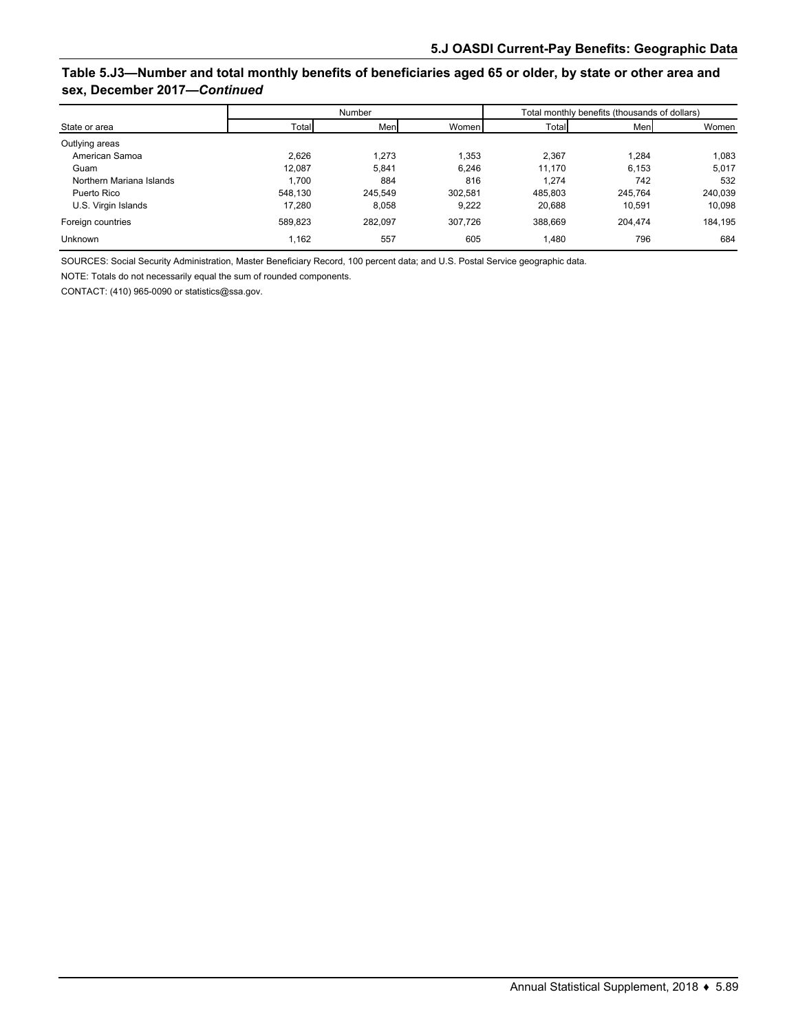### **Table 5.J3—Number and total monthly benefits of beneficiaries aged 65 or older, by state or other area and sex, December 2017—***Continued*

|                          |         | Number  |         | Total monthly benefits (thousands of dollars) |         |         |  |  |  |
|--------------------------|---------|---------|---------|-----------------------------------------------|---------|---------|--|--|--|
| State or area            | Total   | Men     | Women   | Total                                         | Men     | Women   |  |  |  |
| Outlying areas           |         |         |         |                                               |         |         |  |  |  |
| American Samoa           | 2.626   | 1.273   | 1,353   | 2,367                                         | 1.284   | 1.083   |  |  |  |
| Guam                     | 12.087  | 5.841   | 6.246   | 11.170                                        | 6.153   | 5,017   |  |  |  |
| Northern Mariana Islands | 1.700   | 884     | 816     | 1.274                                         | 742     | 532     |  |  |  |
| Puerto Rico              | 548.130 | 245.549 | 302.581 | 485.803                                       | 245.764 | 240,039 |  |  |  |
| U.S. Virgin Islands      | 17.280  | 8.058   | 9,222   | 20,688                                        | 10.591  | 10,098  |  |  |  |
| Foreign countries        | 589,823 | 282.097 | 307.726 | 388,669                                       | 204.474 | 184,195 |  |  |  |
| <b>Unknown</b>           | .162    | 557     | 605     | 1,480                                         | 796     | 684     |  |  |  |

SOURCES: Social Security Administration, Master Beneficiary Record, 100 percent data; and U.S. Postal Service geographic data.

NOTE: Totals do not necessarily equal the sum of rounded components.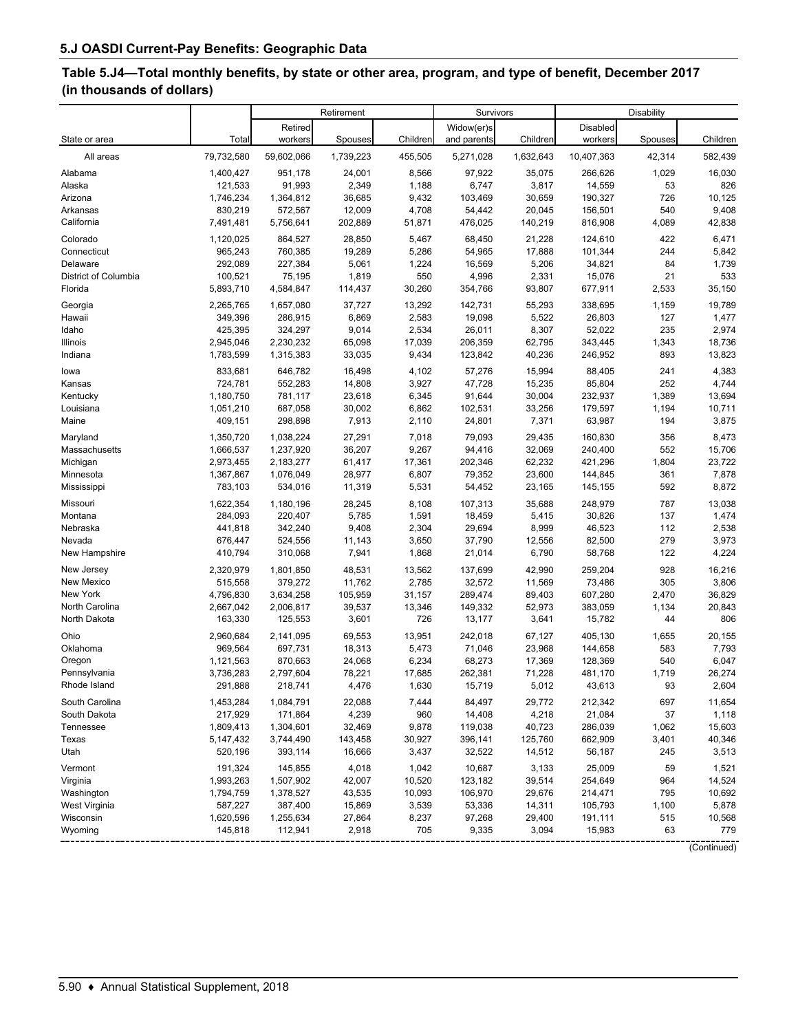# **Table 5.J4—Total monthly benefits, by state or other area, program, and type of benefit, December 2017 (in thousands of dollars)**

|                      |            |            | Retirement |          | Survivors   |           |            | Disability |             |  |  |  |
|----------------------|------------|------------|------------|----------|-------------|-----------|------------|------------|-------------|--|--|--|
|                      |            | Retired    |            |          | Widow(er)s  |           | Disabled   |            |             |  |  |  |
| State or area        | Total      | workers    | Spouses    | Children | and parents | Children  | workers    | Spouses    | Children    |  |  |  |
| All areas            | 79,732,580 | 59,602,066 | 1,739,223  | 455,505  | 5,271,028   | 1,632,643 | 10,407,363 | 42,314     | 582,439     |  |  |  |
| Alabama              | 1,400,427  | 951,178    | 24,001     | 8,566    | 97,922      | 35,075    | 266,626    | 1,029      | 16,030      |  |  |  |
| Alaska               | 121,533    | 91,993     | 2,349      | 1,188    | 6,747       | 3,817     | 14,559     | 53         | 826         |  |  |  |
| Arizona              | 1,746,234  | 1,364,812  | 36,685     | 9,432    | 103,469     | 30,659    | 190,327    | 726        | 10,125      |  |  |  |
| Arkansas             | 830,219    | 572,567    | 12,009     | 4,708    | 54,442      | 20,045    | 156,501    | 540        | 9,408       |  |  |  |
| California           | 7,491,481  | 5,756,641  | 202,889    | 51,871   | 476,025     | 140,219   | 816,908    | 4,089      | 42,838      |  |  |  |
| Colorado             | 1,120,025  | 864,527    | 28,850     | 5,467    | 68,450      | 21,228    | 124,610    | 422        | 6,471       |  |  |  |
| Connecticut          | 965,243    | 760,385    | 19,289     | 5,286    | 54,965      | 17,888    | 101,344    | 244        | 5,842       |  |  |  |
| Delaware             | 292,089    | 227,384    | 5,061      | 1,224    | 16,569      | 5,206     | 34,821     | 84         | 1,739       |  |  |  |
| District of Columbia | 100,521    | 75,195     | 1,819      | 550      | 4,996       | 2,331     | 15,076     | 21         | 533         |  |  |  |
| Florida              | 5,893,710  | 4,584,847  | 114,437    | 30,260   | 354,766     | 93,807    | 677,911    | 2,533      | 35,150      |  |  |  |
| Georgia              | 2,265,765  | 1,657,080  | 37,727     | 13,292   | 142,731     | 55,293    | 338,695    | 1,159      | 19,789      |  |  |  |
| Hawaii               | 349,396    | 286,915    | 6,869      | 2,583    | 19,098      | 5,522     | 26,803     | 127        | 1,477       |  |  |  |
| Idaho                | 425,395    | 324,297    | 9,014      | 2,534    | 26,011      | 8,307     | 52,022     | 235        | 2,974       |  |  |  |
| Illinois             | 2,945,046  | 2,230,232  | 65,098     | 17,039   | 206,359     | 62,795    | 343,445    | 1,343      | 18,736      |  |  |  |
| Indiana              | 1,783,599  | 1,315,383  | 33,035     | 9,434    | 123,842     | 40,236    | 246,952    | 893        | 13,823      |  |  |  |
| lowa                 | 833,681    | 646,782    | 16,498     | 4,102    | 57,276      | 15,994    | 88,405     | 241        | 4,383       |  |  |  |
| Kansas               | 724,781    | 552,283    | 14,808     | 3,927    | 47,728      | 15,235    | 85,804     | 252        | 4,744       |  |  |  |
| Kentucky             | 1,180,750  | 781,117    | 23,618     | 6,345    | 91,644      | 30,004    | 232,937    | 1,389      | 13,694      |  |  |  |
| Louisiana            | 1,051,210  | 687,058    | 30,002     | 6,862    | 102,531     | 33,256    | 179,597    | 1,194      | 10,711      |  |  |  |
| Maine                | 409,151    | 298,898    | 7,913      | 2,110    | 24,801      | 7,371     | 63,987     | 194        | 3,875       |  |  |  |
| Maryland             | 1,350,720  | 1,038,224  | 27,291     | 7,018    | 79,093      | 29,435    | 160,830    | 356        | 8,473       |  |  |  |
| Massachusetts        | 1,666,537  | 1,237,920  | 36,207     | 9,267    | 94,416      | 32,069    | 240,400    | 552        | 15,706      |  |  |  |
| Michigan             | 2,973,455  | 2,183,277  | 61,417     | 17,361   | 202,346     | 62,232    | 421,296    | 1,804      | 23,722      |  |  |  |
| Minnesota            | 1,367,867  | 1,076,049  | 28,977     | 6,807    | 79,352      | 23,600    | 144,845    | 361        | 7,878       |  |  |  |
| Mississippi          | 783,103    | 534,016    | 11,319     | 5,531    | 54,452      | 23,165    | 145,155    | 592        | 8,872       |  |  |  |
| Missouri             | 1,622,354  | 1,180,196  | 28,245     | 8,108    | 107,313     | 35,688    | 248,979    | 787        | 13,038      |  |  |  |
| Montana              | 284,093    | 220,407    | 5,785      | 1,591    | 18,459      | 5,415     | 30,826     | 137        | 1,474       |  |  |  |
| Nebraska             | 441,818    | 342,240    | 9,408      | 2,304    | 29,694      | 8,999     | 46,523     | 112        | 2,538       |  |  |  |
| Nevada               | 676,447    | 524,556    | 11,143     | 3,650    | 37,790      | 12,556    | 82,500     | 279        | 3,973       |  |  |  |
| New Hampshire        | 410,794    | 310,068    | 7,941      | 1,868    | 21,014      | 6,790     | 58,768     | 122        | 4,224       |  |  |  |
| New Jersey           | 2,320,979  | 1,801,850  | 48,531     | 13,562   | 137,699     | 42,990    | 259,204    | 928        | 16,216      |  |  |  |
| New Mexico           | 515,558    | 379,272    | 11,762     | 2,785    | 32,572      | 11,569    | 73,486     | 305        | 3,806       |  |  |  |
| New York             | 4,796,830  | 3,634,258  | 105,959    | 31,157   | 289,474     | 89,403    | 607,280    | 2,470      | 36,829      |  |  |  |
| North Carolina       | 2,667,042  | 2,006,817  | 39,537     | 13,346   | 149,332     | 52,973    | 383,059    | 1,134      | 20,843      |  |  |  |
| North Dakota         | 163,330    | 125,553    | 3,601      | 726      | 13,177      | 3,641     | 15,782     | 44         | 806         |  |  |  |
| Ohio                 | 2,960,684  | 2,141,095  | 69,553     | 13,951   | 242,018     | 67,127    | 405,130    | 1,655      | 20,155      |  |  |  |
| Oklahoma             | 969,564    | 697,731    | 18,313     | 5,473    | 71,046      | 23,968    | 144,658    | 583        | 7,793       |  |  |  |
| Oregon               | 1,121,563  | 870,663    | 24,068     | 6,234    | 68,273      | 17,369    | 128,369    | 540        | 6,047       |  |  |  |
| Pennsylvania         | 3,736,283  | 2,797,604  | 78,221     | 17,685   | 262,381     | 71,228    | 481,170    | 1,719      | 26,274      |  |  |  |
| Rhode Island         | 291,888    | 218,741    | 4,476      | 1,630    | 15,719      | 5,012     | 43,613     | 93         | 2,604       |  |  |  |
| South Carolina       | 1,453,284  | 1,084,791  | 22,088     | 7,444    | 84,497      | 29,772    | 212,342    | 697        | 11,654      |  |  |  |
| South Dakota         | 217,929    | 171,864    | 4,239      | 960      | 14,408      | 4,218     | 21,084     | 37         | 1,118       |  |  |  |
| Tennessee            | 1,809,413  | 1,304,601  | 32,469     | 9,878    | 119,038     | 40,723    | 286,039    | 1,062      | 15,603      |  |  |  |
| Texas                | 5,147,432  | 3,744,490  | 143,458    | 30,927   | 396,141     | 125,760   | 662,909    | 3,401      | 40,346      |  |  |  |
| Utah                 | 520,196    | 393,114    | 16,666     | 3,437    | 32,522      | 14,512    | 56,187     | 245        | 3,513       |  |  |  |
| Vermont              | 191,324    | 145,855    | 4,018      | 1,042    | 10,687      | 3,133     | 25,009     | 59         | 1,521       |  |  |  |
| Virginia             | 1,993,263  | 1,507,902  | 42,007     | 10,520   | 123,182     | 39,514    | 254,649    | 964        | 14,524      |  |  |  |
| Washington           | 1,794,759  | 1,378,527  | 43,535     | 10,093   | 106,970     | 29,676    | 214,471    | 795        | 10,692      |  |  |  |
| West Virginia        | 587,227    | 387,400    | 15,869     | 3,539    | 53,336      | 14,311    | 105,793    | 1,100      | 5,878       |  |  |  |
| Wisconsin            | 1,620,596  | 1,255,634  | 27,864     | 8,237    | 97,268      | 29,400    | 191,111    | 515        | 10,568      |  |  |  |
| Wyoming              | 145,818    | 112,941    | 2,918      | 705      | 9,335       | 3,094     | 15,983     | 63         | 779         |  |  |  |
|                      |            |            |            |          |             |           |            |            | (Continued) |  |  |  |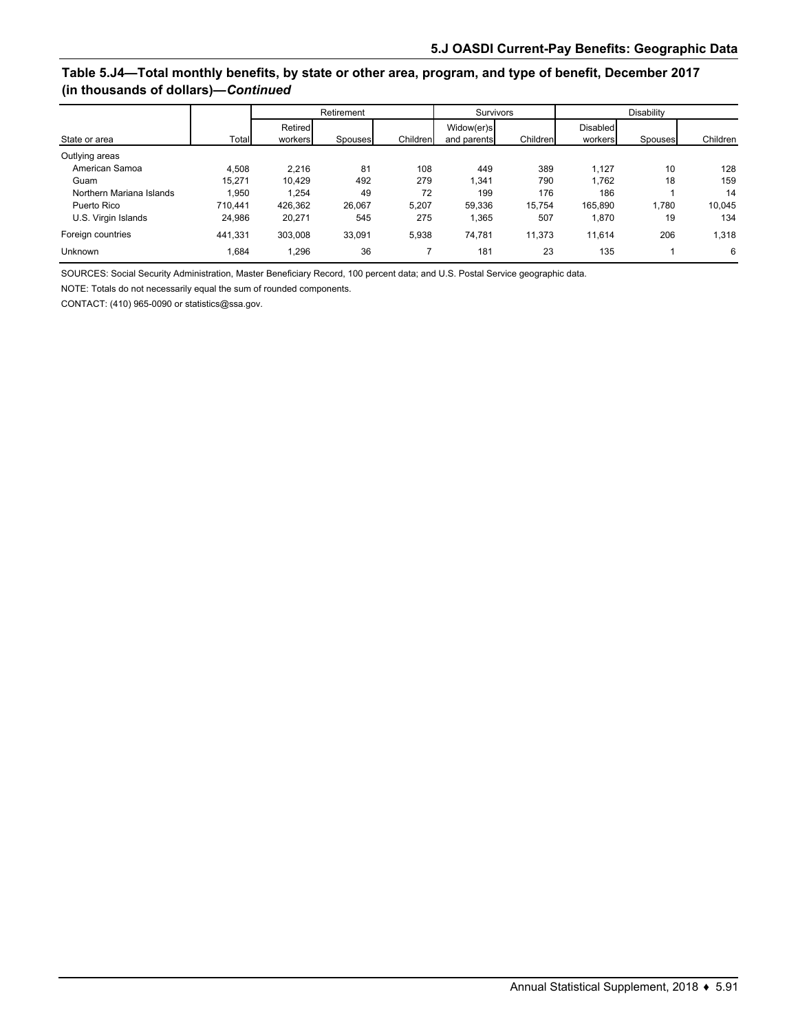### **Table 5.J4—Total monthly benefits, by state or other area, program, and type of benefit, December 2017 (in thousands of dollars)—***Continued*

|                          |         |                    | Retirement |          | Survivors                 |          | Disability          |         |          |  |
|--------------------------|---------|--------------------|------------|----------|---------------------------|----------|---------------------|---------|----------|--|
| State or area            | Total   | Retired<br>workers | Spouses    | Children | Widow(er)s<br>and parents | Children | Disabled<br>workers | Spouses | Children |  |
| Outlying areas           |         |                    |            |          |                           |          |                     |         |          |  |
| American Samoa           | 4.508   | 2.216              | 81         | 108      | 449                       | 389      | 1.127               | 10      | 128      |  |
| Guam                     | 15.271  | 10.429             | 492        | 279      | 1,341                     | 790      | 1.762               | 18      | 159      |  |
| Northern Mariana Islands | .950    | 1.254              | 49         | 72       | 199                       | 176      | 186                 |         | 14       |  |
| Puerto Rico              | 710,441 | 426.362            | 26,067     | 5,207    | 59.336                    | 15.754   | 165.890             | 1.780   | 10,045   |  |
| U.S. Virgin Islands      | 24,986  | 20.271             | 545        | 275      | 1,365                     | 507      | 1,870               | 19      | 134      |  |
| Foreign countries        | 441,331 | 303,008            | 33.091     | 5,938    | 74.781                    | 11.373   | 11.614              | 206     | 1,318    |  |
| <b>Unknown</b>           | .684    | 1.296              | 36         |          | 181                       | 23       | 135                 |         | 6        |  |

SOURCES: Social Security Administration, Master Beneficiary Record, 100 percent data; and U.S. Postal Service geographic data.

NOTE: Totals do not necessarily equal the sum of rounded components.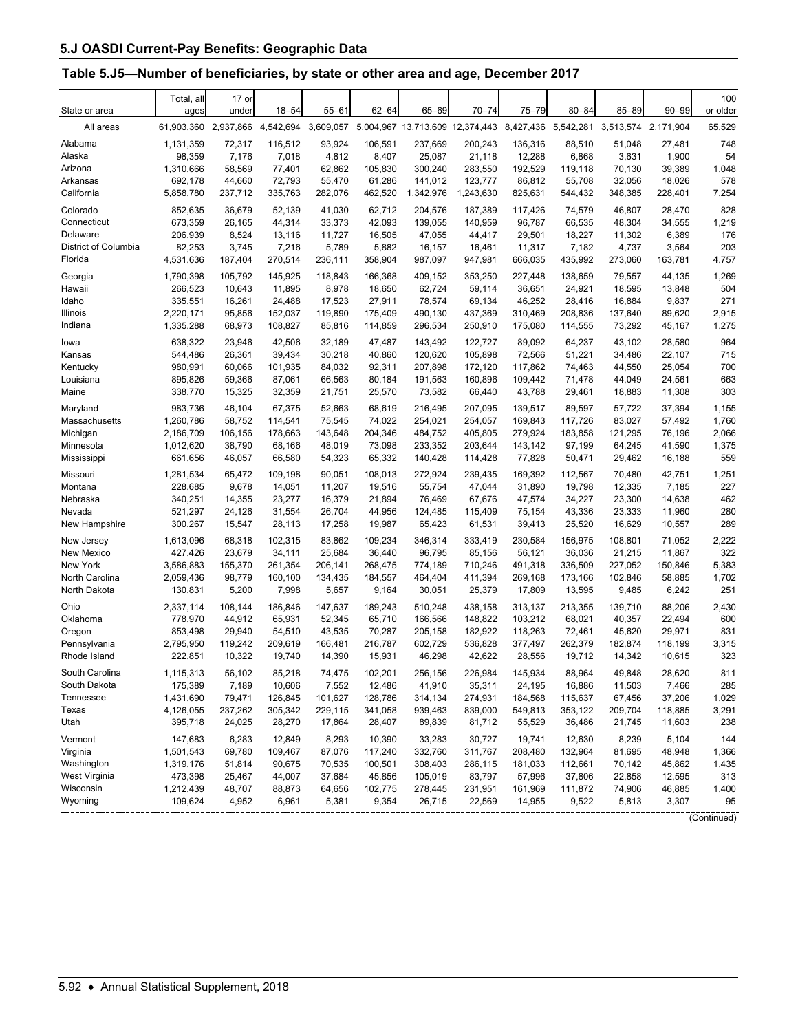# **Table 5.J5—Number of beneficiaries, by state or other area and age, December 2017**

| State or area        | Total, all<br>ages             | 17 or<br>undei | $18 - 54$ | $55 - 61$ | $62 - 64$ | 65-69                                               | $70 - 74$ | 75-79   | $80 - 84$ | $85 - 89$ | $90 - 99$           | 100<br>or older |
|----------------------|--------------------------------|----------------|-----------|-----------|-----------|-----------------------------------------------------|-----------|---------|-----------|-----------|---------------------|-----------------|
| All areas            | 61,903,360 2,937,866 4,542,694 |                |           | 3,609,057 |           | 5,004,967 13,713,609 12,374,443 8,427,436 5,542,281 |           |         |           |           | 3,513,574 2,171,904 | 65,529          |
| Alabama              | 1,131,359                      | 72,317         | 116,512   | 93,924    | 106,591   | 237,669                                             | 200,243   | 136,316 | 88,510    | 51,048    | 27,481              | 748             |
| Alaska               | 98,359                         | 7,176          | 7,018     | 4,812     | 8,407     | 25,087                                              | 21,118    | 12,288  | 6,868     | 3,631     | 1,900               | 54              |
| Arizona              | 1,310,666                      | 58,569         | 77,401    | 62,862    | 105,830   | 300,240                                             | 283,550   | 192,529 | 119,118   | 70,130    | 39,389              | 1,048           |
| Arkansas             | 692,178                        | 44,660         | 72,793    | 55,470    | 61,286    | 141,012                                             | 123,777   | 86,812  | 55,708    | 32,056    | 18,026              | 578             |
| California           | 5,858,780                      | 237,712        | 335,763   | 282,076   | 462,520   | 1,342,976                                           | 1,243,630 | 825,631 | 544,432   | 348,385   | 228,401             | 7,254           |
| Colorado             | 852,635                        | 36,679         | 52,139    | 41,030    | 62,712    | 204,576                                             | 187,389   | 117,426 | 74,579    | 46,807    | 28,470              | 828             |
| Connecticut          | 673,359                        | 26,165         | 44,314    | 33,373    | 42,093    | 139,055                                             | 140,959   | 96,787  | 66,535    | 48,304    | 34,555              | 1,219           |
| Delaware             | 206,939                        | 8,524          | 13,116    | 11,727    | 16,505    | 47,055                                              | 44,417    | 29,501  | 18,227    | 11,302    | 6,389               | 176             |
| District of Columbia | 82,253                         | 3,745          | 7,216     | 5,789     | 5,882     | 16,157                                              | 16,461    | 11,317  | 7,182     | 4,737     | 3,564               | 203             |
| Florida              | 4,531,636                      | 187,404        | 270,514   | 236,111   | 358,904   | 987,097                                             | 947,981   | 666,035 | 435,992   | 273,060   | 163,781             | 4,757           |
| Georgia              | 1,790,398                      | 105,792        | 145,925   | 118,843   | 166,368   | 409,152                                             | 353,250   | 227,448 | 138,659   | 79,557    | 44,135              | 1,269           |
| Hawaii               | 266,523                        | 10,643         | 11,895    | 8,978     | 18,650    | 62,724                                              | 59,114    | 36,651  | 24,921    | 18,595    | 13,848              | 504             |
| Idaho                | 335,551                        | 16,261         | 24,488    | 17,523    | 27,911    | 78,574                                              | 69,134    | 46,252  | 28,416    | 16,884    | 9,837               | 271             |
| Illinois             | 2,220,171                      | 95,856         | 152,037   | 119,890   | 175,409   | 490,130                                             | 437,369   | 310,469 | 208,836   | 137,640   | 89,620              | 2,915           |
| Indiana              | 1,335,288                      | 68,973         | 108,827   | 85,816    | 114,859   | 296,534                                             | 250,910   | 175,080 | 114,555   | 73,292    | 45,167              | 1,275           |
| lowa                 | 638,322                        | 23,946         | 42,506    | 32,189    | 47,487    | 143,492                                             | 122.727   | 89,092  | 64,237    | 43.102    | 28,580              | 964             |
| Kansas               | 544,486                        | 26,361         | 39,434    | 30,218    | 40,860    | 120,620                                             | 105,898   | 72,566  | 51,221    | 34.486    | 22.107              | 715             |
| Kentucky             | 980,991                        | 60,066         | 101,935   | 84,032    | 92,311    | 207,898                                             | 172,120   | 117,862 | 74,463    | 44,550    | 25,054              | 700             |
| Louisiana            | 895,826                        | 59,366         | 87,061    | 66,563    | 80,184    | 191,563                                             | 160,896   | 109,442 | 71,478    | 44,049    | 24,561              | 663             |
| Maine                | 338,770                        | 15,325         | 32,359    | 21,751    | 25,570    | 73,582                                              | 66,440    | 43,788  | 29,461    | 18,883    | 11,308              | 303             |
| Maryland             | 983,736                        | 46,104         | 67,375    | 52,663    | 68,619    | 216,495                                             | 207,095   | 139,517 | 89,597    | 57,722    | 37,394              | 1,155           |
| Massachusetts        | 1,260,786                      | 58,752         | 114,541   | 75,545    | 74,022    | 254,021                                             | 254,057   | 169,843 | 117,726   | 83,027    | 57,492              | 1,760           |
| Michigan             | 2,186,709                      | 106,156        | 178,663   | 143,648   | 204.346   | 484,752                                             | 405,805   | 279,924 | 183,858   | 121,295   | 76,196              | 2,066           |
| Minnesota            | 1,012,620                      | 38,790         | 68,166    | 48,019    | 73,098    | 233,352                                             | 203,644   | 143,142 | 97,199    | 64,245    | 41,590              | 1,375           |
| Mississippi          | 661,656                        | 46,057         | 66,580    | 54,323    | 65,332    | 140,428                                             | 114,428   | 77,828  | 50,471    | 29,462    | 16,188              | 559             |
| Missouri             | 1,281,534                      | 65,472         | 109,198   | 90,051    | 108,013   | 272,924                                             | 239,435   | 169,392 | 112,567   | 70,480    | 42,751              | 1,251           |
| Montana              | 228,685                        | 9,678          | 14,051    | 11,207    | 19,516    | 55,754                                              | 47,044    | 31,890  | 19,798    | 12,335    | 7,185               | 227             |
| Nebraska             | 340,251                        | 14,355         | 23,277    | 16,379    | 21,894    | 76,469                                              | 67,676    | 47,574  | 34,227    | 23,300    | 14,638              | 462             |
| Nevada               | 521,297                        | 24,126         | 31,554    | 26,704    | 44,956    | 124,485                                             | 115,409   | 75,154  | 43,336    | 23,333    | 11,960              | 280             |
| New Hampshire        | 300,267                        | 15,547         | 28,113    | 17,258    | 19,987    | 65,423                                              | 61,531    | 39,413  | 25,520    | 16,629    | 10,557              | 289             |
| New Jersey           | 1,613,096                      | 68,318         | 102,315   | 83,862    | 109,234   | 346,314                                             | 333,419   | 230,584 | 156,975   | 108,801   | 71,052              | 2,222           |
| New Mexico           | 427,426                        | 23,679         | 34,111    | 25,684    | 36,440    | 96,795                                              | 85,156    | 56,121  | 36,036    | 21,215    | 11,867              | 322             |
| New York             | 3,586,883                      | 155,370        | 261,354   | 206,141   | 268,475   | 774,189                                             | 710,246   | 491,318 | 336,509   | 227,052   | 150,846             | 5,383           |
| North Carolina       | 2,059,436                      | 98,779         | 160,100   | 134,435   | 184,557   | 464,404                                             | 411,394   | 269,168 | 173,166   | 102,846   | 58,885              | 1,702           |
| North Dakota         | 130,831                        | 5,200          | 7,998     | 5,657     | 9,164     | 30,051                                              | 25,379    | 17,809  | 13,595    | 9,485     | 6,242               | 251             |
| Ohio                 | 2,337,114                      | 108,144        | 186,846   | 147,637   | 189,243   | 510,248                                             | 438.158   | 313,137 | 213,355   | 139.710   | 88,206              | 2,430           |
| Oklahoma             | 778,970                        | 44,912         | 65,931    | 52,345    | 65,710    | 166,566                                             | 148,822   | 103,212 | 68,021    | 40,357    | 22,494              | 600             |
| Oregon               | 853,498                        | 29,940         | 54,510    | 43,535    | 70,287    | 205,158                                             | 182,922   | 118,263 | 72,461    | 45,620    | 29,971              | 831             |
| Pennsylvania         | 2,795,950                      | 119,242        | 209,619   | 166,481   | 216,787   | 602,729                                             | 536,828   | 377,497 | 262,379   | 182,874   | 118,199             | 3,315           |
| Rhode Island         | 222,851                        | 10,322         | 19,740    | 14,390    | 15,931    | 46,298                                              | 42,622    | 28,556  | 19,712    | 14,342    | 10,615              | 323             |
| South Carolina       | 1,115,313                      | 56,102         | 85,218    | 74,475    | 102,201   | 256,156                                             | 226,984   | 145,934 | 88,964    | 49,848    | 28,620              | 811             |
| South Dakota         | 175,389                        | 7,189          | 10,606    | 7,552     | 12,486    | 41,910                                              | 35,311    | 24,195  | 16,886    | 11,503    | 7,466               | 285             |
| Tennessee            | 1,431,690                      | 79,471         | 126,845   | 101,627   | 128,786   | 314,134                                             | 274,931   | 184,568 | 115,637   | 67,456    | 37,206              | 1,029           |
| Texas                | 4,126,055                      | 237,262        | 305,342   | 229,115   | 341,058   | 939,463                                             | 839,000   | 549,813 | 353,122   | 209,704   | 118,885             | 3,291           |
| Utah                 | 395,718                        | 24,025         | 28,270    | 17,864    | 28,407    | 89,839                                              | 81,712    | 55,529  | 36,486    | 21,745    | 11,603              | 238             |
| Vermont              | 147,683                        | 6,283          | 12,849    | 8,293     | 10,390    | 33,283                                              | 30,727    | 19,741  | 12,630    | 8,239     | 5,104               | 144             |
| Virginia             | 1,501,543                      | 69,780         | 109,467   | 87,076    | 117,240   | 332,760                                             | 311,767   | 208,480 | 132,964   | 81,695    | 48,948              | 1,366           |
| Washington           | 1,319,176                      | 51,814         | 90,675    | 70,535    | 100,501   | 308,403                                             | 286,115   | 181,033 | 112,661   | 70,142    | 45,862              | 1,435           |
| West Virginia        | 473,398                        | 25,467         | 44,007    | 37,684    | 45,856    | 105,019                                             | 83,797    | 57,996  | 37,806    | 22,858    | 12,595              | 313             |
| Wisconsin            | 1,212,439                      | 48,707         | 88,873    | 64,656    | 102,775   | 278,445                                             | 231,951   | 161,969 | 111,872   | 74,906    | 46,885              | 1,400           |
| Wyoming              | 109,624                        | 4,952          | 6,961     | 5,381     | 9,354     | 26,715                                              | 22,569    | 14,955  | 9,522     | 5,813     | 3,307<br>.          | 95              |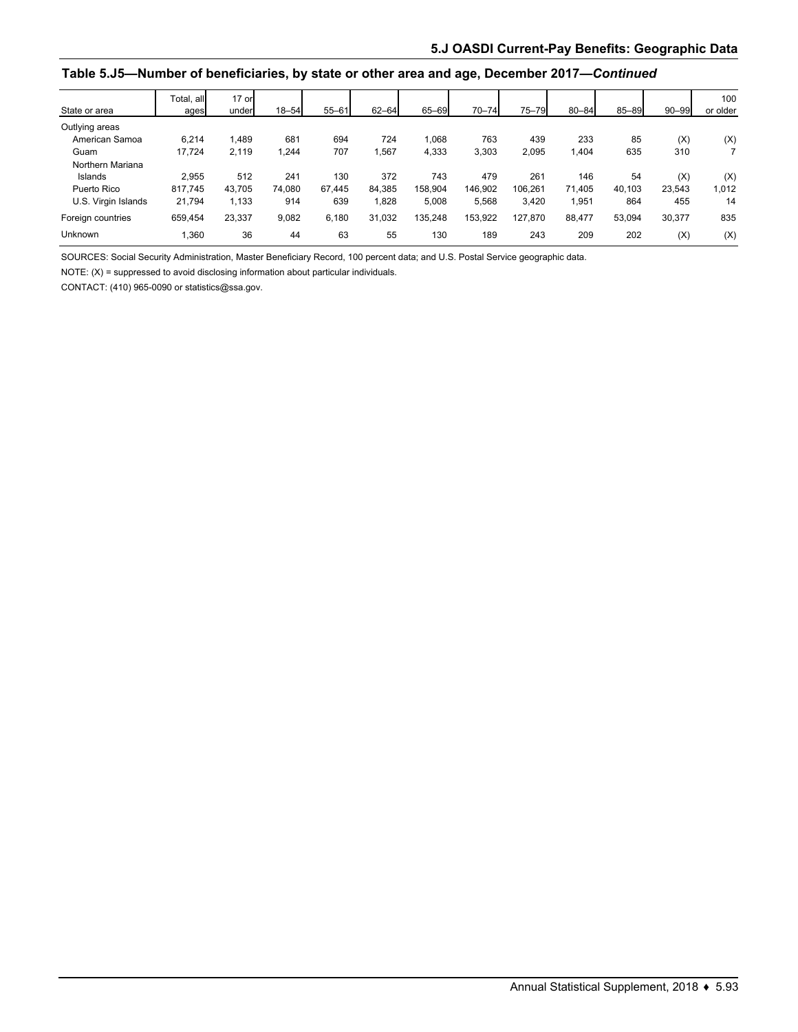#### **Table 5.J5—Number of beneficiaries, by state or other area and age, December 2017—***Continued*

| State or area       | Total, all<br>ages | 17 or<br>under | $18 - 54$ | $55 - 61$ | $62 - 64$ | 65-69   | $70 - 74$ | 75-79   | $80 - 84$ | 85-89  | $90 - 99$ | 100<br>or older |
|---------------------|--------------------|----------------|-----------|-----------|-----------|---------|-----------|---------|-----------|--------|-----------|-----------------|
| Outlying areas      |                    |                |           |           |           |         |           |         |           |        |           |                 |
| American Samoa      | 6,214              | 1.489          | 681       | 694       | 724       | 860.1   | 763       | 439     | 233       | 85     | (X)       | (X)             |
| Guam                | 17.724             | 2.119          | 1,244     | 707       | 1,567     | 4,333   | 3,303     | 2,095   | 1,404     | 635    | 310       |                 |
| Northern Mariana    |                    |                |           |           |           |         |           |         |           |        |           |                 |
| Islands             | 2.955              | 512            | 241       | 130       | 372       | 743     | 479       | 261     | 146       | 54     | (X)       | (X)             |
| Puerto Rico         | 817,745            | 43.705         | 74.080    | 67.445    | 84,385    | 158.904 | 146,902   | 106.261 | 71.405    | 40.103 | 23.543    | 1,012           |
| U.S. Virgin Islands | 21,794             | 1,133          | 914       | 639       | 1,828     | 5,008   | 5,568     | 3,420   | 1,951     | 864    | 455       | 14              |
| Foreign countries   | 659,454            | 23.337         | 9,082     | 6,180     | 31,032    | 135,248 | 153,922   | 127,870 | 88,477    | 53.094 | 30.377    | 835             |
| Unknown             | ,360               | 36             | 44        | 63        | 55        | 130     | 189       | 243     | 209       | 202    | (X)       | (X)             |

SOURCES: Social Security Administration, Master Beneficiary Record, 100 percent data; and U.S. Postal Service geographic data.

NOTE: (X) = suppressed to avoid disclosing information about particular individuals.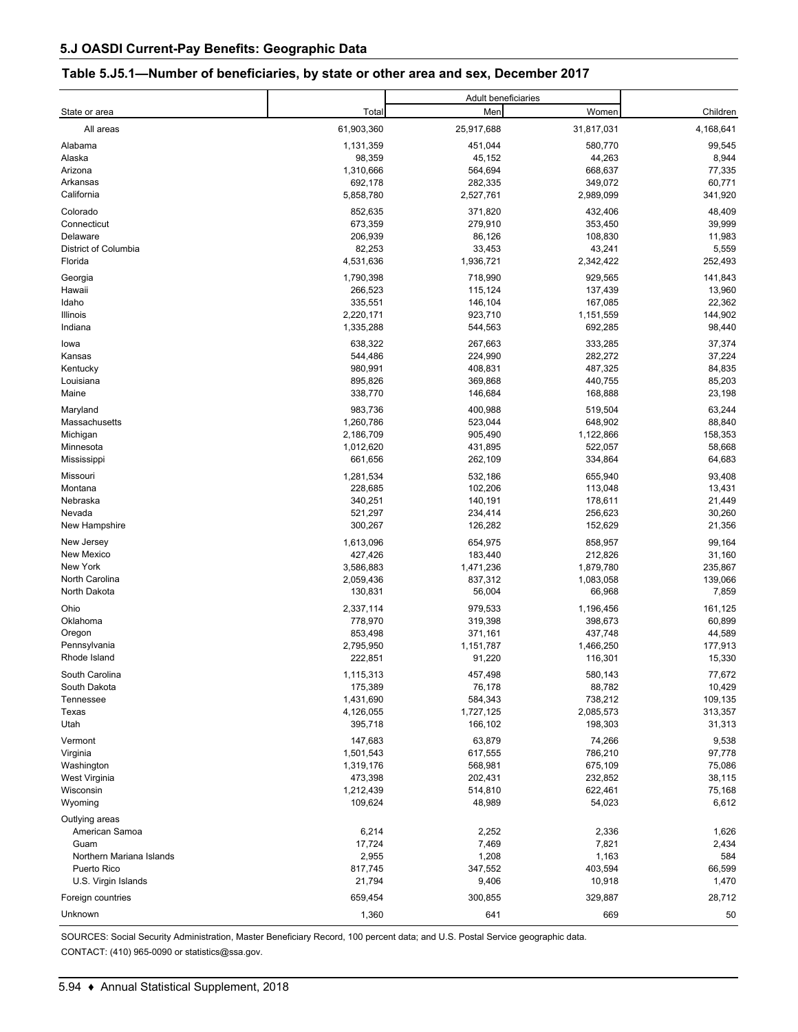#### **Table 5.J5.1—Number of beneficiaries, by state or other area and sex, December 2017**

|                          |            | Adult beneficiaries |            |           |  |
|--------------------------|------------|---------------------|------------|-----------|--|
| State or area            | Total      | Men                 | Women      | Children  |  |
| All areas                | 61,903,360 | 25,917,688          | 31,817,031 | 4,168,641 |  |
| Alabama                  | 1,131,359  | 451,044             | 580,770    | 99,545    |  |
| Alaska                   | 98,359     | 45,152              | 44,263     | 8,944     |  |
| Arizona                  | 1,310,666  | 564,694             | 668,637    | 77,335    |  |
| Arkansas                 | 692,178    | 282,335             | 349,072    | 60,771    |  |
| California               | 5,858,780  | 2,527,761           | 2,989,099  | 341,920   |  |
| Colorado                 | 852,635    | 371,820             | 432,406    | 48,409    |  |
| Connecticut              | 673,359    | 279,910             | 353,450    | 39,999    |  |
| Delaware                 | 206,939    | 86,126              | 108,830    | 11,983    |  |
| District of Columbia     | 82,253     | 33,453              | 43,241     | 5,559     |  |
| Florida                  | 4,531,636  | 1,936,721           | 2,342,422  | 252,493   |  |
| Georgia                  | 1,790,398  | 718,990             | 929,565    | 141,843   |  |
| Hawaii                   | 266,523    | 115,124             | 137,439    | 13,960    |  |
| Idaho                    | 335,551    | 146,104             | 167,085    | 22,362    |  |
| Illinois                 | 2,220,171  | 923,710             | 1,151,559  | 144,902   |  |
| Indiana                  | 1,335,288  | 544,563             | 692,285    | 98,440    |  |
| lowa                     | 638,322    | 267,663             | 333,285    | 37,374    |  |
| Kansas                   | 544,486    | 224,990             | 282,272    | 37,224    |  |
| Kentucky                 | 980,991    | 408,831             | 487,325    | 84,835    |  |
| Louisiana                | 895,826    | 369,868             | 440,755    | 85,203    |  |
| Maine                    | 338,770    | 146,684             | 168,888    | 23,198    |  |
| Maryland                 | 983,736    | 400,988             | 519,504    | 63,244    |  |
| Massachusetts            | 1,260,786  | 523,044             | 648,902    | 88,840    |  |
| Michigan                 | 2,186,709  | 905,490             | 1,122,866  | 158,353   |  |
| Minnesota                | 1,012,620  | 431,895             | 522,057    | 58,668    |  |
| Mississippi              | 661,656    | 262,109             | 334,864    | 64,683    |  |
| Missouri                 | 1,281,534  | 532,186             | 655,940    | 93,408    |  |
| Montana                  | 228,685    | 102,206             | 113,048    | 13,431    |  |
| Nebraska                 | 340,251    | 140,191             | 178,611    | 21,449    |  |
| Nevada                   | 521,297    | 234,414             | 256,623    | 30,260    |  |
| New Hampshire            | 300,267    | 126,282             | 152,629    | 21,356    |  |
| New Jersey               | 1,613,096  | 654,975             | 858,957    | 99,164    |  |
| New Mexico               | 427,426    | 183,440             | 212,826    | 31,160    |  |
| New York                 | 3,586,883  | 1,471,236           | 1,879,780  | 235,867   |  |
| North Carolina           | 2,059,436  | 837,312             | 1,083,058  | 139,066   |  |
| North Dakota             | 130,831    | 56,004              | 66,968     | 7,859     |  |
| Ohio                     | 2,337,114  | 979,533             | 1,196,456  | 161,125   |  |
| Oklahoma                 | 778,970    | 319,398             | 398,673    | 60,899    |  |
| Oregon                   | 853,498    | 371,161             | 437,748    | 44,589    |  |
| Pennsylvania             | 2,795,950  | 1,151,787           | 1,466,250  | 177,913   |  |
| Rhode Island             | 222,851    | 91,220              | 116,301    | 15,330    |  |
| South Carolina           | 1,115,313  | 457,498             | 580,143    | 77,672    |  |
| South Dakota             | 175,389    | 76,178              | 88,782     | 10,429    |  |
| Tennessee                | 1,431,690  | 584,343             | 738,212    | 109,135   |  |
| Texas                    | 4,126,055  | 1,727,125           | 2,085,573  | 313,357   |  |
| Utah                     | 395,718    | 166,102             | 198,303    | 31,313    |  |
| Vermont                  | 147,683    | 63,879              | 74,266     | 9,538     |  |
| Virginia                 | 1,501,543  | 617,555             | 786,210    | 97,778    |  |
| Washington               | 1,319,176  | 568,981             | 675,109    | 75,086    |  |
| West Virginia            | 473,398    | 202,431             | 232,852    | 38,115    |  |
| Wisconsin                | 1,212,439  | 514,810             | 622,461    | 75,168    |  |
| Wyoming                  | 109,624    | 48,989              | 54,023     | 6,612     |  |
| Outlying areas           |            |                     |            |           |  |
| American Samoa           | 6,214      | 2,252               | 2,336      | 1,626     |  |
| Guam                     | 17,724     | 7,469               | 7,821      | 2,434     |  |
| Northern Mariana Islands | 2,955      | 1,208               | 1,163      | 584       |  |
| Puerto Rico              | 817,745    | 347,552             | 403,594    | 66,599    |  |
| U.S. Virgin Islands      | 21,794     | 9,406               | 10,918     | 1,470     |  |
| Foreign countries        | 659,454    | 300,855             | 329,887    | 28,712    |  |
| Unknown                  | 1,360      | 641                 | 669        | 50        |  |

SOURCES: Social Security Administration, Master Beneficiary Record, 100 percent data; and U.S. Postal Service geographic data. CONTACT: (410) 965-0090 or statistics@ssa.gov.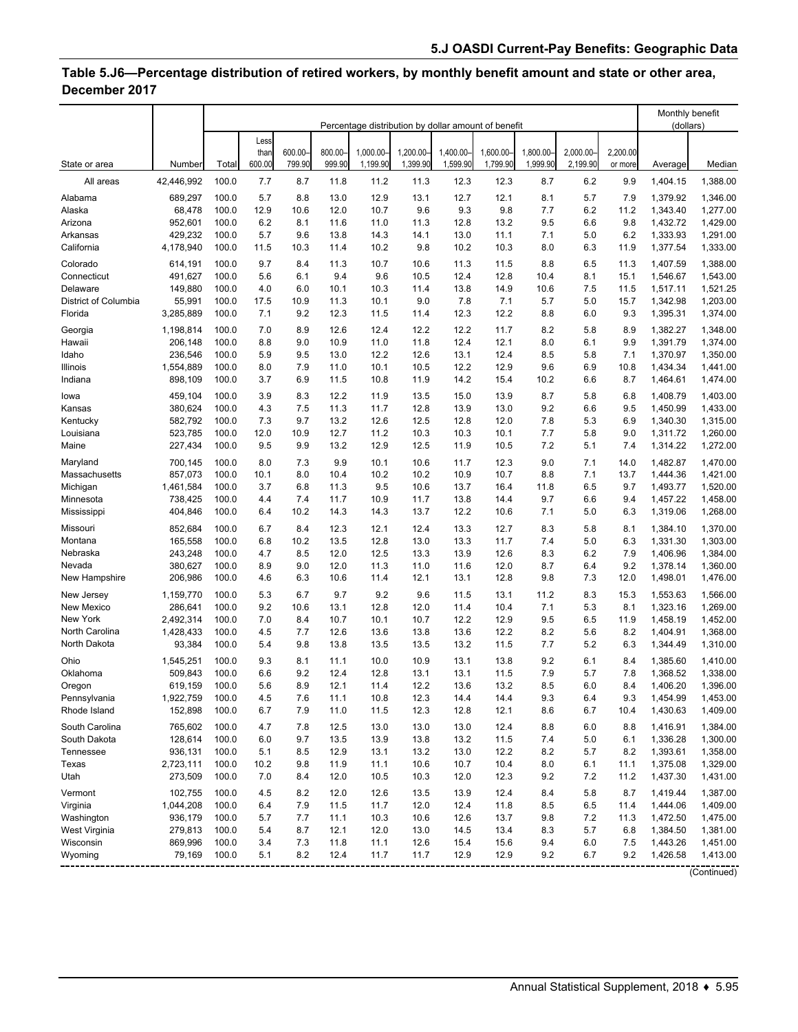# **Table 5.J6—Percentage distribution of retired workers, by monthly benefit amount and state or other area, December 2017**

| Less<br>600.00<br>800.00<br>1,000.00-<br>1,200.00-<br>1,400.00<br>1,600.00-<br>1.800.00-<br>2.000.00<br>2,200.00<br>than<br>600.00<br>799.90<br>999.90<br>1,199.90<br>1,399.90<br>1,599.90<br>1,799.90<br>1,999.90<br>2,199.90<br>State or area<br>Number<br>Total<br>or more<br>Average<br>Median<br>42,446,992<br>100.0<br>7.7<br>8.7<br>8.7<br>6.2<br>1,404.15<br>1,388.00<br>All areas<br>11.8<br>11.2<br>11.3<br>12.3<br>12.3<br>9.9<br>100.0<br>5.7<br>8.8<br>13.0<br>12.9<br>13.1<br>12.7<br>12.1<br>8.1<br>5.7<br>7.9<br>Alabama<br>689,297<br>1,379.92<br>1,346.00<br>12.9<br>10.6<br>12.0<br>10.7<br>9.6<br>9.3<br>9.8<br>7.7<br>6.2<br>11.2<br>1,277.00<br>Alaska<br>68,478<br>100.0<br>1,343.40<br>13.2<br>952,601<br>100.0<br>6.2<br>8.1<br>11.6<br>11.0<br>11.3<br>12.8<br>9.5<br>6.6<br>9.8<br>1,432.72<br>1,429.00<br>Arizona<br>429,232<br>100.0<br>5.7<br>9.6<br>13.8<br>14.3<br>11.1<br>7.1<br>5.0<br>6.2<br>1,333.93<br>1,291.00<br>Arkansas<br>14.1<br>13.0<br>4,178,940<br>10.2<br>9.8<br>10.2<br>10.3<br>8.0<br>6.3<br>1,377.54<br>1,333.00<br>California<br>100.0<br>11.5<br>10.3<br>11.4<br>11.9<br>8.4<br>10.7<br>8.8<br>6.5<br>1,388.00<br>Colorado<br>614,191<br>100.0<br>9.7<br>11.3<br>10.6<br>11.3<br>11.5<br>11.3<br>1,407.59<br>100.0<br>5.6<br>9.4<br>9.6<br>10.5<br>12.4<br>12.8<br>10.4<br>8.1<br>1,543.00<br>Connecticut<br>491,627<br>6.1<br>15.1<br>1,546.67<br>Delaware<br>1,521.25<br>149,880<br>100.0<br>4.0<br>6.0<br>10.1<br>10.3<br>11.4<br>13.8<br>14.9<br>10.6<br>7.5<br>11.5<br>1,517.11<br>55,991<br>1,203.00<br>District of Columbia<br>100.0<br>17.5<br>10.9<br>11.3<br>10.1<br>9.0<br>7.8<br>7.1<br>5.7<br>5.0<br>15.7<br>1,342.98<br>9.2<br>12.3<br>12.3<br>12.2<br>1,395.31<br>Florida<br>3,285,889<br>100.0<br>7.1<br>11.5<br>11.4<br>8.8<br>6.0<br>9.3<br>1,374.00<br>8.9<br>12.6<br>12.4<br>12.2<br>11.7<br>8.2<br>5.8<br>8.9<br>Georgia<br>1,198,814<br>100.0<br>7.0<br>12.2<br>1,382.27<br>1,348.00<br>206,148<br>100.0<br>8.8<br>9.0<br>10.9<br>11.0<br>11.8<br>12.4<br>12.1<br>8.0<br>6.1<br>9.9<br>1,391.79<br>1,374.00<br>Hawaii<br>12.2<br>12.4<br>236,546<br>100.0<br>5.9<br>9.5<br>13.0<br>12.6<br>13.1<br>8.5<br>5.8<br>7.1<br>1,370.97<br>1,350.00<br>Idaho<br>1,554,889<br>100.0<br>8.0<br>7.9<br>11.0<br>10.1<br>10.5<br>12.2<br>12.9<br>9.6<br>6.9<br>10.8<br>1,434.34<br>1,441.00<br>Illinois<br>6.9<br>14.2<br>Indiana<br>898,109<br>100.0<br>3.7<br>11.5<br>10.8<br>11.9<br>15.4<br>10.2<br>6.6<br>8.7<br>1,464.61<br>1,474.00<br>8.7<br>1,403.00<br>459,104<br>100.0<br>3.9<br>8.3<br>12.2<br>11.9<br>13.5<br>15.0<br>13.9<br>5.8<br>6.8<br>1,408.79<br>lowa<br>380,624<br>100.0<br>7.5<br>11.7<br>13.0<br>9.2<br>1,433.00<br>4.3<br>11.3<br>12.8<br>13.9<br>6.6<br>9.5<br>1,450.99<br>Kansas<br>582,792<br>100.0<br>9.7<br>13.2<br>12.6<br>12.5<br>12.8<br>12.0<br>7.8<br>5.3<br>6.9<br>1,315.00<br>7.3<br>1,340.30<br>Kentucky<br>523,785<br>7.7<br>Louisiana<br>100.0<br>12.0<br>10.9<br>12.7<br>11.2<br>10.3<br>10.3<br>10.1<br>5.8<br>9.0<br>1,311.72<br>1,260.00<br>9.9<br>12.9<br>227,434<br>100.0<br>9.5<br>13.2<br>12.5<br>11.9<br>10.5<br>7.2<br>5.1<br>7.4<br>1,314.22<br>1,272.00<br>Maine<br>7.3<br>12.3<br>9.0<br>1,470.00<br>700,145<br>100.0<br>8.0<br>9.9<br>10.1<br>10.6<br>11.7<br>7.1<br>14.0<br>1,482.87<br>Maryland<br>857.073<br>8.0<br>10.4<br>10.2<br>10.2<br>10.9<br>10.7<br>8.8<br>7.1<br>1,421.00<br>Massachusetts<br>100.0<br>10.1<br>13.7<br>1,444.36<br>100.0<br>9.5<br>13.7<br>16.4<br>6.5<br>9.7<br>1,493.77<br>1,520.00<br>1,461,584<br>3.7<br>6.8<br>11.3<br>10.6<br>11.8<br>Michigan<br>738,425<br>9.7<br>6.6<br>1,458.00<br>100.0<br>4.4<br>7.4<br>11.7<br>10.9<br>11.7<br>13.8<br>14.4<br>9.4<br>1,457.22<br>Minnesota<br>404,846<br>7.1<br>100.0<br>6.4<br>10.2<br>14.3<br>14.3<br>13.7<br>12.2<br>10.6<br>5.0<br>6.3<br>1,319.06<br>1,268.00<br>Mississippi<br>Missouri<br>852,684<br>6.7<br>12.3<br>12.1<br>12.7<br>8.3<br>5.8<br>1,370.00<br>100.0<br>8.4<br>12.4<br>13.3<br>8.1<br>1,384.10<br>100.0<br>12.8<br>11.7<br>7.4<br>5.0<br>1,303.00<br>Montana<br>165,558<br>6.8<br>10.2<br>13.5<br>13.0<br>13.3<br>6.3<br>1,331.30<br>243,248<br>12.5<br>12.6<br>8.3<br>6.2<br>1,406.96<br>1,384.00<br>Nebraska<br>100.0<br>4.7<br>8.5<br>12.0<br>13.3<br>13.9<br>7.9<br>12.0<br>12.0<br>1,360.00<br>Nevada<br>380,627<br>100.0<br>8.9<br>9.0<br>11.3<br>11.0<br>11.6<br>8.7<br>6.4<br>9.2<br>1,378.14<br>206,986<br>9.8<br>7.3<br>1,476.00<br>New Hampshire<br>100.0<br>4.6<br>6.3<br>10.6<br>11.4<br>12.1<br>13.1<br>12.8<br>12.0<br>1,498.01<br>100.0<br>5.3<br>6.7<br>9.7<br>9.2<br>9.6<br>13.1<br>11.2<br>8.3<br>15.3<br>1,566.00<br>1,159,770<br>11.5<br>1,553.63<br>New Jersey<br>9.2<br>12.8<br>12.0<br>7.1<br>5.3<br>8.1<br>1,323.16<br>1,269.00<br>New Mexico<br>286,641<br>100.0<br>10.6<br>13.1<br>11.4<br>10.4<br>New York<br>100.0<br>10.1<br>12.2<br>12.9<br>9.5<br>6.5<br>1,452.00<br>2,492,314<br>7.0<br>8.4<br>10.7<br>10.7<br>11.9<br>1,458.19<br>North Carolina<br>1,428,433<br>12.6<br>12.2<br>8.2<br>5.6<br>1,404.91<br>1,368.00<br>100.0<br>4.5<br>7.7<br>13.6<br>13.8<br>13.6<br>8.2<br>93,384<br>7.7<br>5.2<br>North Dakota<br>100.0<br>5.4<br>9.8<br>13.8<br>13.5<br>13.5<br>13.2<br>11.5<br>6.3<br>1,344.49<br>1,310.00<br>1,545,251<br>100.0<br>10.0<br>10.9<br>13.1<br>13.8<br>9.2<br>1,410.00<br>Ohio<br>9.3<br>8.1<br>11.1<br>6.1<br>8.4<br>1,385.60<br>9.2<br>7.9<br>5.7<br>Oklahoma<br>509,843<br>100.0<br>6.6<br>12.4<br>12.8<br>13.1<br>13.1<br>11.5<br>7.8<br>1,338.00<br>1,368.52<br>619,159<br>100.0<br>5.6<br>8.9<br>12.1<br>11.4<br>12.2<br>13.6<br>13.2<br>8.5<br>6.0<br>8.4<br>1,406.20<br>1,396.00<br>Oregon<br>9.3<br>6.4<br>1,453.00<br>Pennsylvania<br>1,922,759<br>100.0<br>4.5<br>7.6<br>11.1<br>10.8<br>12.3<br>14.4<br>14.4<br>9.3<br>1,454.99<br>152,898<br>8.6<br>6.7<br>Rhode Island<br>100.0<br>6.7<br>7.9<br>11.0<br>11.5<br>12.3<br>12.8<br>12.1<br>10.4<br>1,430.63<br>1,409.00<br>South Carolina<br>765,602<br>100.0<br>7.8<br>12.5<br>13.0<br>13.0<br>12.4<br>8.8<br>6.0<br>1,384.00<br>4.7<br>13.0<br>8.8<br>1,416.91<br>128,614<br>5.0<br>1,300.00<br>South Dakota<br>100.0<br>6.0<br>9.7<br>13.5<br>13.9<br>13.8<br>13.2<br>11.5<br>7.4<br>6.1<br>1,336.28<br>13.1<br>12.2<br>Tennessee<br>936,131<br>100.0<br>5.1<br>8.5<br>12.9<br>13.2<br>13.0<br>8.2<br>5.7<br>8.2<br>1,393.61<br>1,358.00<br>Texas<br>1,329.00<br>2,723,111<br>100.0<br>10.2<br>9.8<br>11.9<br>11.1<br>10.6<br>10.7<br>10.4<br>8.0<br>6.1<br>11.1<br>1,375.08<br>7.2<br>Utah<br>273,509<br>100.0<br>12.0<br>10.5<br>12.0<br>12.3<br>9.2<br>11.2<br>1,437.30<br>1,431.00<br>7.0<br>8.4<br>10.3<br>102,755<br>100.0<br>12.0<br>12.6<br>13.9<br>12.4<br>8.4<br>5.8<br>1,419.44<br>1,387.00<br>Vermont<br>4.5<br>8.2<br>13.5<br>8.7<br>1,044,208<br>Virginia<br>100.0<br>6.4<br>7.9<br>11.5<br>11.7<br>12.0<br>12.4<br>11.8<br>8.5<br>6.5<br>11.4<br>1,444.06<br>1,409.00<br>Washington<br>936,179<br>10.3<br>$7.2\,$<br>100.0<br>5.7<br>7.7<br>11.1<br>10.6<br>12.6<br>13.7<br>9.8<br>11.3<br>1,472.50<br>1,475.00<br>West Virginia<br>279,813<br>100.0<br>5.4<br>8.7<br>12.1<br>12.0<br>13.0<br>14.5<br>13.4<br>8.3<br>5.7<br>6.8<br>1,384.50<br>1,381.00<br>869,996<br>Wisconsin<br>100.0<br>3.4<br>7.3<br>11.8<br>11.1<br>12.6<br>15.4<br>15.6<br>9.4<br>6.0<br>7.5<br>1,443.26<br>1,451.00<br>11.7<br>79,169<br>100.0<br>5.1<br>8.2<br>12.4<br>11.7<br>12.9<br>12.9<br>9.2<br>6.7<br>9.2<br>1,426.58<br>1,413.00<br>Wyoming<br>(Continued) |  | Percentage distribution by dollar amount of benefit |  |  |  |  |  |  |  | Monthly benefit<br>(dollars) |  |  |  |
|--------------------------------------------------------------------------------------------------------------------------------------------------------------------------------------------------------------------------------------------------------------------------------------------------------------------------------------------------------------------------------------------------------------------------------------------------------------------------------------------------------------------------------------------------------------------------------------------------------------------------------------------------------------------------------------------------------------------------------------------------------------------------------------------------------------------------------------------------------------------------------------------------------------------------------------------------------------------------------------------------------------------------------------------------------------------------------------------------------------------------------------------------------------------------------------------------------------------------------------------------------------------------------------------------------------------------------------------------------------------------------------------------------------------------------------------------------------------------------------------------------------------------------------------------------------------------------------------------------------------------------------------------------------------------------------------------------------------------------------------------------------------------------------------------------------------------------------------------------------------------------------------------------------------------------------------------------------------------------------------------------------------------------------------------------------------------------------------------------------------------------------------------------------------------------------------------------------------------------------------------------------------------------------------------------------------------------------------------------------------------------------------------------------------------------------------------------------------------------------------------------------------------------------------------------------------------------------------------------------------------------------------------------------------------------------------------------------------------------------------------------------------------------------------------------------------------------------------------------------------------------------------------------------------------------------------------------------------------------------------------------------------------------------------------------------------------------------------------------------------------------------------------------------------------------------------------------------------------------------------------------------------------------------------------------------------------------------------------------------------------------------------------------------------------------------------------------------------------------------------------------------------------------------------------------------------------------------------------------------------------------------------------------------------------------------------------------------------------------------------------------------------------------------------------------------------------------------------------------------------------------------------------------------------------------------------------------------------------------------------------------------------------------------------------------------------------------------------------------------------------------------------------------------------------------------------------------------------------------------------------------------------------------------------------------------------------------------------------------------------------------------------------------------------------------------------------------------------------------------------------------------------------------------------------------------------------------------------------------------------------------------------------------------------------------------------------------------------------------------------------------------------------------------------------------------------------------------------------------------------------------------------------------------------------------------------------------------------------------------------------------------------------------------------------------------------------------------------------------------------------------------------------------------------------------------------------------------------------------------------------------------------------------------------------------------------------------------------------------------------------------------------------------------------------------------------------------------------------------------------------------------------------------------------------------------------------------------------------------------------------------------------------------------------------------------------------------------------------------------------------------------------------------------------------------------------------------------------------------------------------------------------------------------------------------------------------------------------------------------------------------------------------------------------------------------------------------------------------------------------------------------------------------------------------------------------------------------------------------------------------------------------------------------------------------------------------------------------------------------------------------------------------------------------------------------------------------------------------------------------------------------------------------------------------------------------------------------------------------------------------------------------------------------------------------------------------------------------------------------------------------------------------------------------------------------------------------------------------------------------------------------------------------------------------------------------------------------------------------------------------------------------------------------------------------------------------------------------------------------------------------------------------------------------------------------------------------------------------------------------------------------------------------------------------------------------------------------------------------------------------------------------------------------------------------------------------------------------------------------------------|--|-----------------------------------------------------|--|--|--|--|--|--|--|------------------------------|--|--|--|
|                                                                                                                                                                                                                                                                                                                                                                                                                                                                                                                                                                                                                                                                                                                                                                                                                                                                                                                                                                                                                                                                                                                                                                                                                                                                                                                                                                                                                                                                                                                                                                                                                                                                                                                                                                                                                                                                                                                                                                                                                                                                                                                                                                                                                                                                                                                                                                                                                                                                                                                                                                                                                                                                                                                                                                                                                                                                                                                                                                                                                                                                                                                                                                                                                                                                                                                                                                                                                                                                                                                                                                                                                                                                                                                                                                                                                                                                                                                                                                                                                                                                                                                                                                                                                                                                                                                                                                                                                                                                                                                                                                                                                                                                                                                                                                                                                                                                                                                                                                                                                                                                                                                                                                                                                                                                                                                                                                                                                                                                                                                                                                                                                                                                                                                                                                                                                                                                                                                                                                                                                                                                                                                                                                                                                                                                                                                                                                                                                                                                                                                                                                                                                                                                                                                                                                                                                                                                                                                                                                                                                                                                                                                                                                                                                                                                                                                                                                                                                                                                                                  |  |                                                     |  |  |  |  |  |  |  |                              |  |  |  |
|                                                                                                                                                                                                                                                                                                                                                                                                                                                                                                                                                                                                                                                                                                                                                                                                                                                                                                                                                                                                                                                                                                                                                                                                                                                                                                                                                                                                                                                                                                                                                                                                                                                                                                                                                                                                                                                                                                                                                                                                                                                                                                                                                                                                                                                                                                                                                                                                                                                                                                                                                                                                                                                                                                                                                                                                                                                                                                                                                                                                                                                                                                                                                                                                                                                                                                                                                                                                                                                                                                                                                                                                                                                                                                                                                                                                                                                                                                                                                                                                                                                                                                                                                                                                                                                                                                                                                                                                                                                                                                                                                                                                                                                                                                                                                                                                                                                                                                                                                                                                                                                                                                                                                                                                                                                                                                                                                                                                                                                                                                                                                                                                                                                                                                                                                                                                                                                                                                                                                                                                                                                                                                                                                                                                                                                                                                                                                                                                                                                                                                                                                                                                                                                                                                                                                                                                                                                                                                                                                                                                                                                                                                                                                                                                                                                                                                                                                                                                                                                                                                  |  |                                                     |  |  |  |  |  |  |  |                              |  |  |  |
|                                                                                                                                                                                                                                                                                                                                                                                                                                                                                                                                                                                                                                                                                                                                                                                                                                                                                                                                                                                                                                                                                                                                                                                                                                                                                                                                                                                                                                                                                                                                                                                                                                                                                                                                                                                                                                                                                                                                                                                                                                                                                                                                                                                                                                                                                                                                                                                                                                                                                                                                                                                                                                                                                                                                                                                                                                                                                                                                                                                                                                                                                                                                                                                                                                                                                                                                                                                                                                                                                                                                                                                                                                                                                                                                                                                                                                                                                                                                                                                                                                                                                                                                                                                                                                                                                                                                                                                                                                                                                                                                                                                                                                                                                                                                                                                                                                                                                                                                                                                                                                                                                                                                                                                                                                                                                                                                                                                                                                                                                                                                                                                                                                                                                                                                                                                                                                                                                                                                                                                                                                                                                                                                                                                                                                                                                                                                                                                                                                                                                                                                                                                                                                                                                                                                                                                                                                                                                                                                                                                                                                                                                                                                                                                                                                                                                                                                                                                                                                                                                                  |  |                                                     |  |  |  |  |  |  |  |                              |  |  |  |
|                                                                                                                                                                                                                                                                                                                                                                                                                                                                                                                                                                                                                                                                                                                                                                                                                                                                                                                                                                                                                                                                                                                                                                                                                                                                                                                                                                                                                                                                                                                                                                                                                                                                                                                                                                                                                                                                                                                                                                                                                                                                                                                                                                                                                                                                                                                                                                                                                                                                                                                                                                                                                                                                                                                                                                                                                                                                                                                                                                                                                                                                                                                                                                                                                                                                                                                                                                                                                                                                                                                                                                                                                                                                                                                                                                                                                                                                                                                                                                                                                                                                                                                                                                                                                                                                                                                                                                                                                                                                                                                                                                                                                                                                                                                                                                                                                                                                                                                                                                                                                                                                                                                                                                                                                                                                                                                                                                                                                                                                                                                                                                                                                                                                                                                                                                                                                                                                                                                                                                                                                                                                                                                                                                                                                                                                                                                                                                                                                                                                                                                                                                                                                                                                                                                                                                                                                                                                                                                                                                                                                                                                                                                                                                                                                                                                                                                                                                                                                                                                                                  |  |                                                     |  |  |  |  |  |  |  |                              |  |  |  |
|                                                                                                                                                                                                                                                                                                                                                                                                                                                                                                                                                                                                                                                                                                                                                                                                                                                                                                                                                                                                                                                                                                                                                                                                                                                                                                                                                                                                                                                                                                                                                                                                                                                                                                                                                                                                                                                                                                                                                                                                                                                                                                                                                                                                                                                                                                                                                                                                                                                                                                                                                                                                                                                                                                                                                                                                                                                                                                                                                                                                                                                                                                                                                                                                                                                                                                                                                                                                                                                                                                                                                                                                                                                                                                                                                                                                                                                                                                                                                                                                                                                                                                                                                                                                                                                                                                                                                                                                                                                                                                                                                                                                                                                                                                                                                                                                                                                                                                                                                                                                                                                                                                                                                                                                                                                                                                                                                                                                                                                                                                                                                                                                                                                                                                                                                                                                                                                                                                                                                                                                                                                                                                                                                                                                                                                                                                                                                                                                                                                                                                                                                                                                                                                                                                                                                                                                                                                                                                                                                                                                                                                                                                                                                                                                                                                                                                                                                                                                                                                                                                  |  |                                                     |  |  |  |  |  |  |  |                              |  |  |  |
|                                                                                                                                                                                                                                                                                                                                                                                                                                                                                                                                                                                                                                                                                                                                                                                                                                                                                                                                                                                                                                                                                                                                                                                                                                                                                                                                                                                                                                                                                                                                                                                                                                                                                                                                                                                                                                                                                                                                                                                                                                                                                                                                                                                                                                                                                                                                                                                                                                                                                                                                                                                                                                                                                                                                                                                                                                                                                                                                                                                                                                                                                                                                                                                                                                                                                                                                                                                                                                                                                                                                                                                                                                                                                                                                                                                                                                                                                                                                                                                                                                                                                                                                                                                                                                                                                                                                                                                                                                                                                                                                                                                                                                                                                                                                                                                                                                                                                                                                                                                                                                                                                                                                                                                                                                                                                                                                                                                                                                                                                                                                                                                                                                                                                                                                                                                                                                                                                                                                                                                                                                                                                                                                                                                                                                                                                                                                                                                                                                                                                                                                                                                                                                                                                                                                                                                                                                                                                                                                                                                                                                                                                                                                                                                                                                                                                                                                                                                                                                                                                                  |  |                                                     |  |  |  |  |  |  |  |                              |  |  |  |
|                                                                                                                                                                                                                                                                                                                                                                                                                                                                                                                                                                                                                                                                                                                                                                                                                                                                                                                                                                                                                                                                                                                                                                                                                                                                                                                                                                                                                                                                                                                                                                                                                                                                                                                                                                                                                                                                                                                                                                                                                                                                                                                                                                                                                                                                                                                                                                                                                                                                                                                                                                                                                                                                                                                                                                                                                                                                                                                                                                                                                                                                                                                                                                                                                                                                                                                                                                                                                                                                                                                                                                                                                                                                                                                                                                                                                                                                                                                                                                                                                                                                                                                                                                                                                                                                                                                                                                                                                                                                                                                                                                                                                                                                                                                                                                                                                                                                                                                                                                                                                                                                                                                                                                                                                                                                                                                                                                                                                                                                                                                                                                                                                                                                                                                                                                                                                                                                                                                                                                                                                                                                                                                                                                                                                                                                                                                                                                                                                                                                                                                                                                                                                                                                                                                                                                                                                                                                                                                                                                                                                                                                                                                                                                                                                                                                                                                                                                                                                                                                                                  |  |                                                     |  |  |  |  |  |  |  |                              |  |  |  |
|                                                                                                                                                                                                                                                                                                                                                                                                                                                                                                                                                                                                                                                                                                                                                                                                                                                                                                                                                                                                                                                                                                                                                                                                                                                                                                                                                                                                                                                                                                                                                                                                                                                                                                                                                                                                                                                                                                                                                                                                                                                                                                                                                                                                                                                                                                                                                                                                                                                                                                                                                                                                                                                                                                                                                                                                                                                                                                                                                                                                                                                                                                                                                                                                                                                                                                                                                                                                                                                                                                                                                                                                                                                                                                                                                                                                                                                                                                                                                                                                                                                                                                                                                                                                                                                                                                                                                                                                                                                                                                                                                                                                                                                                                                                                                                                                                                                                                                                                                                                                                                                                                                                                                                                                                                                                                                                                                                                                                                                                                                                                                                                                                                                                                                                                                                                                                                                                                                                                                                                                                                                                                                                                                                                                                                                                                                                                                                                                                                                                                                                                                                                                                                                                                                                                                                                                                                                                                                                                                                                                                                                                                                                                                                                                                                                                                                                                                                                                                                                                                                  |  |                                                     |  |  |  |  |  |  |  |                              |  |  |  |
|                                                                                                                                                                                                                                                                                                                                                                                                                                                                                                                                                                                                                                                                                                                                                                                                                                                                                                                                                                                                                                                                                                                                                                                                                                                                                                                                                                                                                                                                                                                                                                                                                                                                                                                                                                                                                                                                                                                                                                                                                                                                                                                                                                                                                                                                                                                                                                                                                                                                                                                                                                                                                                                                                                                                                                                                                                                                                                                                                                                                                                                                                                                                                                                                                                                                                                                                                                                                                                                                                                                                                                                                                                                                                                                                                                                                                                                                                                                                                                                                                                                                                                                                                                                                                                                                                                                                                                                                                                                                                                                                                                                                                                                                                                                                                                                                                                                                                                                                                                                                                                                                                                                                                                                                                                                                                                                                                                                                                                                                                                                                                                                                                                                                                                                                                                                                                                                                                                                                                                                                                                                                                                                                                                                                                                                                                                                                                                                                                                                                                                                                                                                                                                                                                                                                                                                                                                                                                                                                                                                                                                                                                                                                                                                                                                                                                                                                                                                                                                                                                                  |  |                                                     |  |  |  |  |  |  |  |                              |  |  |  |
|                                                                                                                                                                                                                                                                                                                                                                                                                                                                                                                                                                                                                                                                                                                                                                                                                                                                                                                                                                                                                                                                                                                                                                                                                                                                                                                                                                                                                                                                                                                                                                                                                                                                                                                                                                                                                                                                                                                                                                                                                                                                                                                                                                                                                                                                                                                                                                                                                                                                                                                                                                                                                                                                                                                                                                                                                                                                                                                                                                                                                                                                                                                                                                                                                                                                                                                                                                                                                                                                                                                                                                                                                                                                                                                                                                                                                                                                                                                                                                                                                                                                                                                                                                                                                                                                                                                                                                                                                                                                                                                                                                                                                                                                                                                                                                                                                                                                                                                                                                                                                                                                                                                                                                                                                                                                                                                                                                                                                                                                                                                                                                                                                                                                                                                                                                                                                                                                                                                                                                                                                                                                                                                                                                                                                                                                                                                                                                                                                                                                                                                                                                                                                                                                                                                                                                                                                                                                                                                                                                                                                                                                                                                                                                                                                                                                                                                                                                                                                                                                                                  |  |                                                     |  |  |  |  |  |  |  |                              |  |  |  |
|                                                                                                                                                                                                                                                                                                                                                                                                                                                                                                                                                                                                                                                                                                                                                                                                                                                                                                                                                                                                                                                                                                                                                                                                                                                                                                                                                                                                                                                                                                                                                                                                                                                                                                                                                                                                                                                                                                                                                                                                                                                                                                                                                                                                                                                                                                                                                                                                                                                                                                                                                                                                                                                                                                                                                                                                                                                                                                                                                                                                                                                                                                                                                                                                                                                                                                                                                                                                                                                                                                                                                                                                                                                                                                                                                                                                                                                                                                                                                                                                                                                                                                                                                                                                                                                                                                                                                                                                                                                                                                                                                                                                                                                                                                                                                                                                                                                                                                                                                                                                                                                                                                                                                                                                                                                                                                                                                                                                                                                                                                                                                                                                                                                                                                                                                                                                                                                                                                                                                                                                                                                                                                                                                                                                                                                                                                                                                                                                                                                                                                                                                                                                                                                                                                                                                                                                                                                                                                                                                                                                                                                                                                                                                                                                                                                                                                                                                                                                                                                                                                  |  |                                                     |  |  |  |  |  |  |  |                              |  |  |  |
|                                                                                                                                                                                                                                                                                                                                                                                                                                                                                                                                                                                                                                                                                                                                                                                                                                                                                                                                                                                                                                                                                                                                                                                                                                                                                                                                                                                                                                                                                                                                                                                                                                                                                                                                                                                                                                                                                                                                                                                                                                                                                                                                                                                                                                                                                                                                                                                                                                                                                                                                                                                                                                                                                                                                                                                                                                                                                                                                                                                                                                                                                                                                                                                                                                                                                                                                                                                                                                                                                                                                                                                                                                                                                                                                                                                                                                                                                                                                                                                                                                                                                                                                                                                                                                                                                                                                                                                                                                                                                                                                                                                                                                                                                                                                                                                                                                                                                                                                                                                                                                                                                                                                                                                                                                                                                                                                                                                                                                                                                                                                                                                                                                                                                                                                                                                                                                                                                                                                                                                                                                                                                                                                                                                                                                                                                                                                                                                                                                                                                                                                                                                                                                                                                                                                                                                                                                                                                                                                                                                                                                                                                                                                                                                                                                                                                                                                                                                                                                                                                                  |  |                                                     |  |  |  |  |  |  |  |                              |  |  |  |
|                                                                                                                                                                                                                                                                                                                                                                                                                                                                                                                                                                                                                                                                                                                                                                                                                                                                                                                                                                                                                                                                                                                                                                                                                                                                                                                                                                                                                                                                                                                                                                                                                                                                                                                                                                                                                                                                                                                                                                                                                                                                                                                                                                                                                                                                                                                                                                                                                                                                                                                                                                                                                                                                                                                                                                                                                                                                                                                                                                                                                                                                                                                                                                                                                                                                                                                                                                                                                                                                                                                                                                                                                                                                                                                                                                                                                                                                                                                                                                                                                                                                                                                                                                                                                                                                                                                                                                                                                                                                                                                                                                                                                                                                                                                                                                                                                                                                                                                                                                                                                                                                                                                                                                                                                                                                                                                                                                                                                                                                                                                                                                                                                                                                                                                                                                                                                                                                                                                                                                                                                                                                                                                                                                                                                                                                                                                                                                                                                                                                                                                                                                                                                                                                                                                                                                                                                                                                                                                                                                                                                                                                                                                                                                                                                                                                                                                                                                                                                                                                                                  |  |                                                     |  |  |  |  |  |  |  |                              |  |  |  |
|                                                                                                                                                                                                                                                                                                                                                                                                                                                                                                                                                                                                                                                                                                                                                                                                                                                                                                                                                                                                                                                                                                                                                                                                                                                                                                                                                                                                                                                                                                                                                                                                                                                                                                                                                                                                                                                                                                                                                                                                                                                                                                                                                                                                                                                                                                                                                                                                                                                                                                                                                                                                                                                                                                                                                                                                                                                                                                                                                                                                                                                                                                                                                                                                                                                                                                                                                                                                                                                                                                                                                                                                                                                                                                                                                                                                                                                                                                                                                                                                                                                                                                                                                                                                                                                                                                                                                                                                                                                                                                                                                                                                                                                                                                                                                                                                                                                                                                                                                                                                                                                                                                                                                                                                                                                                                                                                                                                                                                                                                                                                                                                                                                                                                                                                                                                                                                                                                                                                                                                                                                                                                                                                                                                                                                                                                                                                                                                                                                                                                                                                                                                                                                                                                                                                                                                                                                                                                                                                                                                                                                                                                                                                                                                                                                                                                                                                                                                                                                                                                                  |  |                                                     |  |  |  |  |  |  |  |                              |  |  |  |
|                                                                                                                                                                                                                                                                                                                                                                                                                                                                                                                                                                                                                                                                                                                                                                                                                                                                                                                                                                                                                                                                                                                                                                                                                                                                                                                                                                                                                                                                                                                                                                                                                                                                                                                                                                                                                                                                                                                                                                                                                                                                                                                                                                                                                                                                                                                                                                                                                                                                                                                                                                                                                                                                                                                                                                                                                                                                                                                                                                                                                                                                                                                                                                                                                                                                                                                                                                                                                                                                                                                                                                                                                                                                                                                                                                                                                                                                                                                                                                                                                                                                                                                                                                                                                                                                                                                                                                                                                                                                                                                                                                                                                                                                                                                                                                                                                                                                                                                                                                                                                                                                                                                                                                                                                                                                                                                                                                                                                                                                                                                                                                                                                                                                                                                                                                                                                                                                                                                                                                                                                                                                                                                                                                                                                                                                                                                                                                                                                                                                                                                                                                                                                                                                                                                                                                                                                                                                                                                                                                                                                                                                                                                                                                                                                                                                                                                                                                                                                                                                                                  |  |                                                     |  |  |  |  |  |  |  |                              |  |  |  |
|                                                                                                                                                                                                                                                                                                                                                                                                                                                                                                                                                                                                                                                                                                                                                                                                                                                                                                                                                                                                                                                                                                                                                                                                                                                                                                                                                                                                                                                                                                                                                                                                                                                                                                                                                                                                                                                                                                                                                                                                                                                                                                                                                                                                                                                                                                                                                                                                                                                                                                                                                                                                                                                                                                                                                                                                                                                                                                                                                                                                                                                                                                                                                                                                                                                                                                                                                                                                                                                                                                                                                                                                                                                                                                                                                                                                                                                                                                                                                                                                                                                                                                                                                                                                                                                                                                                                                                                                                                                                                                                                                                                                                                                                                                                                                                                                                                                                                                                                                                                                                                                                                                                                                                                                                                                                                                                                                                                                                                                                                                                                                                                                                                                                                                                                                                                                                                                                                                                                                                                                                                                                                                                                                                                                                                                                                                                                                                                                                                                                                                                                                                                                                                                                                                                                                                                                                                                                                                                                                                                                                                                                                                                                                                                                                                                                                                                                                                                                                                                                                                  |  |                                                     |  |  |  |  |  |  |  |                              |  |  |  |
|                                                                                                                                                                                                                                                                                                                                                                                                                                                                                                                                                                                                                                                                                                                                                                                                                                                                                                                                                                                                                                                                                                                                                                                                                                                                                                                                                                                                                                                                                                                                                                                                                                                                                                                                                                                                                                                                                                                                                                                                                                                                                                                                                                                                                                                                                                                                                                                                                                                                                                                                                                                                                                                                                                                                                                                                                                                                                                                                                                                                                                                                                                                                                                                                                                                                                                                                                                                                                                                                                                                                                                                                                                                                                                                                                                                                                                                                                                                                                                                                                                                                                                                                                                                                                                                                                                                                                                                                                                                                                                                                                                                                                                                                                                                                                                                                                                                                                                                                                                                                                                                                                                                                                                                                                                                                                                                                                                                                                                                                                                                                                                                                                                                                                                                                                                                                                                                                                                                                                                                                                                                                                                                                                                                                                                                                                                                                                                                                                                                                                                                                                                                                                                                                                                                                                                                                                                                                                                                                                                                                                                                                                                                                                                                                                                                                                                                                                                                                                                                                                                  |  |                                                     |  |  |  |  |  |  |  |                              |  |  |  |
|                                                                                                                                                                                                                                                                                                                                                                                                                                                                                                                                                                                                                                                                                                                                                                                                                                                                                                                                                                                                                                                                                                                                                                                                                                                                                                                                                                                                                                                                                                                                                                                                                                                                                                                                                                                                                                                                                                                                                                                                                                                                                                                                                                                                                                                                                                                                                                                                                                                                                                                                                                                                                                                                                                                                                                                                                                                                                                                                                                                                                                                                                                                                                                                                                                                                                                                                                                                                                                                                                                                                                                                                                                                                                                                                                                                                                                                                                                                                                                                                                                                                                                                                                                                                                                                                                                                                                                                                                                                                                                                                                                                                                                                                                                                                                                                                                                                                                                                                                                                                                                                                                                                                                                                                                                                                                                                                                                                                                                                                                                                                                                                                                                                                                                                                                                                                                                                                                                                                                                                                                                                                                                                                                                                                                                                                                                                                                                                                                                                                                                                                                                                                                                                                                                                                                                                                                                                                                                                                                                                                                                                                                                                                                                                                                                                                                                                                                                                                                                                                                                  |  |                                                     |  |  |  |  |  |  |  |                              |  |  |  |
|                                                                                                                                                                                                                                                                                                                                                                                                                                                                                                                                                                                                                                                                                                                                                                                                                                                                                                                                                                                                                                                                                                                                                                                                                                                                                                                                                                                                                                                                                                                                                                                                                                                                                                                                                                                                                                                                                                                                                                                                                                                                                                                                                                                                                                                                                                                                                                                                                                                                                                                                                                                                                                                                                                                                                                                                                                                                                                                                                                                                                                                                                                                                                                                                                                                                                                                                                                                                                                                                                                                                                                                                                                                                                                                                                                                                                                                                                                                                                                                                                                                                                                                                                                                                                                                                                                                                                                                                                                                                                                                                                                                                                                                                                                                                                                                                                                                                                                                                                                                                                                                                                                                                                                                                                                                                                                                                                                                                                                                                                                                                                                                                                                                                                                                                                                                                                                                                                                                                                                                                                                                                                                                                                                                                                                                                                                                                                                                                                                                                                                                                                                                                                                                                                                                                                                                                                                                                                                                                                                                                                                                                                                                                                                                                                                                                                                                                                                                                                                                                                                  |  |                                                     |  |  |  |  |  |  |  |                              |  |  |  |
|                                                                                                                                                                                                                                                                                                                                                                                                                                                                                                                                                                                                                                                                                                                                                                                                                                                                                                                                                                                                                                                                                                                                                                                                                                                                                                                                                                                                                                                                                                                                                                                                                                                                                                                                                                                                                                                                                                                                                                                                                                                                                                                                                                                                                                                                                                                                                                                                                                                                                                                                                                                                                                                                                                                                                                                                                                                                                                                                                                                                                                                                                                                                                                                                                                                                                                                                                                                                                                                                                                                                                                                                                                                                                                                                                                                                                                                                                                                                                                                                                                                                                                                                                                                                                                                                                                                                                                                                                                                                                                                                                                                                                                                                                                                                                                                                                                                                                                                                                                                                                                                                                                                                                                                                                                                                                                                                                                                                                                                                                                                                                                                                                                                                                                                                                                                                                                                                                                                                                                                                                                                                                                                                                                                                                                                                                                                                                                                                                                                                                                                                                                                                                                                                                                                                                                                                                                                                                                                                                                                                                                                                                                                                                                                                                                                                                                                                                                                                                                                                                                  |  |                                                     |  |  |  |  |  |  |  |                              |  |  |  |
|                                                                                                                                                                                                                                                                                                                                                                                                                                                                                                                                                                                                                                                                                                                                                                                                                                                                                                                                                                                                                                                                                                                                                                                                                                                                                                                                                                                                                                                                                                                                                                                                                                                                                                                                                                                                                                                                                                                                                                                                                                                                                                                                                                                                                                                                                                                                                                                                                                                                                                                                                                                                                                                                                                                                                                                                                                                                                                                                                                                                                                                                                                                                                                                                                                                                                                                                                                                                                                                                                                                                                                                                                                                                                                                                                                                                                                                                                                                                                                                                                                                                                                                                                                                                                                                                                                                                                                                                                                                                                                                                                                                                                                                                                                                                                                                                                                                                                                                                                                                                                                                                                                                                                                                                                                                                                                                                                                                                                                                                                                                                                                                                                                                                                                                                                                                                                                                                                                                                                                                                                                                                                                                                                                                                                                                                                                                                                                                                                                                                                                                                                                                                                                                                                                                                                                                                                                                                                                                                                                                                                                                                                                                                                                                                                                                                                                                                                                                                                                                                                                  |  |                                                     |  |  |  |  |  |  |  |                              |  |  |  |
|                                                                                                                                                                                                                                                                                                                                                                                                                                                                                                                                                                                                                                                                                                                                                                                                                                                                                                                                                                                                                                                                                                                                                                                                                                                                                                                                                                                                                                                                                                                                                                                                                                                                                                                                                                                                                                                                                                                                                                                                                                                                                                                                                                                                                                                                                                                                                                                                                                                                                                                                                                                                                                                                                                                                                                                                                                                                                                                                                                                                                                                                                                                                                                                                                                                                                                                                                                                                                                                                                                                                                                                                                                                                                                                                                                                                                                                                                                                                                                                                                                                                                                                                                                                                                                                                                                                                                                                                                                                                                                                                                                                                                                                                                                                                                                                                                                                                                                                                                                                                                                                                                                                                                                                                                                                                                                                                                                                                                                                                                                                                                                                                                                                                                                                                                                                                                                                                                                                                                                                                                                                                                                                                                                                                                                                                                                                                                                                                                                                                                                                                                                                                                                                                                                                                                                                                                                                                                                                                                                                                                                                                                                                                                                                                                                                                                                                                                                                                                                                                                                  |  |                                                     |  |  |  |  |  |  |  |                              |  |  |  |
|                                                                                                                                                                                                                                                                                                                                                                                                                                                                                                                                                                                                                                                                                                                                                                                                                                                                                                                                                                                                                                                                                                                                                                                                                                                                                                                                                                                                                                                                                                                                                                                                                                                                                                                                                                                                                                                                                                                                                                                                                                                                                                                                                                                                                                                                                                                                                                                                                                                                                                                                                                                                                                                                                                                                                                                                                                                                                                                                                                                                                                                                                                                                                                                                                                                                                                                                                                                                                                                                                                                                                                                                                                                                                                                                                                                                                                                                                                                                                                                                                                                                                                                                                                                                                                                                                                                                                                                                                                                                                                                                                                                                                                                                                                                                                                                                                                                                                                                                                                                                                                                                                                                                                                                                                                                                                                                                                                                                                                                                                                                                                                                                                                                                                                                                                                                                                                                                                                                                                                                                                                                                                                                                                                                                                                                                                                                                                                                                                                                                                                                                                                                                                                                                                                                                                                                                                                                                                                                                                                                                                                                                                                                                                                                                                                                                                                                                                                                                                                                                                                  |  |                                                     |  |  |  |  |  |  |  |                              |  |  |  |
|                                                                                                                                                                                                                                                                                                                                                                                                                                                                                                                                                                                                                                                                                                                                                                                                                                                                                                                                                                                                                                                                                                                                                                                                                                                                                                                                                                                                                                                                                                                                                                                                                                                                                                                                                                                                                                                                                                                                                                                                                                                                                                                                                                                                                                                                                                                                                                                                                                                                                                                                                                                                                                                                                                                                                                                                                                                                                                                                                                                                                                                                                                                                                                                                                                                                                                                                                                                                                                                                                                                                                                                                                                                                                                                                                                                                                                                                                                                                                                                                                                                                                                                                                                                                                                                                                                                                                                                                                                                                                                                                                                                                                                                                                                                                                                                                                                                                                                                                                                                                                                                                                                                                                                                                                                                                                                                                                                                                                                                                                                                                                                                                                                                                                                                                                                                                                                                                                                                                                                                                                                                                                                                                                                                                                                                                                                                                                                                                                                                                                                                                                                                                                                                                                                                                                                                                                                                                                                                                                                                                                                                                                                                                                                                                                                                                                                                                                                                                                                                                                                  |  |                                                     |  |  |  |  |  |  |  |                              |  |  |  |
|                                                                                                                                                                                                                                                                                                                                                                                                                                                                                                                                                                                                                                                                                                                                                                                                                                                                                                                                                                                                                                                                                                                                                                                                                                                                                                                                                                                                                                                                                                                                                                                                                                                                                                                                                                                                                                                                                                                                                                                                                                                                                                                                                                                                                                                                                                                                                                                                                                                                                                                                                                                                                                                                                                                                                                                                                                                                                                                                                                                                                                                                                                                                                                                                                                                                                                                                                                                                                                                                                                                                                                                                                                                                                                                                                                                                                                                                                                                                                                                                                                                                                                                                                                                                                                                                                                                                                                                                                                                                                                                                                                                                                                                                                                                                                                                                                                                                                                                                                                                                                                                                                                                                                                                                                                                                                                                                                                                                                                                                                                                                                                                                                                                                                                                                                                                                                                                                                                                                                                                                                                                                                                                                                                                                                                                                                                                                                                                                                                                                                                                                                                                                                                                                                                                                                                                                                                                                                                                                                                                                                                                                                                                                                                                                                                                                                                                                                                                                                                                                                                  |  |                                                     |  |  |  |  |  |  |  |                              |  |  |  |
|                                                                                                                                                                                                                                                                                                                                                                                                                                                                                                                                                                                                                                                                                                                                                                                                                                                                                                                                                                                                                                                                                                                                                                                                                                                                                                                                                                                                                                                                                                                                                                                                                                                                                                                                                                                                                                                                                                                                                                                                                                                                                                                                                                                                                                                                                                                                                                                                                                                                                                                                                                                                                                                                                                                                                                                                                                                                                                                                                                                                                                                                                                                                                                                                                                                                                                                                                                                                                                                                                                                                                                                                                                                                                                                                                                                                                                                                                                                                                                                                                                                                                                                                                                                                                                                                                                                                                                                                                                                                                                                                                                                                                                                                                                                                                                                                                                                                                                                                                                                                                                                                                                                                                                                                                                                                                                                                                                                                                                                                                                                                                                                                                                                                                                                                                                                                                                                                                                                                                                                                                                                                                                                                                                                                                                                                                                                                                                                                                                                                                                                                                                                                                                                                                                                                                                                                                                                                                                                                                                                                                                                                                                                                                                                                                                                                                                                                                                                                                                                                                                  |  |                                                     |  |  |  |  |  |  |  |                              |  |  |  |
|                                                                                                                                                                                                                                                                                                                                                                                                                                                                                                                                                                                                                                                                                                                                                                                                                                                                                                                                                                                                                                                                                                                                                                                                                                                                                                                                                                                                                                                                                                                                                                                                                                                                                                                                                                                                                                                                                                                                                                                                                                                                                                                                                                                                                                                                                                                                                                                                                                                                                                                                                                                                                                                                                                                                                                                                                                                                                                                                                                                                                                                                                                                                                                                                                                                                                                                                                                                                                                                                                                                                                                                                                                                                                                                                                                                                                                                                                                                                                                                                                                                                                                                                                                                                                                                                                                                                                                                                                                                                                                                                                                                                                                                                                                                                                                                                                                                                                                                                                                                                                                                                                                                                                                                                                                                                                                                                                                                                                                                                                                                                                                                                                                                                                                                                                                                                                                                                                                                                                                                                                                                                                                                                                                                                                                                                                                                                                                                                                                                                                                                                                                                                                                                                                                                                                                                                                                                                                                                                                                                                                                                                                                                                                                                                                                                                                                                                                                                                                                                                                                  |  |                                                     |  |  |  |  |  |  |  |                              |  |  |  |
|                                                                                                                                                                                                                                                                                                                                                                                                                                                                                                                                                                                                                                                                                                                                                                                                                                                                                                                                                                                                                                                                                                                                                                                                                                                                                                                                                                                                                                                                                                                                                                                                                                                                                                                                                                                                                                                                                                                                                                                                                                                                                                                                                                                                                                                                                                                                                                                                                                                                                                                                                                                                                                                                                                                                                                                                                                                                                                                                                                                                                                                                                                                                                                                                                                                                                                                                                                                                                                                                                                                                                                                                                                                                                                                                                                                                                                                                                                                                                                                                                                                                                                                                                                                                                                                                                                                                                                                                                                                                                                                                                                                                                                                                                                                                                                                                                                                                                                                                                                                                                                                                                                                                                                                                                                                                                                                                                                                                                                                                                                                                                                                                                                                                                                                                                                                                                                                                                                                                                                                                                                                                                                                                                                                                                                                                                                                                                                                                                                                                                                                                                                                                                                                                                                                                                                                                                                                                                                                                                                                                                                                                                                                                                                                                                                                                                                                                                                                                                                                                                                  |  |                                                     |  |  |  |  |  |  |  |                              |  |  |  |
|                                                                                                                                                                                                                                                                                                                                                                                                                                                                                                                                                                                                                                                                                                                                                                                                                                                                                                                                                                                                                                                                                                                                                                                                                                                                                                                                                                                                                                                                                                                                                                                                                                                                                                                                                                                                                                                                                                                                                                                                                                                                                                                                                                                                                                                                                                                                                                                                                                                                                                                                                                                                                                                                                                                                                                                                                                                                                                                                                                                                                                                                                                                                                                                                                                                                                                                                                                                                                                                                                                                                                                                                                                                                                                                                                                                                                                                                                                                                                                                                                                                                                                                                                                                                                                                                                                                                                                                                                                                                                                                                                                                                                                                                                                                                                                                                                                                                                                                                                                                                                                                                                                                                                                                                                                                                                                                                                                                                                                                                                                                                                                                                                                                                                                                                                                                                                                                                                                                                                                                                                                                                                                                                                                                                                                                                                                                                                                                                                                                                                                                                                                                                                                                                                                                                                                                                                                                                                                                                                                                                                                                                                                                                                                                                                                                                                                                                                                                                                                                                                                  |  |                                                     |  |  |  |  |  |  |  |                              |  |  |  |
|                                                                                                                                                                                                                                                                                                                                                                                                                                                                                                                                                                                                                                                                                                                                                                                                                                                                                                                                                                                                                                                                                                                                                                                                                                                                                                                                                                                                                                                                                                                                                                                                                                                                                                                                                                                                                                                                                                                                                                                                                                                                                                                                                                                                                                                                                                                                                                                                                                                                                                                                                                                                                                                                                                                                                                                                                                                                                                                                                                                                                                                                                                                                                                                                                                                                                                                                                                                                                                                                                                                                                                                                                                                                                                                                                                                                                                                                                                                                                                                                                                                                                                                                                                                                                                                                                                                                                                                                                                                                                                                                                                                                                                                                                                                                                                                                                                                                                                                                                                                                                                                                                                                                                                                                                                                                                                                                                                                                                                                                                                                                                                                                                                                                                                                                                                                                                                                                                                                                                                                                                                                                                                                                                                                                                                                                                                                                                                                                                                                                                                                                                                                                                                                                                                                                                                                                                                                                                                                                                                                                                                                                                                                                                                                                                                                                                                                                                                                                                                                                                                  |  |                                                     |  |  |  |  |  |  |  |                              |  |  |  |
|                                                                                                                                                                                                                                                                                                                                                                                                                                                                                                                                                                                                                                                                                                                                                                                                                                                                                                                                                                                                                                                                                                                                                                                                                                                                                                                                                                                                                                                                                                                                                                                                                                                                                                                                                                                                                                                                                                                                                                                                                                                                                                                                                                                                                                                                                                                                                                                                                                                                                                                                                                                                                                                                                                                                                                                                                                                                                                                                                                                                                                                                                                                                                                                                                                                                                                                                                                                                                                                                                                                                                                                                                                                                                                                                                                                                                                                                                                                                                                                                                                                                                                                                                                                                                                                                                                                                                                                                                                                                                                                                                                                                                                                                                                                                                                                                                                                                                                                                                                                                                                                                                                                                                                                                                                                                                                                                                                                                                                                                                                                                                                                                                                                                                                                                                                                                                                                                                                                                                                                                                                                                                                                                                                                                                                                                                                                                                                                                                                                                                                                                                                                                                                                                                                                                                                                                                                                                                                                                                                                                                                                                                                                                                                                                                                                                                                                                                                                                                                                                                                  |  |                                                     |  |  |  |  |  |  |  |                              |  |  |  |
|                                                                                                                                                                                                                                                                                                                                                                                                                                                                                                                                                                                                                                                                                                                                                                                                                                                                                                                                                                                                                                                                                                                                                                                                                                                                                                                                                                                                                                                                                                                                                                                                                                                                                                                                                                                                                                                                                                                                                                                                                                                                                                                                                                                                                                                                                                                                                                                                                                                                                                                                                                                                                                                                                                                                                                                                                                                                                                                                                                                                                                                                                                                                                                                                                                                                                                                                                                                                                                                                                                                                                                                                                                                                                                                                                                                                                                                                                                                                                                                                                                                                                                                                                                                                                                                                                                                                                                                                                                                                                                                                                                                                                                                                                                                                                                                                                                                                                                                                                                                                                                                                                                                                                                                                                                                                                                                                                                                                                                                                                                                                                                                                                                                                                                                                                                                                                                                                                                                                                                                                                                                                                                                                                                                                                                                                                                                                                                                                                                                                                                                                                                                                                                                                                                                                                                                                                                                                                                                                                                                                                                                                                                                                                                                                                                                                                                                                                                                                                                                                                                  |  |                                                     |  |  |  |  |  |  |  |                              |  |  |  |
|                                                                                                                                                                                                                                                                                                                                                                                                                                                                                                                                                                                                                                                                                                                                                                                                                                                                                                                                                                                                                                                                                                                                                                                                                                                                                                                                                                                                                                                                                                                                                                                                                                                                                                                                                                                                                                                                                                                                                                                                                                                                                                                                                                                                                                                                                                                                                                                                                                                                                                                                                                                                                                                                                                                                                                                                                                                                                                                                                                                                                                                                                                                                                                                                                                                                                                                                                                                                                                                                                                                                                                                                                                                                                                                                                                                                                                                                                                                                                                                                                                                                                                                                                                                                                                                                                                                                                                                                                                                                                                                                                                                                                                                                                                                                                                                                                                                                                                                                                                                                                                                                                                                                                                                                                                                                                                                                                                                                                                                                                                                                                                                                                                                                                                                                                                                                                                                                                                                                                                                                                                                                                                                                                                                                                                                                                                                                                                                                                                                                                                                                                                                                                                                                                                                                                                                                                                                                                                                                                                                                                                                                                                                                                                                                                                                                                                                                                                                                                                                                                                  |  |                                                     |  |  |  |  |  |  |  |                              |  |  |  |
|                                                                                                                                                                                                                                                                                                                                                                                                                                                                                                                                                                                                                                                                                                                                                                                                                                                                                                                                                                                                                                                                                                                                                                                                                                                                                                                                                                                                                                                                                                                                                                                                                                                                                                                                                                                                                                                                                                                                                                                                                                                                                                                                                                                                                                                                                                                                                                                                                                                                                                                                                                                                                                                                                                                                                                                                                                                                                                                                                                                                                                                                                                                                                                                                                                                                                                                                                                                                                                                                                                                                                                                                                                                                                                                                                                                                                                                                                                                                                                                                                                                                                                                                                                                                                                                                                                                                                                                                                                                                                                                                                                                                                                                                                                                                                                                                                                                                                                                                                                                                                                                                                                                                                                                                                                                                                                                                                                                                                                                                                                                                                                                                                                                                                                                                                                                                                                                                                                                                                                                                                                                                                                                                                                                                                                                                                                                                                                                                                                                                                                                                                                                                                                                                                                                                                                                                                                                                                                                                                                                                                                                                                                                                                                                                                                                                                                                                                                                                                                                                                                  |  |                                                     |  |  |  |  |  |  |  |                              |  |  |  |
|                                                                                                                                                                                                                                                                                                                                                                                                                                                                                                                                                                                                                                                                                                                                                                                                                                                                                                                                                                                                                                                                                                                                                                                                                                                                                                                                                                                                                                                                                                                                                                                                                                                                                                                                                                                                                                                                                                                                                                                                                                                                                                                                                                                                                                                                                                                                                                                                                                                                                                                                                                                                                                                                                                                                                                                                                                                                                                                                                                                                                                                                                                                                                                                                                                                                                                                                                                                                                                                                                                                                                                                                                                                                                                                                                                                                                                                                                                                                                                                                                                                                                                                                                                                                                                                                                                                                                                                                                                                                                                                                                                                                                                                                                                                                                                                                                                                                                                                                                                                                                                                                                                                                                                                                                                                                                                                                                                                                                                                                                                                                                                                                                                                                                                                                                                                                                                                                                                                                                                                                                                                                                                                                                                                                                                                                                                                                                                                                                                                                                                                                                                                                                                                                                                                                                                                                                                                                                                                                                                                                                                                                                                                                                                                                                                                                                                                                                                                                                                                                                                  |  |                                                     |  |  |  |  |  |  |  |                              |  |  |  |
|                                                                                                                                                                                                                                                                                                                                                                                                                                                                                                                                                                                                                                                                                                                                                                                                                                                                                                                                                                                                                                                                                                                                                                                                                                                                                                                                                                                                                                                                                                                                                                                                                                                                                                                                                                                                                                                                                                                                                                                                                                                                                                                                                                                                                                                                                                                                                                                                                                                                                                                                                                                                                                                                                                                                                                                                                                                                                                                                                                                                                                                                                                                                                                                                                                                                                                                                                                                                                                                                                                                                                                                                                                                                                                                                                                                                                                                                                                                                                                                                                                                                                                                                                                                                                                                                                                                                                                                                                                                                                                                                                                                                                                                                                                                                                                                                                                                                                                                                                                                                                                                                                                                                                                                                                                                                                                                                                                                                                                                                                                                                                                                                                                                                                                                                                                                                                                                                                                                                                                                                                                                                                                                                                                                                                                                                                                                                                                                                                                                                                                                                                                                                                                                                                                                                                                                                                                                                                                                                                                                                                                                                                                                                                                                                                                                                                                                                                                                                                                                                                                  |  |                                                     |  |  |  |  |  |  |  |                              |  |  |  |
|                                                                                                                                                                                                                                                                                                                                                                                                                                                                                                                                                                                                                                                                                                                                                                                                                                                                                                                                                                                                                                                                                                                                                                                                                                                                                                                                                                                                                                                                                                                                                                                                                                                                                                                                                                                                                                                                                                                                                                                                                                                                                                                                                                                                                                                                                                                                                                                                                                                                                                                                                                                                                                                                                                                                                                                                                                                                                                                                                                                                                                                                                                                                                                                                                                                                                                                                                                                                                                                                                                                                                                                                                                                                                                                                                                                                                                                                                                                                                                                                                                                                                                                                                                                                                                                                                                                                                                                                                                                                                                                                                                                                                                                                                                                                                                                                                                                                                                                                                                                                                                                                                                                                                                                                                                                                                                                                                                                                                                                                                                                                                                                                                                                                                                                                                                                                                                                                                                                                                                                                                                                                                                                                                                                                                                                                                                                                                                                                                                                                                                                                                                                                                                                                                                                                                                                                                                                                                                                                                                                                                                                                                                                                                                                                                                                                                                                                                                                                                                                                                                  |  |                                                     |  |  |  |  |  |  |  |                              |  |  |  |
|                                                                                                                                                                                                                                                                                                                                                                                                                                                                                                                                                                                                                                                                                                                                                                                                                                                                                                                                                                                                                                                                                                                                                                                                                                                                                                                                                                                                                                                                                                                                                                                                                                                                                                                                                                                                                                                                                                                                                                                                                                                                                                                                                                                                                                                                                                                                                                                                                                                                                                                                                                                                                                                                                                                                                                                                                                                                                                                                                                                                                                                                                                                                                                                                                                                                                                                                                                                                                                                                                                                                                                                                                                                                                                                                                                                                                                                                                                                                                                                                                                                                                                                                                                                                                                                                                                                                                                                                                                                                                                                                                                                                                                                                                                                                                                                                                                                                                                                                                                                                                                                                                                                                                                                                                                                                                                                                                                                                                                                                                                                                                                                                                                                                                                                                                                                                                                                                                                                                                                                                                                                                                                                                                                                                                                                                                                                                                                                                                                                                                                                                                                                                                                                                                                                                                                                                                                                                                                                                                                                                                                                                                                                                                                                                                                                                                                                                                                                                                                                                                                  |  |                                                     |  |  |  |  |  |  |  |                              |  |  |  |
|                                                                                                                                                                                                                                                                                                                                                                                                                                                                                                                                                                                                                                                                                                                                                                                                                                                                                                                                                                                                                                                                                                                                                                                                                                                                                                                                                                                                                                                                                                                                                                                                                                                                                                                                                                                                                                                                                                                                                                                                                                                                                                                                                                                                                                                                                                                                                                                                                                                                                                                                                                                                                                                                                                                                                                                                                                                                                                                                                                                                                                                                                                                                                                                                                                                                                                                                                                                                                                                                                                                                                                                                                                                                                                                                                                                                                                                                                                                                                                                                                                                                                                                                                                                                                                                                                                                                                                                                                                                                                                                                                                                                                                                                                                                                                                                                                                                                                                                                                                                                                                                                                                                                                                                                                                                                                                                                                                                                                                                                                                                                                                                                                                                                                                                                                                                                                                                                                                                                                                                                                                                                                                                                                                                                                                                                                                                                                                                                                                                                                                                                                                                                                                                                                                                                                                                                                                                                                                                                                                                                                                                                                                                                                                                                                                                                                                                                                                                                                                                                                                  |  |                                                     |  |  |  |  |  |  |  |                              |  |  |  |
|                                                                                                                                                                                                                                                                                                                                                                                                                                                                                                                                                                                                                                                                                                                                                                                                                                                                                                                                                                                                                                                                                                                                                                                                                                                                                                                                                                                                                                                                                                                                                                                                                                                                                                                                                                                                                                                                                                                                                                                                                                                                                                                                                                                                                                                                                                                                                                                                                                                                                                                                                                                                                                                                                                                                                                                                                                                                                                                                                                                                                                                                                                                                                                                                                                                                                                                                                                                                                                                                                                                                                                                                                                                                                                                                                                                                                                                                                                                                                                                                                                                                                                                                                                                                                                                                                                                                                                                                                                                                                                                                                                                                                                                                                                                                                                                                                                                                                                                                                                                                                                                                                                                                                                                                                                                                                                                                                                                                                                                                                                                                                                                                                                                                                                                                                                                                                                                                                                                                                                                                                                                                                                                                                                                                                                                                                                                                                                                                                                                                                                                                                                                                                                                                                                                                                                                                                                                                                                                                                                                                                                                                                                                                                                                                                                                                                                                                                                                                                                                                                                  |  |                                                     |  |  |  |  |  |  |  |                              |  |  |  |
|                                                                                                                                                                                                                                                                                                                                                                                                                                                                                                                                                                                                                                                                                                                                                                                                                                                                                                                                                                                                                                                                                                                                                                                                                                                                                                                                                                                                                                                                                                                                                                                                                                                                                                                                                                                                                                                                                                                                                                                                                                                                                                                                                                                                                                                                                                                                                                                                                                                                                                                                                                                                                                                                                                                                                                                                                                                                                                                                                                                                                                                                                                                                                                                                                                                                                                                                                                                                                                                                                                                                                                                                                                                                                                                                                                                                                                                                                                                                                                                                                                                                                                                                                                                                                                                                                                                                                                                                                                                                                                                                                                                                                                                                                                                                                                                                                                                                                                                                                                                                                                                                                                                                                                                                                                                                                                                                                                                                                                                                                                                                                                                                                                                                                                                                                                                                                                                                                                                                                                                                                                                                                                                                                                                                                                                                                                                                                                                                                                                                                                                                                                                                                                                                                                                                                                                                                                                                                                                                                                                                                                                                                                                                                                                                                                                                                                                                                                                                                                                                                                  |  |                                                     |  |  |  |  |  |  |  |                              |  |  |  |
|                                                                                                                                                                                                                                                                                                                                                                                                                                                                                                                                                                                                                                                                                                                                                                                                                                                                                                                                                                                                                                                                                                                                                                                                                                                                                                                                                                                                                                                                                                                                                                                                                                                                                                                                                                                                                                                                                                                                                                                                                                                                                                                                                                                                                                                                                                                                                                                                                                                                                                                                                                                                                                                                                                                                                                                                                                                                                                                                                                                                                                                                                                                                                                                                                                                                                                                                                                                                                                                                                                                                                                                                                                                                                                                                                                                                                                                                                                                                                                                                                                                                                                                                                                                                                                                                                                                                                                                                                                                                                                                                                                                                                                                                                                                                                                                                                                                                                                                                                                                                                                                                                                                                                                                                                                                                                                                                                                                                                                                                                                                                                                                                                                                                                                                                                                                                                                                                                                                                                                                                                                                                                                                                                                                                                                                                                                                                                                                                                                                                                                                                                                                                                                                                                                                                                                                                                                                                                                                                                                                                                                                                                                                                                                                                                                                                                                                                                                                                                                                                                                  |  |                                                     |  |  |  |  |  |  |  |                              |  |  |  |
|                                                                                                                                                                                                                                                                                                                                                                                                                                                                                                                                                                                                                                                                                                                                                                                                                                                                                                                                                                                                                                                                                                                                                                                                                                                                                                                                                                                                                                                                                                                                                                                                                                                                                                                                                                                                                                                                                                                                                                                                                                                                                                                                                                                                                                                                                                                                                                                                                                                                                                                                                                                                                                                                                                                                                                                                                                                                                                                                                                                                                                                                                                                                                                                                                                                                                                                                                                                                                                                                                                                                                                                                                                                                                                                                                                                                                                                                                                                                                                                                                                                                                                                                                                                                                                                                                                                                                                                                                                                                                                                                                                                                                                                                                                                                                                                                                                                                                                                                                                                                                                                                                                                                                                                                                                                                                                                                                                                                                                                                                                                                                                                                                                                                                                                                                                                                                                                                                                                                                                                                                                                                                                                                                                                                                                                                                                                                                                                                                                                                                                                                                                                                                                                                                                                                                                                                                                                                                                                                                                                                                                                                                                                                                                                                                                                                                                                                                                                                                                                                                                  |  |                                                     |  |  |  |  |  |  |  |                              |  |  |  |
|                                                                                                                                                                                                                                                                                                                                                                                                                                                                                                                                                                                                                                                                                                                                                                                                                                                                                                                                                                                                                                                                                                                                                                                                                                                                                                                                                                                                                                                                                                                                                                                                                                                                                                                                                                                                                                                                                                                                                                                                                                                                                                                                                                                                                                                                                                                                                                                                                                                                                                                                                                                                                                                                                                                                                                                                                                                                                                                                                                                                                                                                                                                                                                                                                                                                                                                                                                                                                                                                                                                                                                                                                                                                                                                                                                                                                                                                                                                                                                                                                                                                                                                                                                                                                                                                                                                                                                                                                                                                                                                                                                                                                                                                                                                                                                                                                                                                                                                                                                                                                                                                                                                                                                                                                                                                                                                                                                                                                                                                                                                                                                                                                                                                                                                                                                                                                                                                                                                                                                                                                                                                                                                                                                                                                                                                                                                                                                                                                                                                                                                                                                                                                                                                                                                                                                                                                                                                                                                                                                                                                                                                                                                                                                                                                                                                                                                                                                                                                                                                                                  |  |                                                     |  |  |  |  |  |  |  |                              |  |  |  |
|                                                                                                                                                                                                                                                                                                                                                                                                                                                                                                                                                                                                                                                                                                                                                                                                                                                                                                                                                                                                                                                                                                                                                                                                                                                                                                                                                                                                                                                                                                                                                                                                                                                                                                                                                                                                                                                                                                                                                                                                                                                                                                                                                                                                                                                                                                                                                                                                                                                                                                                                                                                                                                                                                                                                                                                                                                                                                                                                                                                                                                                                                                                                                                                                                                                                                                                                                                                                                                                                                                                                                                                                                                                                                                                                                                                                                                                                                                                                                                                                                                                                                                                                                                                                                                                                                                                                                                                                                                                                                                                                                                                                                                                                                                                                                                                                                                                                                                                                                                                                                                                                                                                                                                                                                                                                                                                                                                                                                                                                                                                                                                                                                                                                                                                                                                                                                                                                                                                                                                                                                                                                                                                                                                                                                                                                                                                                                                                                                                                                                                                                                                                                                                                                                                                                                                                                                                                                                                                                                                                                                                                                                                                                                                                                                                                                                                                                                                                                                                                                                                  |  |                                                     |  |  |  |  |  |  |  |                              |  |  |  |
|                                                                                                                                                                                                                                                                                                                                                                                                                                                                                                                                                                                                                                                                                                                                                                                                                                                                                                                                                                                                                                                                                                                                                                                                                                                                                                                                                                                                                                                                                                                                                                                                                                                                                                                                                                                                                                                                                                                                                                                                                                                                                                                                                                                                                                                                                                                                                                                                                                                                                                                                                                                                                                                                                                                                                                                                                                                                                                                                                                                                                                                                                                                                                                                                                                                                                                                                                                                                                                                                                                                                                                                                                                                                                                                                                                                                                                                                                                                                                                                                                                                                                                                                                                                                                                                                                                                                                                                                                                                                                                                                                                                                                                                                                                                                                                                                                                                                                                                                                                                                                                                                                                                                                                                                                                                                                                                                                                                                                                                                                                                                                                                                                                                                                                                                                                                                                                                                                                                                                                                                                                                                                                                                                                                                                                                                                                                                                                                                                                                                                                                                                                                                                                                                                                                                                                                                                                                                                                                                                                                                                                                                                                                                                                                                                                                                                                                                                                                                                                                                                                  |  |                                                     |  |  |  |  |  |  |  |                              |  |  |  |
|                                                                                                                                                                                                                                                                                                                                                                                                                                                                                                                                                                                                                                                                                                                                                                                                                                                                                                                                                                                                                                                                                                                                                                                                                                                                                                                                                                                                                                                                                                                                                                                                                                                                                                                                                                                                                                                                                                                                                                                                                                                                                                                                                                                                                                                                                                                                                                                                                                                                                                                                                                                                                                                                                                                                                                                                                                                                                                                                                                                                                                                                                                                                                                                                                                                                                                                                                                                                                                                                                                                                                                                                                                                                                                                                                                                                                                                                                                                                                                                                                                                                                                                                                                                                                                                                                                                                                                                                                                                                                                                                                                                                                                                                                                                                                                                                                                                                                                                                                                                                                                                                                                                                                                                                                                                                                                                                                                                                                                                                                                                                                                                                                                                                                                                                                                                                                                                                                                                                                                                                                                                                                                                                                                                                                                                                                                                                                                                                                                                                                                                                                                                                                                                                                                                                                                                                                                                                                                                                                                                                                                                                                                                                                                                                                                                                                                                                                                                                                                                                                                  |  |                                                     |  |  |  |  |  |  |  |                              |  |  |  |
|                                                                                                                                                                                                                                                                                                                                                                                                                                                                                                                                                                                                                                                                                                                                                                                                                                                                                                                                                                                                                                                                                                                                                                                                                                                                                                                                                                                                                                                                                                                                                                                                                                                                                                                                                                                                                                                                                                                                                                                                                                                                                                                                                                                                                                                                                                                                                                                                                                                                                                                                                                                                                                                                                                                                                                                                                                                                                                                                                                                                                                                                                                                                                                                                                                                                                                                                                                                                                                                                                                                                                                                                                                                                                                                                                                                                                                                                                                                                                                                                                                                                                                                                                                                                                                                                                                                                                                                                                                                                                                                                                                                                                                                                                                                                                                                                                                                                                                                                                                                                                                                                                                                                                                                                                                                                                                                                                                                                                                                                                                                                                                                                                                                                                                                                                                                                                                                                                                                                                                                                                                                                                                                                                                                                                                                                                                                                                                                                                                                                                                                                                                                                                                                                                                                                                                                                                                                                                                                                                                                                                                                                                                                                                                                                                                                                                                                                                                                                                                                                                                  |  |                                                     |  |  |  |  |  |  |  |                              |  |  |  |
|                                                                                                                                                                                                                                                                                                                                                                                                                                                                                                                                                                                                                                                                                                                                                                                                                                                                                                                                                                                                                                                                                                                                                                                                                                                                                                                                                                                                                                                                                                                                                                                                                                                                                                                                                                                                                                                                                                                                                                                                                                                                                                                                                                                                                                                                                                                                                                                                                                                                                                                                                                                                                                                                                                                                                                                                                                                                                                                                                                                                                                                                                                                                                                                                                                                                                                                                                                                                                                                                                                                                                                                                                                                                                                                                                                                                                                                                                                                                                                                                                                                                                                                                                                                                                                                                                                                                                                                                                                                                                                                                                                                                                                                                                                                                                                                                                                                                                                                                                                                                                                                                                                                                                                                                                                                                                                                                                                                                                                                                                                                                                                                                                                                                                                                                                                                                                                                                                                                                                                                                                                                                                                                                                                                                                                                                                                                                                                                                                                                                                                                                                                                                                                                                                                                                                                                                                                                                                                                                                                                                                                                                                                                                                                                                                                                                                                                                                                                                                                                                                                  |  |                                                     |  |  |  |  |  |  |  |                              |  |  |  |
|                                                                                                                                                                                                                                                                                                                                                                                                                                                                                                                                                                                                                                                                                                                                                                                                                                                                                                                                                                                                                                                                                                                                                                                                                                                                                                                                                                                                                                                                                                                                                                                                                                                                                                                                                                                                                                                                                                                                                                                                                                                                                                                                                                                                                                                                                                                                                                                                                                                                                                                                                                                                                                                                                                                                                                                                                                                                                                                                                                                                                                                                                                                                                                                                                                                                                                                                                                                                                                                                                                                                                                                                                                                                                                                                                                                                                                                                                                                                                                                                                                                                                                                                                                                                                                                                                                                                                                                                                                                                                                                                                                                                                                                                                                                                                                                                                                                                                                                                                                                                                                                                                                                                                                                                                                                                                                                                                                                                                                                                                                                                                                                                                                                                                                                                                                                                                                                                                                                                                                                                                                                                                                                                                                                                                                                                                                                                                                                                                                                                                                                                                                                                                                                                                                                                                                                                                                                                                                                                                                                                                                                                                                                                                                                                                                                                                                                                                                                                                                                                                                  |  |                                                     |  |  |  |  |  |  |  |                              |  |  |  |
|                                                                                                                                                                                                                                                                                                                                                                                                                                                                                                                                                                                                                                                                                                                                                                                                                                                                                                                                                                                                                                                                                                                                                                                                                                                                                                                                                                                                                                                                                                                                                                                                                                                                                                                                                                                                                                                                                                                                                                                                                                                                                                                                                                                                                                                                                                                                                                                                                                                                                                                                                                                                                                                                                                                                                                                                                                                                                                                                                                                                                                                                                                                                                                                                                                                                                                                                                                                                                                                                                                                                                                                                                                                                                                                                                                                                                                                                                                                                                                                                                                                                                                                                                                                                                                                                                                                                                                                                                                                                                                                                                                                                                                                                                                                                                                                                                                                                                                                                                                                                                                                                                                                                                                                                                                                                                                                                                                                                                                                                                                                                                                                                                                                                                                                                                                                                                                                                                                                                                                                                                                                                                                                                                                                                                                                                                                                                                                                                                                                                                                                                                                                                                                                                                                                                                                                                                                                                                                                                                                                                                                                                                                                                                                                                                                                                                                                                                                                                                                                                                                  |  |                                                     |  |  |  |  |  |  |  |                              |  |  |  |
|                                                                                                                                                                                                                                                                                                                                                                                                                                                                                                                                                                                                                                                                                                                                                                                                                                                                                                                                                                                                                                                                                                                                                                                                                                                                                                                                                                                                                                                                                                                                                                                                                                                                                                                                                                                                                                                                                                                                                                                                                                                                                                                                                                                                                                                                                                                                                                                                                                                                                                                                                                                                                                                                                                                                                                                                                                                                                                                                                                                                                                                                                                                                                                                                                                                                                                                                                                                                                                                                                                                                                                                                                                                                                                                                                                                                                                                                                                                                                                                                                                                                                                                                                                                                                                                                                                                                                                                                                                                                                                                                                                                                                                                                                                                                                                                                                                                                                                                                                                                                                                                                                                                                                                                                                                                                                                                                                                                                                                                                                                                                                                                                                                                                                                                                                                                                                                                                                                                                                                                                                                                                                                                                                                                                                                                                                                                                                                                                                                                                                                                                                                                                                                                                                                                                                                                                                                                                                                                                                                                                                                                                                                                                                                                                                                                                                                                                                                                                                                                                                                  |  |                                                     |  |  |  |  |  |  |  |                              |  |  |  |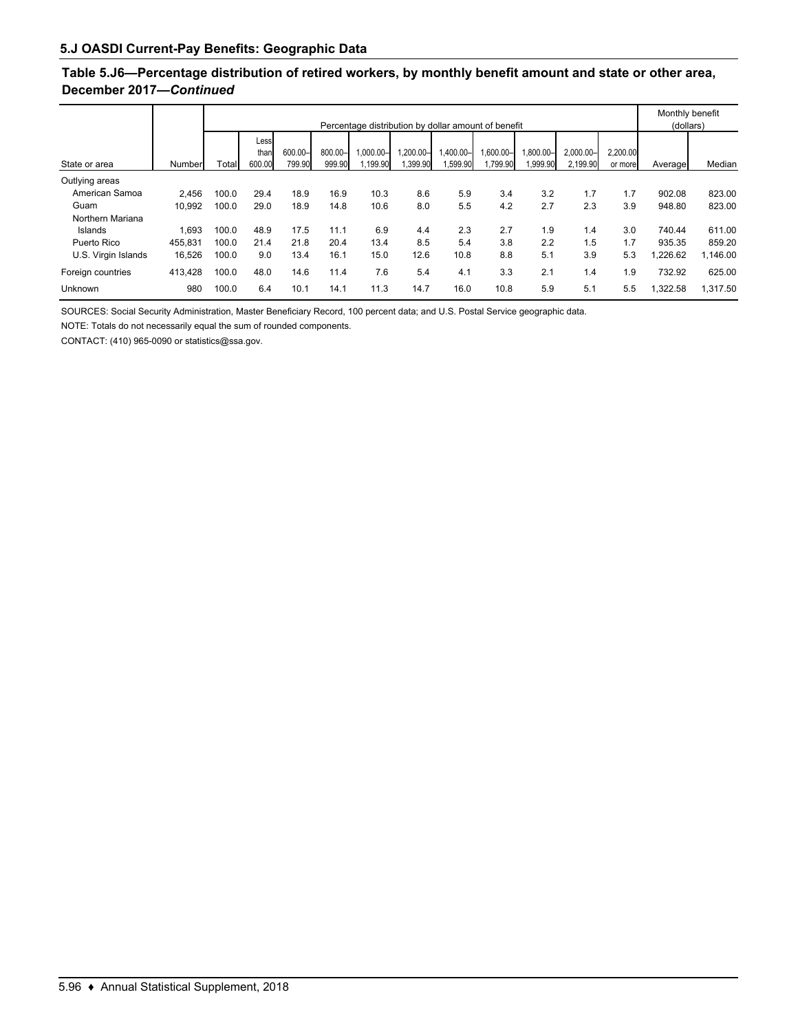### **Table 5.J6—Percentage distribution of retired workers, by monthly benefit amount and state or other area, December 2017—***Continued*

|                     |         |       | Percentage distribution by dollar amount of benefit |                   |                   |                         |                       |                       |                         |                      |                          |                     | Monthly benefit<br>(dollars) |          |
|---------------------|---------|-------|-----------------------------------------------------|-------------------|-------------------|-------------------------|-----------------------|-----------------------|-------------------------|----------------------|--------------------------|---------------------|------------------------------|----------|
| State or area       | Number  | Total | Less<br>than<br>600.00                              | 600.00-<br>799.90 | 800.00-<br>999.90 | $1.000.00 -$<br>,199.90 | 1.200.00-<br>1,399.90 | I.400.00–l<br>,599.90 | $.600.00 -$<br>1,799.90 | 1.800.00-<br>,999.90 | $2.000.00 -$<br>2.199.90 | 2.200.00<br>or more | Average                      | Median   |
| Outlying areas      |         |       |                                                     |                   |                   |                         |                       |                       |                         |                      |                          |                     |                              |          |
| American Samoa      | 2.456   | 100.0 | 29.4                                                | 18.9              | 16.9              | 10.3                    | 8.6                   | 5.9                   | 3.4                     | 3.2                  | 1.7                      | 1.7                 | 902.08                       | 823.00   |
| Guam                | 10.992  | 100.0 | 29.0                                                | 18.9              | 14.8              | 10.6                    | 8.0                   | 5.5                   | 4.2                     | 2.7                  | 2.3                      | 3.9                 | 948.80                       | 823.00   |
| Northern Mariana    |         |       |                                                     |                   |                   |                         |                       |                       |                         |                      |                          |                     |                              |          |
| Islands             | 1.693   | 100.0 | 48.9                                                | 17.5              | 11.1              | 6.9                     | 4.4                   | 2.3                   | 2.7                     | 1.9                  | 1.4                      | 3.0                 | 740.44                       | 611.00   |
| Puerto Rico         | 455.831 | 100.0 | 21.4                                                | 21.8              | 20.4              | 13.4                    | 8.5                   | 5.4                   | 3.8                     | 2.2                  | 1.5                      | 1.7                 | 935.35                       | 859.20   |
| U.S. Virgin Islands | 16.526  | 100.0 | 9.0                                                 | 13.4              | 16.1              | 15.0                    | 12.6                  | 10.8                  | 8.8                     | 5.1                  | 3.9                      | 5.3                 | ,226.62                      | 1,146.00 |
| Foreign countries   | 413,428 | 100.0 | 48.0                                                | 14.6              | 11.4              | 7.6                     | 5.4                   | 4.1                   | 3.3                     | 2.1                  | 1.4                      | 1.9                 | 732.92                       | 625.00   |
| Unknown             | 980     | 100.0 | 6.4                                                 | 10.1              | 14.1              | 11.3                    | 14.7                  | 16.0                  | 10.8                    | 5.9                  | 5.1                      | 5.5                 | ,322.58                      | 1.317.50 |

SOURCES: Social Security Administration, Master Beneficiary Record, 100 percent data; and U.S. Postal Service geographic data.

NOTE: Totals do not necessarily equal the sum of rounded components.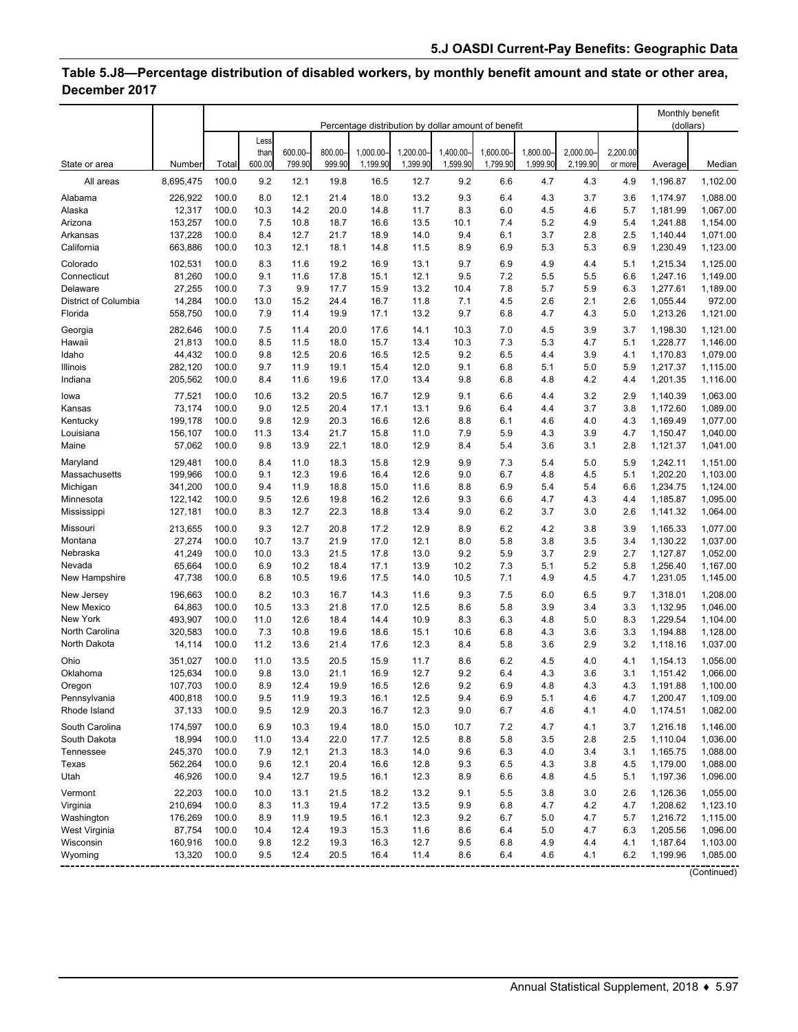# **Table 5.J8—Percentage distribution of disabled workers, by monthly benefit amount and state or other area, December 2017**

|                              |                   |                | Percentage distribution by dollar amount of benefit |                  |                  |                       |                       |                      |                       |                       |                      |                     | Monthly benefit<br>(dollars) |                      |
|------------------------------|-------------------|----------------|-----------------------------------------------------|------------------|------------------|-----------------------|-----------------------|----------------------|-----------------------|-----------------------|----------------------|---------------------|------------------------------|----------------------|
|                              |                   |                | Less                                                |                  |                  |                       |                       |                      |                       |                       |                      |                     |                              |                      |
| State or area                | Number            | Total          | than<br>600.00                                      | 600.00<br>799.90 | 800.00<br>999.90 | 1,000.00-<br>1,199.90 | 1,200.00-<br>1,399.90 | 1,400.00<br>1,599.90 | 1,600.00-<br>1,799.90 | 1.800.00-<br>1,999.90 | 2.000.00<br>2,199.90 | 2,200.00<br>or more | Average                      | Median               |
| All areas                    | 8,695,475         | 100.0          | 9.2                                                 | 12.1             | 19.8             | 16.5                  | 12.7                  | 9.2                  | 6.6                   | 4.7                   | 4.3                  | 4.9                 | 1,196.87                     | 1,102.00             |
| Alabama                      | 226,922           | 100.0          | 8.0                                                 | 12.1             | 21.4             | 18.0                  | 13.2                  | 9.3                  | 6.4                   | 4.3                   | 3.7                  | 3.6                 | 1,174.97                     | 1,088.00             |
| Alaska                       | 12,317            | 100.0          | 10.3                                                | 14.2             | 20.0             | 14.8                  | 11.7                  | 8.3                  | 6.0                   | 4.5                   | 4.6                  | 5.7                 | 1,181.99                     | 1,067.00             |
| Arizona                      | 153,257           | 100.0          | 7.5                                                 | 10.8             | 18.7             | 16.6                  | 13.5                  | 10.1                 | 7.4                   | 5.2                   | 4.9                  | 5.4                 | 1,241.88                     | 1,154.00             |
| Arkansas                     | 137,228           | 100.0          | 8.4                                                 | 12.7             | 21.7             | 18.9                  | 14.0                  | 9.4                  | 6.1                   | 3.7                   | 2.8                  | 2.5                 | 1,140.44                     | 1,071.00             |
| California                   | 663,886           | 100.0          | 10.3                                                | 12.1             | 18.1             | 14.8                  | 11.5                  | 8.9                  | 6.9                   | 5.3                   | 5.3                  | 6.9                 | 1,230.49                     | 1,123.00             |
| Colorado                     | 102,531           | 100.0          | 8.3                                                 | 11.6             | 19.2             | 16.9                  | 13.1                  | 9.7                  | 6.9                   | 4.9                   | 4.4                  | 5.1                 | 1,215.34                     | 1,125.00             |
| Connecticut                  | 81,260            | 100.0          | 9.1                                                 | 11.6             | 17.8             | 15.1                  | 12.1                  | 9.5                  | 7.2                   | 5.5                   | 5.5                  | 6.6                 | 1,247.16                     | 1,149.00             |
| Delaware                     | 27,255            | 100.0          | 7.3                                                 | 9.9              | 17.7             | 15.9                  | 13.2                  | 10.4                 | 7.8                   | 5.7                   | 5.9                  | 6.3                 | 1,277.61                     | 1,189.00             |
| District of Columbia         | 14,284            | 100.0          | 13.0                                                | 15.2             | 24.4             | 16.7                  | 11.8                  | 7.1                  | 4.5                   | 2.6                   | 2.1                  | 2.6                 | 1,055.44                     | 972.00               |
| Florida                      | 558,750           | 100.0          | 7.9                                                 | 11.4             | 19.9             | 17.1                  | 13.2                  | 9.7                  | 6.8                   | 4.7                   | 4.3                  | 5.0                 | 1,213.26                     | 1,121.00             |
| Georgia                      | 282,646           | 100.0          | 7.5                                                 | 11.4             | 20.0             | 17.6                  | 14.1                  | 10.3                 | 7.0                   | 4.5                   | 3.9                  | 3.7                 | 1,198.30                     | 1,121.00             |
| Hawaii                       | 21,813            | 100.0          | 8.5                                                 | 11.5             | 18.0             | 15.7                  | 13.4                  | 10.3                 | 7.3                   | 5.3                   | 4.7                  | 5.1                 | 1,228.77                     | 1,146.00             |
| Idaho                        | 44,432            | 100.0          | 9.8                                                 | 12.5             | 20.6             | 16.5                  | 12.5                  | 9.2                  | 6.5                   | 4.4                   | 3.9                  | 4.1                 | 1,170.83                     | 1,079.00             |
| Illinois                     | 282,120           | 100.0          | 9.7                                                 | 11.9             | 19.1             | 15.4                  | 12.0                  | 9.1                  | 6.8                   | 5.1                   | 5.0                  | 5.9                 | 1,217.37                     | 1,115.00             |
| Indiana                      | 205,562           | 100.0          | 8.4                                                 | 11.6             | 19.6             | 17.0                  | 13.4                  | 9.8                  | 6.8                   | 4.8                   | 4.2                  | 4.4                 | 1,201.35                     | 1,116.00             |
| lowa                         | 77,521            | 100.0          | 10.6                                                | 13.2             | 20.5             | 16.7                  | 12.9                  | 9.1                  | 6.6                   | 4.4                   | 3.2                  | 2.9                 | 1,140.39                     | 1,063.00             |
| Kansas                       | 73,174            | 100.0          | 9.0                                                 | 12.5             | 20.4             | 17.1                  | 13.1                  | 9.6                  | 6.4                   | 4.4                   | 3.7                  | 3.8                 | 1,172.60                     | 1,089.00             |
| Kentucky                     | 199,178           | 100.0          | 9.8                                                 | 12.9             | 20.3             | 16.6                  | 12.6                  | 8.8                  | 6.1                   | 4.6                   | 4.0                  | 4.3                 | 1,169.49                     | 1,077.00             |
| Louisiana                    | 156,107           | 100.0          | 11.3                                                | 13.4             | 21.7             | 15.8                  | 11.0                  | 7.9                  | 5.9                   | 4.3                   | 3.9                  | 4.7                 | 1,150.47                     | 1,040.00             |
| Maine                        | 57,062            | 100.0          | 9.8                                                 | 13.9             | 22.1             | 18.0                  | 12.9                  | 8.4                  | 5.4                   | 3.6                   | 3.1                  | 2.8                 | 1,121.37                     | 1,041.00             |
| Maryland                     | 129,481           | 100.0          | 8.4                                                 | 11.0             | 18.3             | 15.8                  | 12.9                  | 9.9                  | 7.3                   | 5.4                   | 5.0                  | 5.9                 | 1,242.11                     | 1,151.00             |
| Massachusetts                | 199,966           | 100.0          | 9.1                                                 | 12.3             | 19.6             | 16.4                  | 12.6                  | 9.0                  | 6.7                   | 4.8                   | 4.5                  | 5.1                 | 1,202.20                     | 1,103.00             |
| Michigan                     | 341,200           | 100.0          | 9.4                                                 | 11.9             | 18.8             | 15.0                  | 11.6                  | 8.8                  | 6.9                   | 5.4                   | 5.4                  | 6.6                 | 1,234.75                     | 1,124.00             |
| Minnesota                    | 122,142           | 100.0          | 9.5                                                 | 12.6             | 19.8             | 16.2                  | 12.6                  | 9.3                  | 6.6                   | 4.7                   | 4.3                  | 4.4                 | 1,185.87                     | 1,095.00             |
| Mississippi                  | 127,181           | 100.0          | 8.3                                                 | 12.7             | 22.3             | 18.8                  | 13.4                  | 9.0                  | 6.2                   | 3.7                   | 3.0                  | 2.6                 | 1,141.32                     | 1,064.00             |
| Missouri                     | 213,655           | 100.0          | 9.3                                                 | 12.7             | 20.8             | 17.2                  | 12.9                  | 8.9                  | 6.2                   | 4.2                   | 3.8                  | 3.9                 | 1,165.33                     | 1,077.00             |
| Montana                      | 27,274            | 100.0          | 10.7                                                | 13.7             | 21.9             | 17.0                  | 12.1                  | 8.0                  | 5.8                   | 3.8                   | 3.5                  | 3.4                 | 1,130.22                     | 1,037.00             |
| Nebraska                     | 41,249            | 100.0          | 10.0                                                | 13.3             | 21.5             | 17.8                  | 13.0                  | 9.2                  | 5.9                   | 3.7                   | 2.9                  | 2.7                 | 1,127.87                     | 1,052.00             |
| Nevada                       | 65,664            | 100.0          | 6.9                                                 | 10.2             | 18.4             | 17.1                  | 13.9                  | 10.2                 | 7.3                   | 5.1                   | 5.2                  | 5.8                 | 1,256.40                     | 1,167.00             |
| New Hampshire                | 47,738            | 100.0          | 6.8                                                 | 10.5             | 19.6             | 17.5                  | 14.0                  | 10.5                 | 7.1                   | 4.9                   | 4.5                  | 4.7                 | 1,231.05                     | 1,145.00             |
| New Jersey                   | 196,663           | 100.0          | 8.2                                                 | 10.3             | 16.7             | 14.3                  | 11.6                  | 9.3                  | 7.5                   | 6.0                   | 6.5                  | 9.7                 | 1,318.01                     | 1,208.00             |
| New Mexico                   | 64,863            | 100.0          | 10.5                                                | 13.3             | 21.8             | 17.0                  | 12.5                  | 8.6                  | 5.8                   | 3.9                   | 3.4                  | 3.3                 | 1,132.95                     | 1,046.00             |
| New York                     | 493,907           | 100.0          | 11.0                                                | 12.6             | 18.4             | 14.4                  | 10.9                  | 8.3                  | 6.3                   | 4.8                   | 5.0                  | 8.3                 | 1,229.54                     | 1,104.00             |
| North Carolina               | 320,583           | 100.0          | 7.3                                                 | 10.8             | 19.6             | 18.6                  | 15.1                  | 10.6                 | 6.8                   | 4.3                   | 3.6                  | 3.3                 | 1,194.88                     | 1,128.00             |
| North Dakota                 | 14,114            | 100.0          | 11.2                                                | 13.6             | 21.4             | 17.6                  | 12.3                  | 8.4                  | 5.8                   | 3.6                   | 2.9                  | 3.2                 | 1,118.16                     | 1,037.00             |
| Ohio                         | 351,027           | 100.0          | 11.0                                                | 13.5             | 20.5             | 15.9                  | 11.7                  | 8.6                  | 6.2                   | 4.5                   | 4.0                  | 4.1                 | 1,154.13                     | 1,056.00             |
| Oklahoma                     | 125,634           | 100.0          | 9.8                                                 | 13.0             | 21.1             | 16.9                  | 12.7                  | 9.2                  | 6.4                   | 4.3                   | 3.6                  | 3.1                 | 1,151.42                     | 1,066.00             |
| Oregon                       | 107.703           | 100.0          | 8.9                                                 | 12.4             | 19.9             | 16.5                  | 12.6                  | 9.2                  | 6.9                   | 4.8                   | 4.3                  | 4.3                 | 1,191.88                     | 1,100.00             |
| Pennsylvania<br>Rhode Island | 400,818<br>37,133 | 100.0<br>100.0 | 9.5<br>9.5                                          | 11.9<br>12.9     | 19.3<br>20.3     | 16.1<br>16.7          | 12.5<br>12.3          | 9.4<br>9.0           | 6.9<br>6.7            | 5.1<br>4.6            | 4.6<br>4.1           | 4.7<br>4.0          | 1,200.47<br>1,174.51         | 1,109.00<br>1,082.00 |
|                              |                   |                |                                                     |                  |                  |                       |                       |                      |                       |                       |                      |                     |                              |                      |
| South Carolina               | 174,597           | 100.0          | 6.9                                                 | 10.3             | 19.4             | 18.0                  | 15.0                  | 10.7                 | 7.2                   | 4.7                   | 4.1                  | 3.7                 | 1,216.18                     | 1,146.00             |
| South Dakota                 | 18,994            | 100.0          | 11.0                                                | 13.4             | 22.0             | 17.7                  | 12.5                  | 8.8                  | 5.8                   | 3.5                   | 2.8                  | 2.5                 | 1,110.04                     | 1,036.00             |
| Tennessee                    | 245,370           | 100.0          | 7.9                                                 | 12.1             | 21.3             | 18.3                  | 14.0                  | 9.6                  | 6.3                   | 4.0                   | 3.4                  | 3.1                 | 1,165.75                     | 1,088.00             |
| Texas                        | 562,264<br>46,926 | 100.0          | 9.6                                                 | 12.1             | 20.4             | 16.6                  | 12.8                  | 9.3                  | 6.5                   | 4.3                   | 3.8                  | 4.5                 | 1,179.00                     | 1,088.00             |
| Utah                         |                   | 100.0          | 9.4                                                 | 12.7             | 19.5             | 16.1                  | 12.3                  | 8.9                  | 6.6                   | 4.8                   | 4.5                  | 5.1                 | 1,197.36                     | 1,096.00             |
| Vermont                      | 22,203            | 100.0          | 10.0                                                | 13.1             | 21.5             | 18.2                  | 13.2                  | 9.1                  | $5.5$                 | 3.8                   | 3.0                  | 2.6                 | 1,126.36                     | 1,055.00             |
| Virginia                     | 210,694           | 100.0          | 8.3                                                 | 11.3             | 19.4             | 17.2                  | 13.5                  | 9.9                  | 6.8                   | 4.7                   | 4.2                  | 4.7                 | 1,208.62                     | 1,123.10             |
| Washington                   | 176,269           | 100.0          | 8.9                                                 | 11.9             | 19.5             | 16.1                  | 12.3                  | 9.2                  | 6.7                   | 5.0                   | 4.7                  | 5.7                 | 1,216.72                     | 1,115.00             |
| West Virginia<br>Wisconsin   | 87,754<br>160,916 | 100.0<br>100.0 | 10.4<br>9.8                                         | 12.4<br>12.2     | 19.3<br>19.3     | 15.3<br>16.3          | 11.6<br>12.7          | 8.6<br>9.5           | 6.4<br>6.8            | 5.0<br>4.9            | 4.7<br>4.4           | 6.3<br>4.1          | 1,205.56<br>1,187.64         | 1,096.00<br>1,103.00 |
| Wyoming                      | 13,320            | 100.0          | 9.5                                                 | 12.4             | 20.5             | 16.4                  | 11.4                  | 8.6                  | 6.4                   | 4.6                   | 4.1                  | 6.2                 | 1,199.96                     | 1,085.00             |
|                              |                   |                |                                                     |                  |                  |                       |                       |                      |                       |                       |                      |                     |                              |                      |
|                              |                   |                |                                                     |                  |                  |                       |                       |                      |                       |                       |                      |                     |                              | (Continued)          |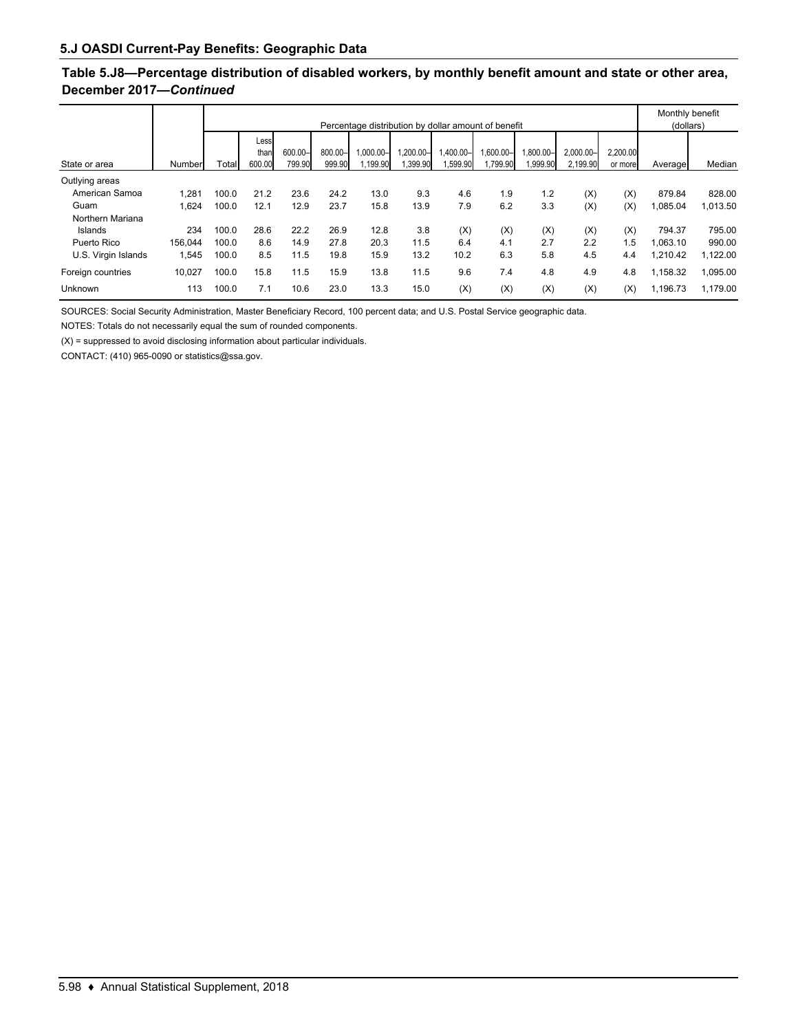### **Table 5.J8—Percentage distribution of disabled workers, by monthly benefit amount and state or other area, December 2017—***Continued*

|                     |         |       | Percentage distribution by dollar amount of benefit |                   |                   |                        |                         |                      |                       |                    |                          |                     | Monthly benefit<br>(dollars) |          |  |
|---------------------|---------|-------|-----------------------------------------------------|-------------------|-------------------|------------------------|-------------------------|----------------------|-----------------------|--------------------|--------------------------|---------------------|------------------------------|----------|--|
| State or area       | Number  | Total | Less<br>than<br>600.00                              | 600.00-<br>799.90 | 800.00-<br>999.90 | $-00.000$ .<br>.199.90 | $,200.00 -$<br>1,399.90 | 1,400.00-<br>.599.90 | 1,600.00-<br>1,799.90 | .800.00-<br>999.90 | $2.000.00 -$<br>2,199.90 | 2,200.00<br>or more | Average                      | Median   |  |
| Outlying areas      |         |       |                                                     |                   |                   |                        |                         |                      |                       |                    |                          |                     |                              |          |  |
| American Samoa      | ,281    | 100.0 | 21.2                                                | 23.6              | 24.2              | 13.0                   | 9.3                     | 4.6                  | 1.9                   | 1.2                | (X)                      | (X)                 | 879.84                       | 828.00   |  |
| Guam                | .624    | 100.0 | 12.1                                                | 12.9              | 23.7              | 15.8                   | 13.9                    | 7.9                  | 6.2                   | 3.3                | (X)                      | (X)                 | .085.04                      | 1,013.50 |  |
| Northern Mariana    |         |       |                                                     |                   |                   |                        |                         |                      |                       |                    |                          |                     |                              |          |  |
| Islands             | 234     | 100.0 | 28.6                                                | 22.2              | 26.9              | 12.8                   | 3.8                     | (X)                  | (X)                   | (X)                | (X)                      | (X)                 | 794.37                       | 795.00   |  |
| Puerto Rico         | 156.044 | 100.0 | 8.6                                                 | 14.9              | 27.8              | 20.3                   | 11.5                    | 6.4                  | 4.1                   | 2.7                | 2.2                      | 1.5                 | .063.10                      | 990.00   |  |
| U.S. Virgin Islands | .545    | 100.0 | 8.5                                                 | 11.5              | 19.8              | 15.9                   | 13.2                    | 10.2                 | 6.3                   | 5.8                | 4.5                      | 4.4                 | 1,210.42                     | 1,122.00 |  |
| Foreign countries   | 10.027  | 100.0 | 15.8                                                | 11.5              | 15.9              | 13.8                   | 11.5                    | 9.6                  | 7.4                   | 4.8                | 4.9                      | 4.8                 | 1,158.32                     | 1,095.00 |  |
| Unknown             | 113     | 100.0 | 7.1                                                 | 10.6              | 23.0              | 13.3                   | 15.0                    | (X)                  | (X)                   | (X)                | (X)                      | (X)                 | 1.196.73                     | 1.179.00 |  |

SOURCES: Social Security Administration, Master Beneficiary Record, 100 percent data; and U.S. Postal Service geographic data.

NOTES: Totals do not necessarily equal the sum of rounded components.

 $(X)$  = suppressed to avoid disclosing information about particular individuals.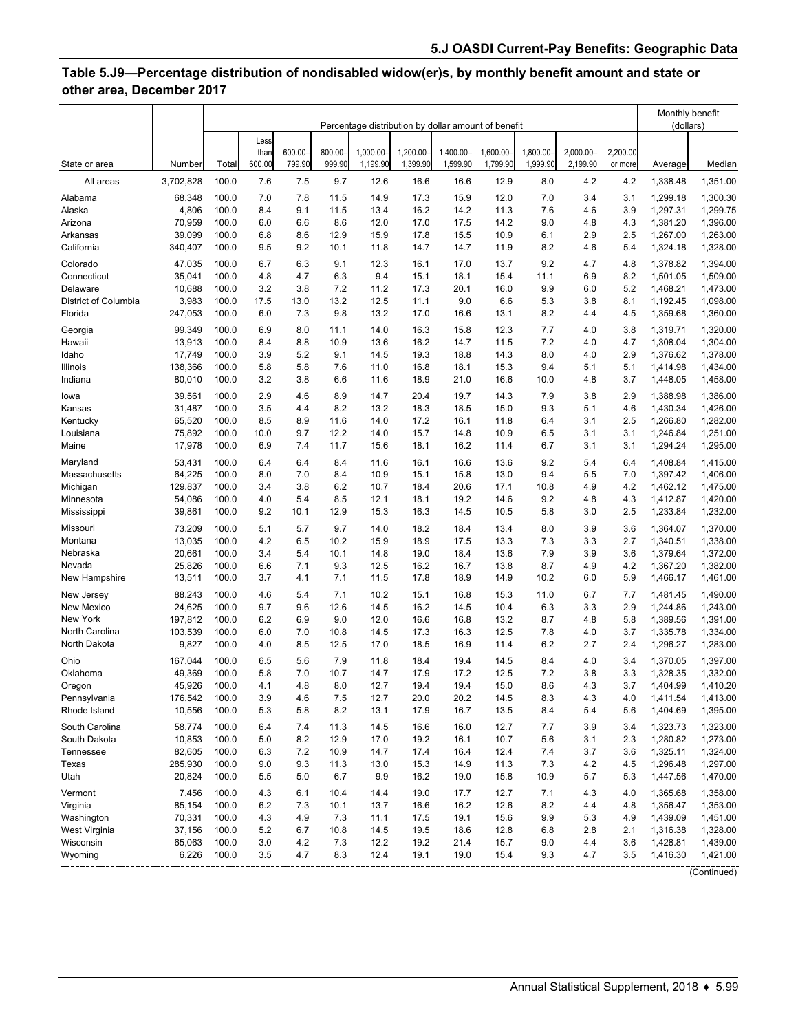# **Table 5.J9—Percentage distribution of nondisabled widow(er)s, by monthly benefit amount and state or other area, December 2017**

|                      |           |       | Percentage distribution by dollar amount of benefit |                  |                   |                       |                       |                       |                       |                      |                      |                     | Monthly benefit<br>(dollars) |             |
|----------------------|-----------|-------|-----------------------------------------------------|------------------|-------------------|-----------------------|-----------------------|-----------------------|-----------------------|----------------------|----------------------|---------------------|------------------------------|-------------|
|                      |           |       | Less                                                |                  |                   |                       |                       |                       |                       |                      |                      |                     |                              |             |
| State or area        | Number    | Total | than<br>600.00                                      | 600.00<br>799.90 | 800.00-<br>999.90 | 1,000.00-<br>1,199.90 | 1,200.00-<br>1,399.90 | 1,400.00-<br>1,599.90 | 1,600.00-<br>1,799.90 | 1,800.00<br>1,999.90 | 2,000.00<br>2,199.90 | 2,200.00<br>or more | Average                      | Median      |
| All areas            | 3,702,828 | 100.0 | 7.6                                                 | 7.5              | 9.7               | 12.6                  | 16.6                  | 16.6                  | 12.9                  | 8.0                  | 4.2                  | 4.2                 | 1,338.48                     | 1,351.00    |
| Alabama              | 68,348    | 100.0 | 7.0                                                 | 7.8              | 11.5              | 14.9                  | 17.3                  | 15.9                  | 12.0                  | 7.0                  | 3.4                  | 3.1                 | 1,299.18                     | 1,300.30    |
| Alaska               | 4,806     | 100.0 | 8.4                                                 | 9.1              | 11.5              | 13.4                  | 16.2                  | 14.2                  | 11.3                  | 7.6                  | 4.6                  | 3.9                 | 1,297.31                     | 1,299.75    |
| Arizona              | 70,959    | 100.0 | 6.0                                                 | 6.6              | 8.6               | 12.0                  | 17.0                  | 17.5                  | 14.2                  | 9.0                  | 4.8                  | 4.3                 | 1,381.20                     | 1,396.00    |
| Arkansas             | 39.099    | 100.0 | 6.8                                                 | 8.6              | 12.9              | 15.9                  | 17.8                  | 15.5                  | 10.9                  | 6.1                  | 2.9                  | 2.5                 | 1,267.00                     | 1,263.00    |
| California           | 340,407   | 100.0 | 9.5                                                 | 9.2              | 10.1              | 11.8                  | 14.7                  | 14.7                  | 11.9                  | 8.2                  | 4.6                  | 5.4                 | 1,324.18                     | 1,328.00    |
| Colorado             | 47,035    | 100.0 | 6.7                                                 | 6.3              | 9.1               | 12.3                  | 16.1                  | 17.0                  | 13.7                  | 9.2                  | 4.7                  | 4.8                 | 1,378.82                     | 1,394.00    |
| Connecticut          | 35,041    | 100.0 | 4.8                                                 | 4.7              | 6.3               | 9.4                   | 15.1                  | 18.1                  | 15.4                  | 11.1                 | 6.9                  | 8.2                 | 1,501.05                     | 1,509.00    |
| Delaware             | 10,688    | 100.0 | 3.2                                                 | 3.8              | 7.2               | 11.2                  | 17.3                  | 20.1                  | 16.0                  | 9.9                  | 6.0                  | 5.2                 | 1,468.21                     | 1,473.00    |
| District of Columbia | 3,983     | 100.0 | 17.5                                                | 13.0             | 13.2              | 12.5                  | 11.1                  | 9.0                   | 6.6                   | 5.3                  | 3.8                  | 8.1                 | 1,192.45                     | 1,098.00    |
| Florida              | 247,053   | 100.0 | 6.0                                                 | 7.3              | 9.8               | 13.2                  | 17.0                  | 16.6                  | 13.1                  | 8.2                  | 4.4                  | 4.5                 | 1,359.68                     | 1,360.00    |
| Georgia              | 99,349    | 100.0 | 6.9                                                 | 8.0              | 11.1              | 14.0                  | 16.3                  | 15.8                  | 12.3                  | 7.7                  | 4.0                  | 3.8                 | 1,319.71                     | 1,320.00    |
| Hawaii               | 13,913    | 100.0 | 8.4                                                 | 8.8              | 10.9              | 13.6                  | 16.2                  | 14.7                  | 11.5                  | 7.2                  | 4.0                  | 4.7                 | 1,308.04                     | 1,304.00    |
| Idaho                | 17,749    | 100.0 | 3.9                                                 | 5.2              | 9.1               | 14.5                  | 19.3                  | 18.8                  | 14.3                  | 8.0                  | 4.0                  | 2.9                 | 1,376.62                     | 1,378.00    |
| Illinois             | 138,366   | 100.0 | 5.8                                                 | 5.8              | 7.6               | 11.0                  | 16.8                  | 18.1                  | 15.3                  | 9.4                  | 5.1                  | 5.1                 | 1,414.98                     | 1,434.00    |
| Indiana              | 80,010    | 100.0 | 3.2                                                 | 3.8              | 6.6               | 11.6                  | 18.9                  | 21.0                  | 16.6                  | 10.0                 | 4.8                  | 3.7                 | 1,448.05                     | 1,458.00    |
| lowa                 | 39,561    | 100.0 | 2.9                                                 | 4.6              | 8.9               | 14.7                  | 20.4                  | 19.7                  | 14.3                  | 7.9                  | 3.8                  | 2.9                 | 1,388.98                     | 1,386.00    |
| Kansas               | 31,487    | 100.0 | 3.5                                                 | 4.4              | 8.2               | 13.2                  | 18.3                  | 18.5                  | 15.0                  | 9.3                  | 5.1                  | 4.6                 | 1,430.34                     | 1,426.00    |
| Kentucky             | 65,520    | 100.0 | 8.5                                                 | 8.9              | 11.6              | 14.0                  | 17.2                  | 16.1                  | 11.8                  | 6.4                  | 3.1                  | 2.5                 | 1,266.80                     | 1,282.00    |
| Louisiana            | 75,892    | 100.0 | 10.0                                                | 9.7              | 12.2              | 14.0                  | 15.7                  | 14.8                  | 10.9                  | 6.5                  | 3.1                  | 3.1                 | 1,246.84                     | 1,251.00    |
| Maine                | 17,978    | 100.0 | 6.9                                                 | 7.4              | 11.7              | 15.6                  | 18.1                  | 16.2                  | 11.4                  | 6.7                  | 3.1                  | 3.1                 | 1,294.24                     | 1,295.00    |
| Maryland             | 53,431    | 100.0 | 6.4                                                 | 6.4              | 8.4               | 11.6                  | 16.1                  | 16.6                  | 13.6                  | 9.2                  | 5.4                  | 6.4                 | 1,408.84                     | 1,415.00    |
| Massachusetts        | 64,225    | 100.0 | 8.0                                                 | 7.0              | 8.4               | 10.9                  | 15.1                  | 15.8                  | 13.0                  | 9.4                  | 5.5                  | 7.0                 | 1,397.42                     | 1,406.00    |
| Michigan             | 129,837   | 100.0 | 3.4                                                 | 3.8              | 6.2               | 10.7                  | 18.4                  | 20.6                  | 17.1                  | 10.8                 | 4.9                  | 4.2                 | 1,462.12                     | 1,475.00    |
| Minnesota            | 54,086    | 100.0 | 4.0                                                 | 5.4              | 8.5               | 12.1                  | 18.1                  | 19.2                  | 14.6                  | 9.2                  | 4.8                  | 4.3                 | 1,412.87                     | 1,420.00    |
| Mississippi          | 39,861    | 100.0 | 9.2                                                 | 10.1             | 12.9              | 15.3                  | 16.3                  | 14.5                  | 10.5                  | 5.8                  | 3.0                  | 2.5                 | 1,233.84                     | 1,232.00    |
| Missouri             | 73,209    | 100.0 | 5.1                                                 | 5.7              | 9.7               | 14.0                  | 18.2                  | 18.4                  | 13.4                  | 8.0                  | 3.9                  | 3.6                 | 1,364.07                     | 1,370.00    |
| Montana              | 13,035    | 100.0 | 4.2                                                 | 6.5              | 10.2              | 15.9                  | 18.9                  | 17.5                  | 13.3                  | 7.3                  | 3.3                  | 2.7                 | 1,340.51                     | 1,338.00    |
| Nebraska             | 20,661    | 100.0 | 3.4                                                 | 5.4              | 10.1              | 14.8                  | 19.0                  | 18.4                  | 13.6                  | 7.9                  | 3.9                  | 3.6                 | 1,379.64                     | 1,372.00    |
| Nevada               | 25,826    | 100.0 | 6.6                                                 | 7.1              | 9.3               | 12.5                  | 16.2                  | 16.7                  | 13.8                  | 8.7                  | 4.9                  | 4.2                 | 1,367.20                     | 1,382.00    |
| New Hampshire        | 13,511    | 100.0 | 3.7                                                 | 4.1              | 7.1               | 11.5                  | 17.8                  | 18.9                  | 14.9                  | 10.2                 | 6.0                  | 5.9                 | 1,466.17                     | 1,461.00    |
| New Jersey           | 88,243    | 100.0 | 4.6                                                 | 5.4              | 7.1               | 10.2                  | 15.1                  | 16.8                  | 15.3                  | 11.0                 | 6.7                  | 7.7                 | 1,481.45                     | 1,490.00    |
| New Mexico           | 24,625    | 100.0 | 9.7                                                 | 9.6              | 12.6              | 14.5                  | 16.2                  | 14.5                  | 10.4                  | 6.3                  | 3.3                  | 2.9                 | 1,244.86                     | 1,243.00    |
| New York             | 197,812   | 100.0 | 6.2                                                 | 6.9              | 9.0               | 12.0                  | 16.6                  | 16.8                  | 13.2                  | 8.7                  | 4.8                  | 5.8                 | 1,389.56                     | 1,391.00    |
| North Carolina       | 103,539   | 100.0 | 6.0                                                 | 7.0              | 10.8              | 14.5                  | 17.3                  | 16.3                  | 12.5                  | 7.8                  | 4.0                  | 3.7                 | 1,335.78                     | 1,334.00    |
| North Dakota         | 9,827     | 100.0 | 4.0                                                 | 8.5              | 12.5              | 17.0                  | 18.5                  | 16.9                  | 11.4                  | 6.2                  | 2.7                  | 2.4                 | 1,296.27                     | 1,283.00    |
| Ohio                 | 167,044   | 100.0 | 6.5                                                 | 5.6              | 7.9               | 11.8                  | 18.4                  | 19.4                  | 14.5                  | 8.4                  | 4.0                  | 3.4                 | 1,370.05                     | 1,397.00    |
| Oklahoma             | 49,369    | 100.0 | 5.8                                                 | 7.0              | 10.7              | 14.7                  | 17.9                  | 17.2                  | 12.5                  | 7.2                  | 3.8                  | 3.3                 | 1,328.35                     | 1,332.00    |
| Oregon               | 45,926    | 100.0 | 4.1                                                 | 4.8              | 8.0               | 12.7                  | 19.4                  | 19.4                  | 15.0                  | 8.6                  | 4.3                  | 3.7                 | 1,404.99                     | 1,410.20    |
| Pennsylvania         | 176,542   | 100.0 | 3.9                                                 | 4.6              | 7.5               | 12.7                  | 20.0                  | 20.2                  | 14.5                  | 8.3                  | 4.3                  | 4.0                 | 1,411.54                     | 1,413.00    |
| Rhode Island         | 10,556    | 100.0 | 5.3                                                 | 5.8              | 8.2               | 13.1                  | 17.9                  | 16.7                  | 13.5                  | 8.4                  | 5.4                  | 5.6                 | 1,404.69                     | 1,395.00    |
| South Carolina       | 58,774    | 100.0 | 6.4                                                 | 7.4              | 11.3              | 14.5                  | 16.6                  | 16.0                  | 12.7                  | 7.7                  | 3.9                  | 3.4                 | 1,323.73                     | 1,323.00    |
| South Dakota         | 10,853    | 100.0 | 5.0                                                 | 8.2              | 12.9              | 17.0                  | 19.2                  | 16.1                  | 10.7                  | 5.6                  | 3.1                  | 2.3                 | 1,280.82                     | 1,273.00    |
| Tennessee            | 82,605    | 100.0 | 6.3                                                 | 7.2              | 10.9              | 14.7                  | 17.4                  | 16.4                  | 12.4                  | 7.4                  | 3.7                  | 3.6                 | 1,325.11                     | 1,324.00    |
| Texas                | 285,930   | 100.0 | 9.0                                                 | 9.3              | 11.3              | 13.0                  | 15.3                  | 14.9                  | 11.3                  | 7.3                  | 4.2                  | 4.5                 | 1,296.48                     | 1,297.00    |
| Utah                 | 20,824    | 100.0 | 5.5                                                 | 5.0              | 6.7               | 9.9                   | 16.2                  | 19.0                  | 15.8                  | 10.9                 | 5.7                  | 5.3                 | 1,447.56                     | 1,470.00    |
| Vermont              | 7,456     | 100.0 | 4.3                                                 | 6.1              | 10.4              | 14.4                  | 19.0                  | 17.7                  | 12.7                  | 7.1                  | 4.3                  | 4.0                 | 1,365.68                     | 1,358.00    |
| Virginia             | 85,154    | 100.0 | 6.2                                                 | 7.3              | 10.1              | 13.7                  | 16.6                  | 16.2                  | 12.6                  | 8.2                  | 4.4                  | 4.8                 | 1,356.47                     | 1,353.00    |
| Washington           | 70,331    | 100.0 | 4.3                                                 | 4.9              | 7.3               | 11.1                  | 17.5                  | 19.1                  | 15.6                  | 9.9                  | 5.3                  | 4.9                 | 1,439.09                     | 1,451.00    |
| West Virginia        | 37,156    | 100.0 | 5.2                                                 | 6.7              | 10.8              | 14.5                  | 19.5                  | 18.6                  | 12.8                  | 6.8                  | 2.8                  | 2.1                 | 1,316.38                     | 1,328.00    |
| Wisconsin            | 65,063    | 100.0 | 3.0                                                 | 4.2              | 7.3               | 12.2                  | 19.2                  | 21.4                  | 15.7                  | 9.0                  | 4.4                  | 3.6                 | 1,428.81                     | 1,439.00    |
| Wyoming              | 6,226     | 100.0 | 3.5                                                 | 4.7              | 8.3               | 12.4                  | 19.1                  | 19.0                  | 15.4                  | 9.3                  | 4.7                  | 3.5                 | 1,416.30                     | 1,421.00    |
|                      |           |       |                                                     |                  |                   |                       |                       |                       |                       |                      |                      |                     |                              | (Continued) |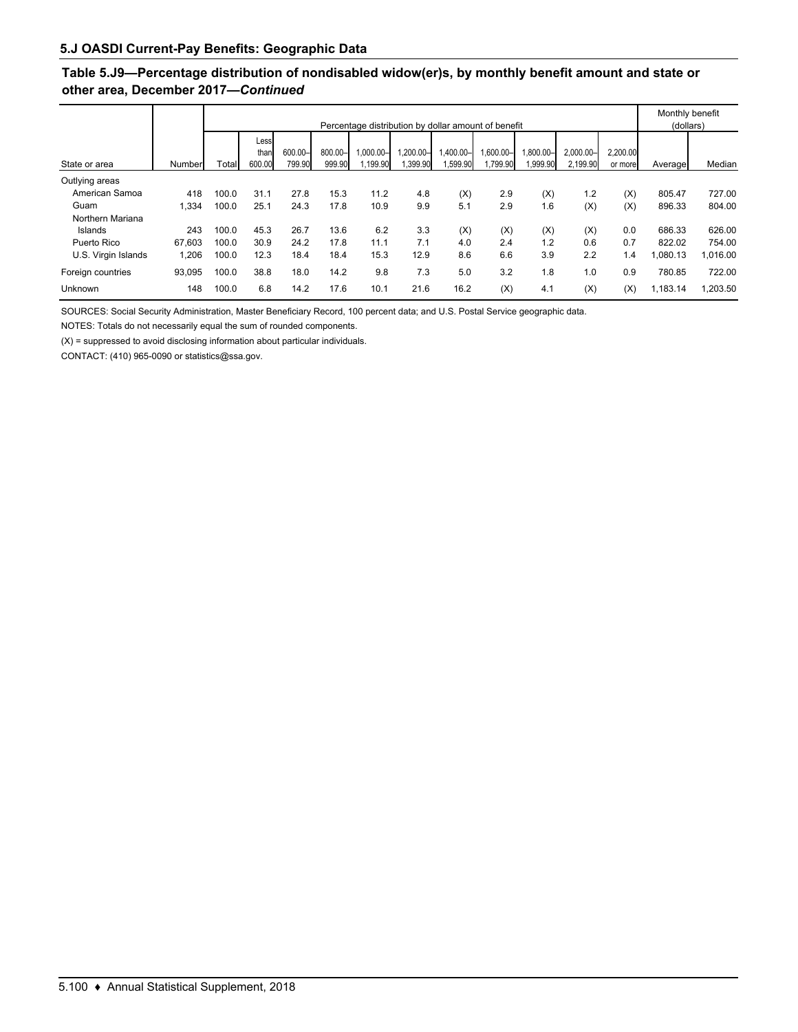# **Table 5.J9—Percentage distribution of nondisabled widow(er)s, by monthly benefit amount and state or other area, December 2017—***Continued*

|                     |        |       |                        |                   |                   |                          |                     |                      | Percentage distribution by dollar amount of benefit |                      |                          |                     | Monthly benefit<br>(dollars) |          |
|---------------------|--------|-------|------------------------|-------------------|-------------------|--------------------------|---------------------|----------------------|-----------------------------------------------------|----------------------|--------------------------|---------------------|------------------------------|----------|
| State or area       | Number | Total | Less<br>than<br>600.00 | 600.00-<br>799.90 | 800.00-<br>999.90 | $1.000.00 -$<br>1,199.90 | -00.00,<br>1,399.90 | 1,400.00-<br>,599.90 | $,600.00 -$<br>1,799.90                             | 1.800.00-<br>,999.90 | $2.000.00 -$<br>2.199.90 | 2.200.00<br>or more | Average                      | Median   |
| Outlying areas      |        |       |                        |                   |                   |                          |                     |                      |                                                     |                      |                          |                     |                              |          |
| American Samoa      | 418    | 100.0 | 31.1                   | 27.8              | 15.3              | 11.2                     | 4.8                 | (X)                  | 2.9                                                 | (X)                  | 1.2                      | (X)                 | 805.47                       | 727.00   |
| Guam                | 1.334  | 100.0 | 25.1                   | 24.3              | 17.8              | 10.9                     | 9.9                 | 5.1                  | 2.9                                                 | 1.6                  | (X)                      | (X)                 | 896.33                       | 804.00   |
| Northern Mariana    |        |       |                        |                   |                   |                          |                     |                      |                                                     |                      |                          |                     |                              |          |
| Islands             | 243    | 100.0 | 45.3                   | 26.7              | 13.6              | 6.2                      | 3.3                 | (X)                  | (X)                                                 | (X)                  | (X)                      | 0.0                 | 686.33                       | 626.00   |
| Puerto Rico         | 67.603 | 100.0 | 30.9                   | 24.2              | 17.8              | 11.1                     | 7.1                 | 4.0                  | 2.4                                                 | 1.2                  | 0.6                      | 0.7                 | 822.02                       | 754.00   |
| U.S. Virgin Islands | 1,206  | 100.0 | 12.3                   | 18.4              | 18.4              | 15.3                     | 12.9                | 8.6                  | 6.6                                                 | 3.9                  | 2.2                      | 1.4                 | .080.13                      | 1,016.00 |
| Foreign countries   | 93.095 | 100.0 | 38.8                   | 18.0              | 14.2              | 9.8                      | 7.3                 | 5.0                  | 3.2                                                 | 1.8                  | 1.0                      | 0.9                 | 780.85                       | 722.00   |
| Unknown             | 148    | 100.0 | 6.8                    | 14.2              | 17.6              | 10.1                     | 21.6                | 16.2                 | (X)                                                 | 4.1                  | (X)                      | (X)                 | 1,183.14                     | 1.203.50 |

SOURCES: Social Security Administration, Master Beneficiary Record, 100 percent data; and U.S. Postal Service geographic data.

NOTES: Totals do not necessarily equal the sum of rounded components.

 $(X)$  = suppressed to avoid disclosing information about particular individuals.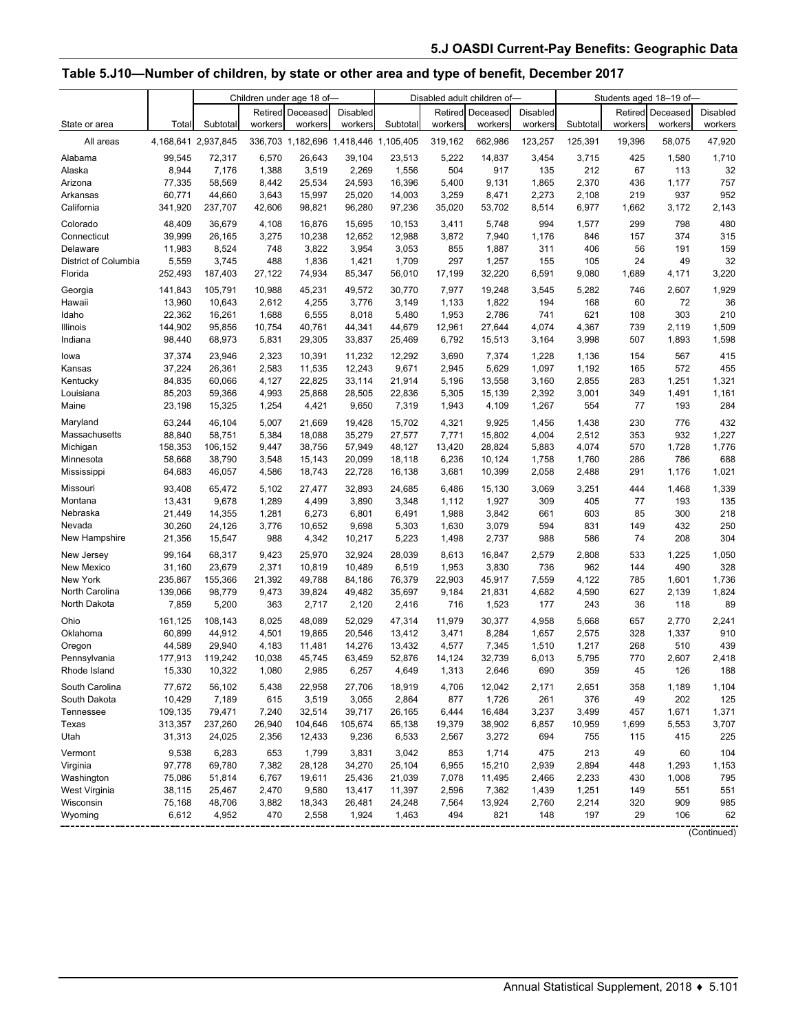# **Table 5.J10—Number of children, by state or other area and type of benefit, December 2017**

|                      |                     | Children under age 18 of- |         |                                       |                 |          | Disabled adult children of- |          | Students aged 18-19 of- |          |         |          |          |
|----------------------|---------------------|---------------------------|---------|---------------------------------------|-----------------|----------|-----------------------------|----------|-------------------------|----------|---------|----------|----------|
|                      |                     |                           |         | <b>Retired Deceased</b>               | <b>Disabled</b> |          | Retired                     | Deceased | Disabled                |          | Retired | Deceased | Disabled |
| State or area        | Total               | Subtotal                  | workers | workers                               | workers         | Subtotal | workers                     | workers  | workers                 | Subtotal | workers | workers  | workers  |
| All areas            | 4,168,641 2,937,845 |                           |         | 336,703 1,182,696 1,418,446 1,105,405 |                 |          | 319,162                     | 662,986  | 123,257                 | 125,391  | 19,396  | 58,075   | 47,920   |
| Alabama              | 99,545              | 72,317                    | 6,570   | 26,643                                | 39,104          | 23,513   | 5,222                       | 14,837   | 3,454                   | 3,715    | 425     | 1,580    | 1,710    |
| Alaska               | 8,944               | 7,176                     | 1,388   | 3,519                                 | 2,269           | 1,556    | 504                         | 917      | 135                     | 212      | 67      | 113      | 32       |
| Arizona              | 77,335              | 58,569                    | 8,442   | 25,534                                | 24,593          | 16,396   | 5,400                       | 9,131    | 1,865                   | 2,370    | 436     | 1,177    | 757      |
| Arkansas             | 60,771              | 44,660                    | 3,643   | 15,997                                | 25,020          | 14,003   | 3,259                       | 8,471    | 2,273                   | 2,108    | 219     | 937      | 952      |
| California           | 341,920             | 237,707                   | 42,606  | 98,821                                | 96,280          | 97,236   | 35,020                      | 53,702   | 8,514                   | 6,977    | 1,662   | 3,172    | 2,143    |
| Colorado             | 48,409              | 36,679                    | 4,108   | 16,876                                | 15,695          | 10.153   | 3,411                       | 5,748    | 994                     | 1,577    | 299     | 798      | 480      |
| Connecticut          | 39,999              | 26,165                    | 3,275   | 10,238                                | 12,652          | 12,988   | 3,872                       | 7,940    | 1,176                   | 846      | 157     | 374      | 315      |
| Delaware             | 11,983              | 8,524                     | 748     | 3,822                                 | 3,954           | 3,053    | 855                         | 1,887    | 311                     | 406      | 56      | 191      | 159      |
| District of Columbia | 5,559               | 3,745                     | 488     | 1,836                                 | 1,421           | 1,709    | 297                         | 1,257    | 155                     | 105      | 24      | 49       | 32       |
| Florida              | 252,493             | 187,403                   | 27,122  | 74,934                                | 85,347          | 56,010   | 17,199                      | 32,220   | 6,591                   | 9,080    | 1,689   | 4,171    | 3,220    |
| Georgia              | 141,843             | 105,791                   | 10,988  | 45,231                                | 49,572          | 30,770   | 7,977                       | 19,248   | 3,545                   | 5,282    | 746     | 2,607    | 1,929    |
| Hawaii               | 13,960              | 10,643                    | 2,612   | 4,255                                 | 3,776           | 3,149    | 1,133                       | 1,822    | 194                     | 168      | 60      | 72       | 36       |
| Idaho                | 22,362              | 16,261                    | 1,688   | 6,555                                 | 8,018           | 5,480    | 1,953                       | 2,786    | 741                     | 621      | 108     | 303      | 210      |
| Illinois             | 144,902             | 95,856                    | 10,754  | 40,761                                | 44,341          | 44,679   | 12,961                      | 27,644   | 4,074                   | 4,367    | 739     | 2,119    | 1,509    |
| Indiana              | 98,440              | 68,973                    | 5,831   | 29,305                                | 33,837          | 25,469   | 6,792                       | 15,513   | 3,164                   | 3,998    | 507     | 1,893    | 1,598    |
| lowa                 | 37,374              | 23,946                    | 2,323   | 10,391                                | 11,232          | 12,292   | 3,690                       | 7,374    | 1,228                   | 1,136    | 154     | 567      | 415      |
| Kansas               | 37,224              | 26,361                    | 2,583   | 11,535                                | 12,243          | 9,671    | 2,945                       | 5,629    | 1,097                   | 1,192    | 165     | 572      | 455      |
| Kentucky             | 84,835              | 60,066                    | 4,127   | 22,825                                | 33,114          | 21,914   | 5,196                       | 13,558   | 3,160                   | 2,855    | 283     | 1,251    | 1,321    |
| Louisiana            | 85,203              | 59,366                    | 4,993   | 25,868                                | 28,505          | 22,836   | 5,305                       | 15,139   | 2,392                   | 3,001    | 349     | 1,491    | 1,161    |
| Maine                | 23,198              | 15,325                    | 1,254   | 4,421                                 | 9,650           | 7,319    | 1,943                       | 4,109    | 1,267                   | 554      | 77      | 193      | 284      |
| Maryland             | 63,244              | 46,104                    | 5,007   | 21,669                                | 19,428          | 15,702   | 4,321                       | 9,925    | 1,456                   | 1,438    | 230     | 776      | 432      |
| Massachusetts        | 88,840              | 58,751                    | 5,384   | 18,088                                | 35,279          | 27,577   | 7,771                       | 15,802   | 4,004                   | 2,512    | 353     | 932      | 1,227    |
| Michigan             | 158,353             | 106,152                   | 9,447   | 38,756                                | 57,949          | 48,127   | 13,420                      | 28,824   | 5,883                   | 4,074    | 570     | 1,728    | 1,776    |
| Minnesota            | 58,668              | 38,790                    | 3,548   | 15,143                                | 20,099          | 18,118   | 6,236                       | 10,124   | 1,758                   | 1,760    | 286     | 786      | 688      |
| Mississippi          | 64,683              | 46,057                    | 4,586   | 18,743                                | 22,728          | 16,138   | 3,681                       | 10,399   | 2,058                   | 2,488    | 291     | 1,176    | 1,021    |
| Missouri             | 93,408              | 65,472                    | 5,102   | 27,477                                | 32,893          | 24,685   | 6,486                       | 15,130   | 3,069                   | 3,251    | 444     | 1,468    | 1,339    |
| Montana              | 13,431              | 9,678                     | 1,289   | 4,499                                 | 3,890           | 3,348    | 1,112                       | 1,927    | 309                     | 405      | 77      | 193      | 135      |
| Nebraska             | 21,449              | 14,355                    | 1,281   | 6,273                                 | 6,801           | 6,491    | 1,988                       | 3,842    | 661                     | 603      | 85      | 300      | 218      |
| Nevada               | 30,260              | 24,126                    | 3,776   | 10,652                                | 9,698           | 5,303    | 1,630                       | 3,079    | 594                     | 831      | 149     | 432      | 250      |
| New Hampshire        | 21,356              | 15,547                    | 988     | 4,342                                 | 10,217          | 5,223    | 1,498                       | 2,737    | 988                     | 586      | 74      | 208      | 304      |
| New Jersey           | 99,164              | 68,317                    | 9,423   | 25,970                                | 32,924          | 28,039   | 8,613                       | 16,847   | 2,579                   | 2,808    | 533     | 1,225    | 1,050    |
| New Mexico           | 31,160              | 23,679                    | 2,371   | 10,819                                | 10,489          | 6,519    | 1,953                       | 3,830    | 736                     | 962      | 144     | 490      | 328      |
| New York             | 235,867             | 155,366                   | 21,392  | 49,788                                | 84,186          | 76,379   | 22,903                      | 45,917   | 7,559                   | 4,122    | 785     | 1,601    | 1,736    |
| North Carolina       | 139,066             | 98,779                    | 9,473   | 39,824                                | 49,482          | 35,697   | 9,184                       | 21,831   | 4,682                   | 4,590    | 627     | 2,139    | 1,824    |
| North Dakota         | 7,859               | 5,200                     | 363     | 2,717                                 | 2,120           | 2,416    | 716                         | 1,523    | 177                     | 243      | 36      | 118      | 89       |
| Ohio                 | 161,125             | 108,143                   | 8,025   | 48,089                                | 52,029          | 47,314   | 11.979                      | 30,377   | 4,958                   | 5,668    | 657     | 2,770    | 2,241    |
| Oklahoma             | 60,899              | 44,912                    | 4,501   | 19,865                                | 20,546          | 13,412   | 3,471                       | 8,284    | 1,657                   | 2,575    | 328     | 1,337    | 910      |
| Oregon               | 44,589              | 29,940                    | 4,183   | 11,481                                | 14,276          | 13,432   | 4,577                       | 7,345    | 1,510                   | 1,217    | 268     | 510      | 439      |
| Pennsylvania         | 177,913             | 119,242                   | 10,038  | 45,745                                | 63,459          | 52,876   | 14,124                      | 32,739   | 6,013                   | 5,795    | 770     | 2,607    | 2,418    |
| Rhode Island         | 15,330              | 10,322                    | 1,080   | 2,985                                 | 6,257           | 4,649    | 1,313                       | 2,646    | 690                     | 359      | 45      | 126      | 188      |
| South Carolina       | 77,672              | 56,102                    | 5,438   | 22,958                                | 27,706          | 18,919   | 4,706                       | 12,042   | 2,171                   | 2,651    | 358     | 1,189    | 1,104    |
| South Dakota         | 10,429              | 7,189                     | 615     | 3,519                                 | 3,055           | 2,864    | 877                         | 1,726    | 261                     | 376      | 49      | 202      | 125      |
| Tennessee            | 109,135             | 79,471                    | 7,240   | 32,514                                | 39,717          | 26,165   | 6,444                       | 16,484   | 3,237                   | 3,499    | 457     | 1,671    | 1,371    |
| Texas                | 313,357             | 237,260                   | 26,940  | 104,646                               | 105,674         | 65,138   | 19,379                      | 38,902   | 6,857                   | 10,959   | 1,699   | 5,553    | 3,707    |
| Utah                 | 31,313              | 24,025                    | 2,356   | 12,433                                | 9,236           | 6,533    | 2,567                       | 3,272    | 694                     | 755      | 115     | 415      | 225      |
| Vermont              | 9,538               | 6,283                     | 653     | 1,799                                 | 3,831           | 3,042    | 853                         | 1,714    | 475                     | 213      | 49      | 60       | 104      |
| Virginia             | 97,778              | 69,780                    | 7,382   | 28,128                                | 34,270          | 25,104   | 6,955                       | 15,210   | 2,939                   | 2,894    | 448     | 1,293    | 1,153    |
| Washington           | 75,086              | 51,814                    | 6,767   | 19,611                                | 25,436          | 21,039   | 7,078                       | 11,495   | 2,466                   | 2,233    | 430     | 1,008    | 795      |
| West Virginia        | 38,115              | 25,467                    | 2,470   | 9,580                                 | 13,417          | 11,397   | 2,596                       | 7,362    | 1,439                   | 1,251    | 149     | 551      | 551      |
| Wisconsin            | 75,168              | 48,706                    | 3,882   | 18,343                                | 26,481          | 24,248   | 7,564                       | 13,924   | 2,760                   | 2,214    | 320     | 909      | 985      |
| Wyoming              | 6,612               | 4,952                     | 470     | 2,558                                 | 1,924           | 1,463    | 494                         | 821      | 148                     | 197      | 29      | 106      | 62       |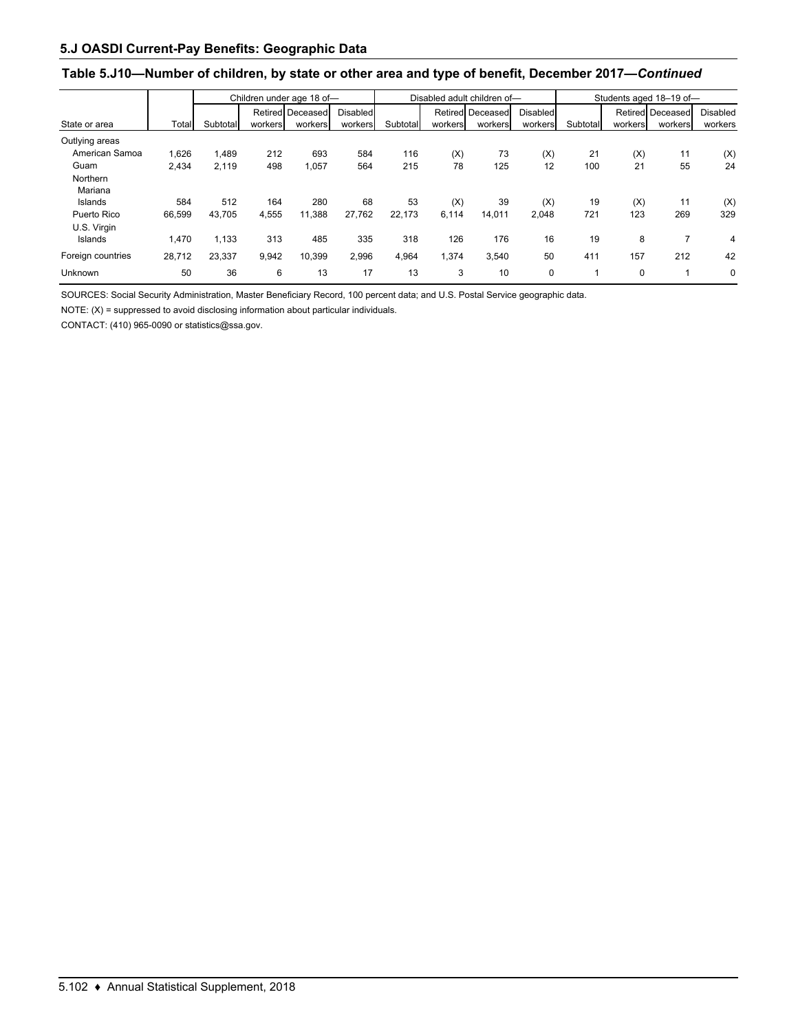### **Table 5.J10—Number of children, by state or other area and type of benefit, December 2017—***Continued*

|                   |        | Children under age 18 of- |         |                  |          |          |         | Disabled adult children of- |          | Students aged 18-19 of- |         |                  |                 |  |
|-------------------|--------|---------------------------|---------|------------------|----------|----------|---------|-----------------------------|----------|-------------------------|---------|------------------|-----------------|--|
|                   |        |                           |         | Retired Deceased | Disabled |          |         | Retired Deceased            | Disabled |                         |         | Retired Deceased | <b>Disabled</b> |  |
| State or area     | Total  | Subtotal                  | workers | workers          | workers  | Subtotal | workers | workers                     | workers  | Subtotal                | workers | workers          | workers         |  |
| Outlying areas    |        |                           |         |                  |          |          |         |                             |          |                         |         |                  |                 |  |
| American Samoa    | 1,626  | 1,489                     | 212     | 693              | 584      | 116      | (X)     | 73                          | (X)      | 21                      | (X)     | 11               | (X)             |  |
| Guam              | 2,434  | 2.119                     | 498     | 1,057            | 564      | 215      | 78      | 125                         | 12       | 100                     | 21      | 55               | 24              |  |
| Northern          |        |                           |         |                  |          |          |         |                             |          |                         |         |                  |                 |  |
| Mariana           |        |                           |         |                  |          |          |         |                             |          |                         |         |                  |                 |  |
| Islands           | 584    | 512                       | 164     | 280              | 68       | 53       | (X)     | 39                          | (X)      | 19                      | (X)     | 11               | (X)             |  |
| Puerto Rico       | 66,599 | 43,705                    | 4,555   | 11,388           | 27,762   | 22,173   | 6,114   | 14,011                      | 2,048    | 721                     | 123     | 269              | 329             |  |
| U.S. Virgin       |        |                           |         |                  |          |          |         |                             |          |                         |         |                  |                 |  |
| Islands           | 1,470  | 1,133                     | 313     | 485              | 335      | 318      | 126     | 176                         | 16       | 19                      | 8       |                  | 4               |  |
| Foreign countries | 28,712 | 23.337                    | 9,942   | 10.399           | 2,996    | 4.964    | 1,374   | 3.540                       | 50       | 411                     | 157     | 212              | 42              |  |
| Unknown           | 50     | 36                        | 6       | 13               | 17       | 13       | 3       | 10                          | 0        |                         | 0       |                  | 0               |  |

SOURCES: Social Security Administration, Master Beneficiary Record, 100 percent data; and U.S. Postal Service geographic data.

NOTE: (X) = suppressed to avoid disclosing information about particular individuals.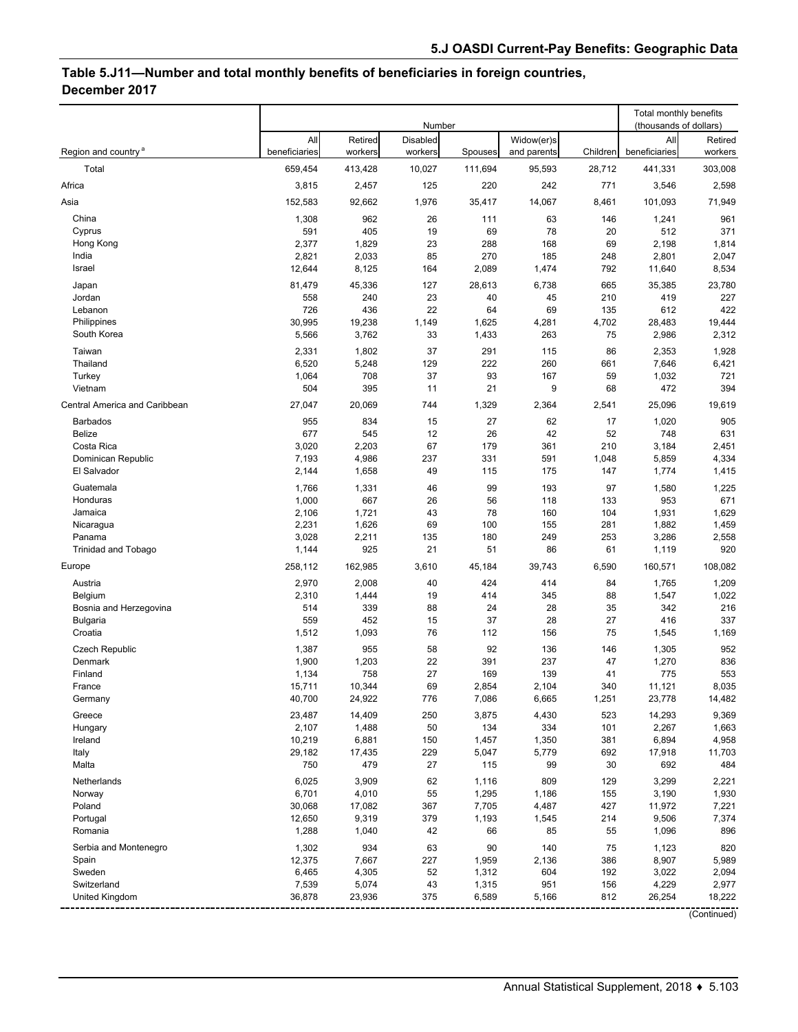# **Table 5.J11—Number and total monthly benefits of beneficiaries in foreign countries, December 2017**

|                                  |                      |                    | Number                     |                |                           |            | Total monthly benefits<br>(thousands of dollars) |                    |
|----------------------------------|----------------------|--------------------|----------------------------|----------------|---------------------------|------------|--------------------------------------------------|--------------------|
| Region and country <sup>a</sup>  | All<br>beneficiaries | Retired<br>workers | <b>Disabled</b><br>workers | Spouses        | Widow(er)s<br>and parents | Children   | All<br>beneficiaries                             | Retired<br>workers |
| Total                            | 659,454              | 413,428            | 10,027                     | 111,694        | 95,593                    | 28,712     | 441,331                                          | 303,008            |
| Africa                           | 3,815                | 2,457              | 125                        | 220            | 242                       | 771        | 3,546                                            | 2,598              |
| Asia                             | 152,583              | 92,662             | 1,976                      | 35,417         | 14,067                    | 8,461      | 101,093                                          | 71,949             |
| China                            | 1,308                | 962                | 26                         | 111            | 63                        | 146        | 1,241                                            | 961                |
| Cyprus                           | 591                  | 405                | 19                         | 69             | 78                        | 20         | 512                                              | 371                |
| Hong Kong                        | 2,377                | 1,829              | 23                         | 288            | 168                       | 69         | 2,198                                            | 1,814              |
| India                            | 2,821                | 2,033              | 85                         | 270            | 185                       | 248        | 2,801                                            | 2,047              |
| Israel                           | 12,644               | 8,125              | 164                        | 2,089          | 1,474                     | 792        | 11,640                                           | 8,534              |
| Japan<br>Jordan                  | 81,479<br>558        | 45,336<br>240      | 127<br>23                  | 28,613<br>40   | 6,738<br>45               | 665<br>210 | 35,385<br>419                                    | 23,780<br>227      |
| Lebanon                          | 726                  | 436                | 22                         | 64             | 69                        | 135        | 612                                              | 422                |
| Philippines                      | 30,995               | 19,238             | 1,149                      | 1,625          | 4,281                     | 4,702      | 28,483                                           | 19,444             |
| South Korea                      | 5,566                | 3,762              | 33                         | 1,433          | 263                       | 75         | 2,986                                            | 2,312              |
| Taiwan                           | 2,331                | 1,802              | 37                         | 291            | 115                       | 86         | 2,353                                            | 1,928              |
| Thailand                         | 6,520                | 5,248              | 129                        | 222            | 260                       | 661        | 7,646                                            | 6,421              |
| Turkey                           | 1,064                | 708                | 37                         | 93             | 167                       | 59         | 1,032                                            | 721                |
| Vietnam                          | 504                  | 395                | 11                         | 21             | 9                         | 68         | 472                                              | 394                |
| Central America and Caribbean    | 27,047               | 20,069             | 744                        | 1,329          | 2,364                     | 2,541      | 25,096                                           | 19,619             |
| <b>Barbados</b><br><b>Belize</b> | 955<br>677           | 834<br>545         | 15<br>12                   | 27<br>26       | 62<br>42                  | 17<br>52   | 1,020<br>748                                     | 905<br>631         |
| Costa Rica                       | 3,020                | 2,203              | 67                         | 179            | 361                       | 210        | 3,184                                            | 2,451              |
| Dominican Republic               | 7,193                | 4,986              | 237                        | 331            | 591                       | 1,048      | 5,859                                            | 4,334              |
| El Salvador                      | 2,144                | 1,658              | 49                         | 115            | 175                       | 147        | 1,774                                            | 1,415              |
| Guatemala                        | 1,766                | 1,331              | 46                         | 99             | 193                       | 97         | 1,580                                            | 1,225              |
| Honduras                         | 1,000                | 667                | 26                         | 56             | 118                       | 133        | 953                                              | 671                |
| Jamaica                          | 2,106                | 1,721              | 43                         | 78             | 160                       | 104        | 1,931                                            | 1,629              |
| Nicaragua<br>Panama              | 2,231                | 1,626              | 69<br>135                  | 100<br>180     | 155<br>249                | 281<br>253 | 1,882                                            | 1,459              |
| <b>Trinidad and Tobago</b>       | 3,028<br>1,144       | 2,211<br>925       | 21                         | 51             | 86                        | 61         | 3,286<br>1,119                                   | 2,558<br>920       |
| Europe                           | 258,112              | 162,985            | 3,610                      | 45,184         | 39,743                    | 6,590      | 160,571                                          | 108,082            |
| Austria                          | 2,970                | 2,008              | 40                         | 424            | 414                       | 84         | 1,765                                            | 1,209              |
| Belgium                          | 2,310                | 1,444              | 19                         | 414            | 345                       | 88         | 1,547                                            | 1,022              |
| Bosnia and Herzegovina           | 514                  | 339                | 88                         | 24             | 28                        | 35         | 342                                              | 216                |
| <b>Bulgaria</b>                  | 559                  | 452                | 15                         | 37             | 28                        | 27         | 416                                              | 337                |
| Croatia                          | 1,512                | 1,093              | 76                         | 112            | 156                       | 75         | 1,545                                            | 1,169              |
| <b>Czech Republic</b>            | 1,387                | 955                | 58                         | 92             | 136                       | 146        | 1,305                                            | 952                |
| Denmark                          | 1,900                | 1,203              | 22                         | 391            | 237                       | 47         | 1,270                                            | 836                |
| Finland<br>France                | 1,134<br>15,711      | 758<br>10,344      | 27<br>69                   | 169<br>2,854   | 139<br>2,104              | 41<br>340  | 775<br>11,121                                    | 553<br>8,035       |
| Germany                          | 40,700               | 24,922             | 776                        | 7,086          | 6,665                     | 1,251      | 23,778                                           | 14,482             |
| Greece                           | 23,487               | 14,409             | 250                        | 3,875          | 4,430                     | 523        | 14,293                                           | 9,369              |
| Hungary                          | 2,107                | 1,488              | 50                         | 134            | 334                       | 101        | 2,267                                            | 1,663              |
| Ireland                          | 10,219               | 6,881              | 150                        | 1,457          | 1,350                     | 381        | 6,894                                            | 4,958              |
| Italy                            | 29,182               | 17,435             | 229                        | 5,047          | 5,779                     | 692        | 17,918                                           | 11,703             |
| Malta                            | 750                  | 479                | 27                         | 115            | 99                        | 30         | 692                                              | 484                |
| Netherlands                      | 6,025                | 3,909              | 62                         | 1,116          | 809                       | 129        | 3,299                                            | 2,221              |
| Norway<br>Poland                 | 6,701<br>30,068      | 4,010<br>17,082    | 55<br>367                  | 1,295<br>7,705 | 1,186<br>4,487            | 155<br>427 | 3,190<br>11,972                                  | 1,930<br>7,221     |
| Portugal                         | 12,650               | 9,319              | 379                        | 1,193          | 1,545                     | 214        | 9,506                                            | 7,374              |
| Romania                          | 1,288                | 1,040              | 42                         | 66             | 85                        | 55         | 1,096                                            | 896                |
| Serbia and Montenegro            | 1,302                | 934                | 63                         | 90             | 140                       | 75         | 1,123                                            | 820                |
| Spain                            | 12,375               | 7,667              | 227                        | 1,959          | 2,136                     | 386        | 8,907                                            | 5,989              |
| Sweden                           | 6,465                | 4,305              | 52                         | 1,312          | 604                       | 192        | 3,022                                            | 2,094              |
| Switzerland<br>United Kingdom    | 7,539<br>36,878      | 5,074<br>23,936    | 43<br>375                  | 1,315<br>6,589 | 951<br>5,166              | 156<br>812 | 4,229<br>26,254                                  | 2,977<br>18,222    |
|                                  |                      |                    |                            |                |                           |            |                                                  |                    |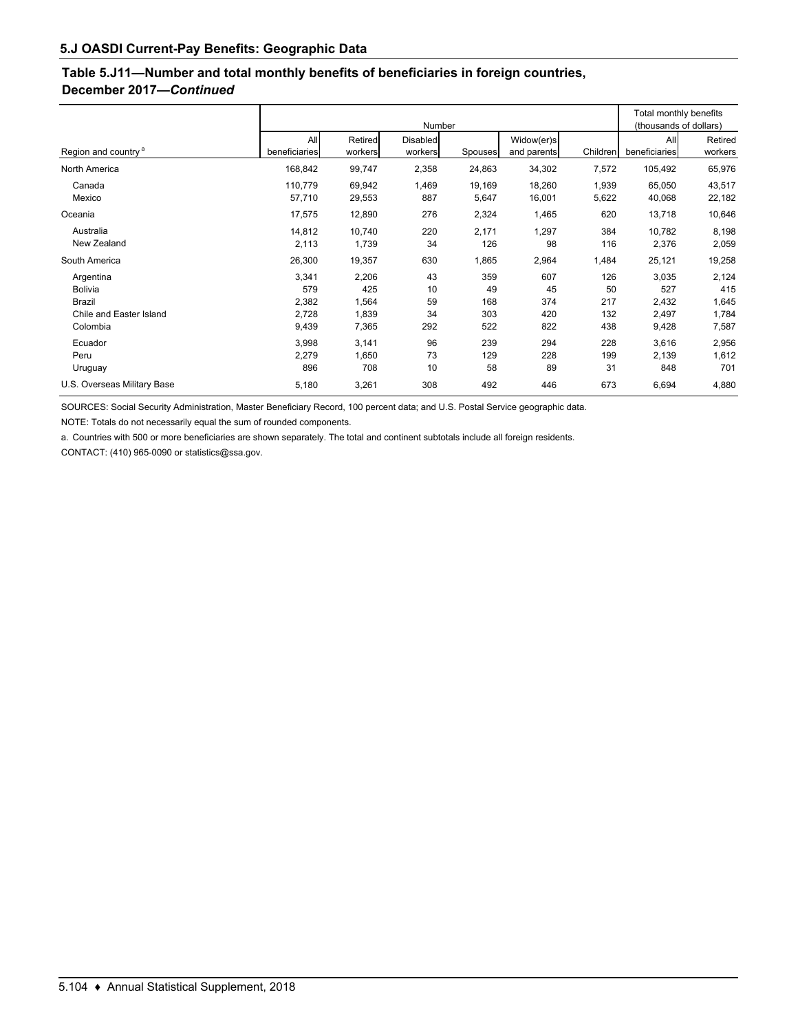# **Table 5.J11—Number and total monthly benefits of beneficiaries in foreign countries, December 2017—***Continued*

|                                                                              |                                         |                                         |                             | Total monthly benefits<br>(thousands of dollars) |                                |                                |                                         |                                         |
|------------------------------------------------------------------------------|-----------------------------------------|-----------------------------------------|-----------------------------|--------------------------------------------------|--------------------------------|--------------------------------|-----------------------------------------|-----------------------------------------|
| Region and country <sup>a</sup>                                              | All<br>beneficiaries                    | Retired<br>workers                      | Disabled<br>workers         | Spouses                                          | Widow(er)s<br>and parents      | Children                       | All<br>beneficiaries                    | Retired<br>workers                      |
| North America                                                                | 168,842                                 | 99,747                                  | 2,358                       | 24,863                                           | 34,302                         | 7,572                          | 105,492                                 | 65,976                                  |
| Canada<br>Mexico                                                             | 110,779<br>57,710                       | 69,942<br>29,553                        | 1,469<br>887                | 19,169<br>5,647                                  | 18,260<br>16,001               | 1,939<br>5,622                 | 65,050<br>40,068                        | 43,517<br>22,182                        |
| Oceania                                                                      | 17,575                                  | 12,890                                  | 276                         | 2,324                                            | 1,465                          | 620                            | 13,718                                  | 10,646                                  |
| Australia<br>New Zealand                                                     | 14,812<br>2,113                         | 10,740<br>1,739                         | 220<br>34                   | 2,171<br>126                                     | 1,297<br>98                    | 384<br>116                     | 10,782<br>2,376                         | 8,198<br>2,059                          |
| South America                                                                | 26,300                                  | 19,357                                  | 630                         | 1,865                                            | 2,964                          | 1,484                          | 25,121                                  | 19,258                                  |
| Argentina<br><b>Bolivia</b><br>Brazil<br>Chile and Easter Island<br>Colombia | 3,341<br>579<br>2,382<br>2,728<br>9,439 | 2,206<br>425<br>1,564<br>1,839<br>7,365 | 43<br>10<br>59<br>34<br>292 | 359<br>49<br>168<br>303<br>522                   | 607<br>45<br>374<br>420<br>822 | 126<br>50<br>217<br>132<br>438 | 3,035<br>527<br>2,432<br>2,497<br>9,428 | 2,124<br>415<br>1,645<br>1,784<br>7,587 |
| Ecuador<br>Peru<br>Uruguay<br>U.S. Overseas Military Base                    | 3,998<br>2,279<br>896<br>5,180          | 3,141<br>1,650<br>708<br>3,261          | 96<br>73<br>10<br>308       | 239<br>129<br>58<br>492                          | 294<br>228<br>89<br>446        | 228<br>199<br>31<br>673        | 3,616<br>2,139<br>848<br>6,694          | 2,956<br>1,612<br>701<br>4,880          |

SOURCES: Social Security Administration, Master Beneficiary Record, 100 percent data; and U.S. Postal Service geographic data.

NOTE: Totals do not necessarily equal the sum of rounded components.

a. Countries with 500 or more beneficiaries are shown separately. The total and continent subtotals include all foreign residents.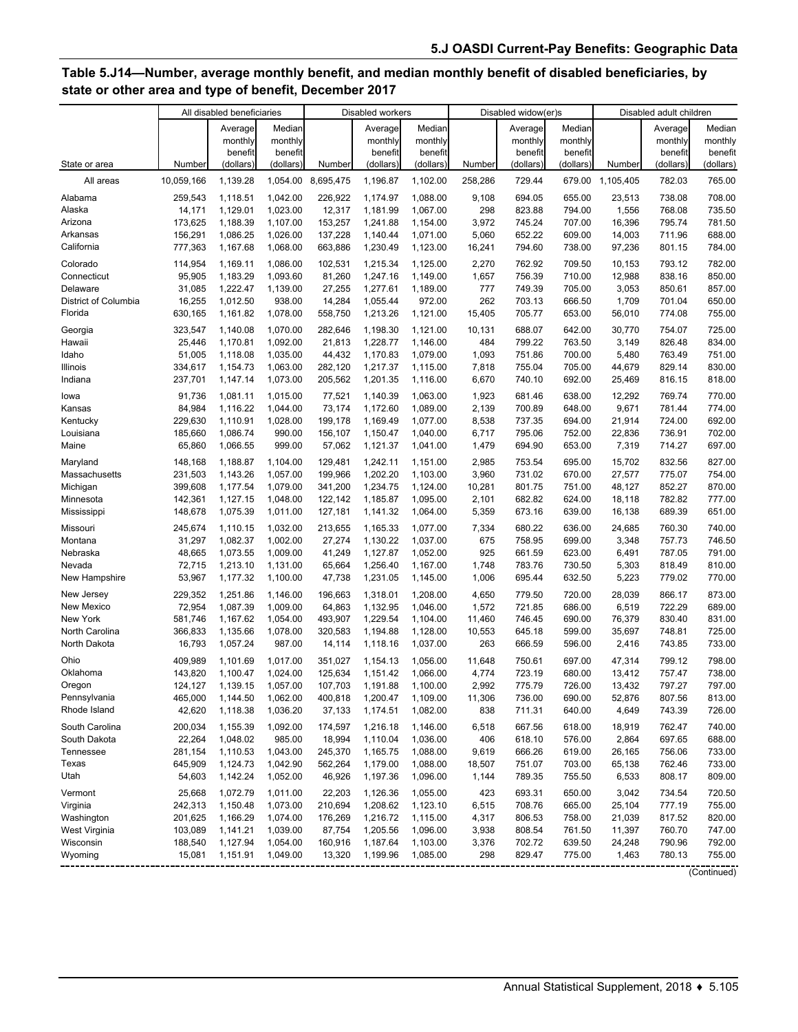# **Table 5.J14—Number, average monthly benefit, and median monthly benefit of disabled beneficiaries, by state or other area and type of benefit, December 2017**

|                                |                    | All disabled beneficiaries |                      |                    | Disabled workers             |                      |                 | Disabled widow(er)s |                  |                              | Disabled adult children |                  |
|--------------------------------|--------------------|----------------------------|----------------------|--------------------|------------------------------|----------------------|-----------------|---------------------|------------------|------------------------------|-------------------------|------------------|
|                                |                    | Average                    | Median               |                    | Average                      | Median               |                 | Average             | Median           |                              | Average                 | Median           |
|                                |                    | monthly                    | monthly              |                    | monthly                      | monthly              |                 | monthly             | monthly          |                              | monthly                 | monthly          |
|                                |                    | benefit                    | benefit              |                    | benefit                      | benefit              |                 | benefit             | benefit          |                              | benefit                 | benefit          |
| State or area                  | Number             | (dollars)                  | (dollars)            | Number             | (dollars)                    | (dollars)            | Number          | (dollars)           | (dollars)        | Number                       | (dollars)               | (dollars)        |
| All areas                      | 10,059,166         | 1,139.28                   | 1,054.00             | 8,695,475          | 1,196.87                     | 1,102.00             | 258,286         | 729.44              |                  | 679.00 1,105,405             | 782.03                  | 765.00           |
| Alabama                        | 259,543            | 1,118.51                   | 1,042.00             | 226,922            | 1,174.97                     | 1,088.00             | 9,108           | 694.05              | 655.00           | 23,513                       | 738.08                  | 708.00           |
| Alaska                         | 14,171             | 1,129.01                   | 1,023.00             | 12,317             | 1,181.99                     | 1,067.00             | 298             | 823.88              | 794.00           | 1,556                        | 768.08                  | 735.50           |
| Arizona                        | 173,625<br>156,291 | 1,188.39<br>1,086.25       | 1,107.00<br>1,026.00 | 153,257<br>137,228 | 1,241.88                     | 1,154.00<br>1,071.00 | 3,972           | 745.24<br>652.22    | 707.00           | 16,396                       | 795.74<br>711.96        | 781.50<br>688.00 |
| Arkansas<br>California         | 777,363            | 1,167.68                   | 1,068.00             | 663,886            | 1,140.44<br>1,230.49         | 1,123.00             | 5,060<br>16,241 | 794.60              | 609.00<br>738.00 | 14,003<br>97,236             | 801.15                  | 784.00           |
|                                |                    |                            |                      |                    |                              |                      |                 |                     |                  |                              |                         |                  |
| Colorado                       | 114,954            | 1,169.11                   | 1,086.00             | 102,531            | 1,215.34                     | 1,125.00             | 2,270           | 762.92              | 709.50           | 10,153                       | 793.12                  | 782.00           |
| Connecticut<br>Delaware        | 95,905<br>31,085   | 1,183.29<br>1,222.47       | 1,093.60<br>1,139.00 | 81,260<br>27,255   | 1,247.16<br>1,277.61         | 1,149.00<br>1,189.00 | 1,657<br>777    | 756.39<br>749.39    | 710.00<br>705.00 | 12,988<br>3,053              | 838.16<br>850.61        | 850.00<br>857.00 |
| District of Columbia           | 16,255             | 1,012.50                   | 938.00               | 14,284             | 1,055.44                     | 972.00               | 262             | 703.13              | 666.50           | 1,709                        | 701.04                  | 650.00           |
| Florida                        | 630,165            | 1,161.82                   | 1,078.00             | 558,750            | 1,213.26                     | 1,121.00             | 15,405          | 705.77              | 653.00           | 56,010                       | 774.08                  | 755.00           |
|                                |                    |                            |                      |                    |                              |                      |                 |                     |                  |                              |                         |                  |
| Georgia<br>Hawaii              | 323,547<br>25,446  | 1,140.08<br>1,170.81       | 1,070.00<br>1,092.00 | 282,646<br>21,813  | 1,198.30<br>1,228.77         | 1,121.00<br>1,146.00 | 10,131<br>484   | 688.07<br>799.22    | 642.00<br>763.50 | 30,770<br>3,149              | 754.07<br>826.48        | 725.00<br>834.00 |
| Idaho                          | 51,005             | 1,118.08                   | 1,035.00             | 44,432             | 1,170.83                     | 1,079.00             | 1,093           | 751.86              | 700.00           | 5,480                        | 763.49                  | 751.00           |
| Illinois                       | 334,617            | 1,154.73                   | 1,063.00             | 282,120            | 1,217.37                     | 1,115.00             | 7,818           | 755.04              | 705.00           | 44,679                       | 829.14                  | 830.00           |
| Indiana                        | 237,701            | 1,147.14                   | 1,073.00             | 205,562            | 1,201.35                     | 1,116.00             | 6,670           | 740.10              | 692.00           | 25,469                       | 816.15                  | 818.00           |
| lowa                           | 91,736             | 1,081.11                   | 1,015.00             | 77.521             | 1,140.39                     | 1,063.00             | 1,923           | 681.46              | 638.00           | 12,292                       | 769.74                  | 770.00           |
| Kansas                         | 84,984             | 1,116.22                   | 1,044.00             | 73,174             | 1,172.60                     | 1,089.00             | 2,139           | 700.89              | 648.00           | 9,671                        | 781.44                  | 774.00           |
| Kentucky                       | 229,630            | 1,110.91                   | 1,028.00             | 199,178            | 1,169.49                     | 1,077.00             | 8,538           | 737.35              | 694.00           | 21,914                       | 724.00                  | 692.00           |
| Louisiana                      | 185,660            | 1,086.74                   | 990.00               | 156,107            | 1,150.47                     | 1,040.00             | 6,717           | 795.06              | 752.00           | 22,836                       | 736.91                  | 702.00           |
| Maine                          | 65,860             | 1,066.55                   | 999.00               | 57,062             | 1,121.37                     | 1,041.00             | 1,479           | 694.90              | 653.00           | 7,319                        | 714.27                  | 697.00           |
| Maryland                       | 148,168            | 1,188.87                   | 1,104.00             | 129,481            | 1,242.11                     | 1,151.00             | 2,985           | 753.54              | 695.00           | 15,702                       | 832.56                  | 827.00           |
| Massachusetts                  | 231,503            | 1,143.26                   | 1,057.00             | 199,966            | 1,202.20                     | 1,103.00             | 3,960           | 731.02              | 670.00           | 27,577                       | 775.07                  | 754.00           |
| Michigan                       | 399,608            | 1,177.54                   | 1,079.00             | 341,200            | 1,234.75                     | 1,124.00             | 10,281          | 801.75              | 751.00           | 48,127                       | 852.27                  | 870.00           |
| Minnesota                      | 142,361            | 1,127.15                   | 1,048.00             | 122,142            | 1,185.87                     | 1,095.00             | 2,101           | 682.82              | 624.00           | 18,118                       | 782.82                  | 777.00           |
| Mississippi                    | 148,678            | 1,075.39                   | 1,011.00             | 127,181            | 1,141.32                     | 1,064.00             | 5,359           | 673.16              | 639.00           | 16,138                       | 689.39                  | 651.00           |
| Missouri                       | 245,674            | 1,110.15                   | 1,032.00             | 213,655            | 1,165.33                     | 1,077.00             | 7,334           | 680.22              | 636.00           | 24,685                       | 760.30                  | 740.00           |
| Montana                        | 31,297             | 1,082.37                   | 1,002.00             | 27,274             | 1,130.22                     | 1,037.00             | 675             | 758.95              | 699.00           | 3,348                        | 757.73                  | 746.50           |
| Nebraska                       | 48,665             | 1,073.55                   | 1,009.00             | 41,249             | 1,127.87                     | 1,052.00             | 925             | 661.59              | 623.00           | 6,491                        | 787.05                  | 791.00           |
| Nevada                         | 72,715             | 1,213.10                   | 1,131.00             | 65,664             | 1,256.40                     | 1,167.00             | 1,748           | 783.76              | 730.50           | 5,303                        | 818.49                  | 810.00           |
| New Hampshire                  | 53,967             | 1,177.32                   | 1,100.00             | 47,738             | 1,231.05                     | 1,145.00             | 1,006           | 695.44              | 632.50           | 5,223                        | 779.02                  | 770.00           |
| New Jersey                     | 229,352            | 1,251.86                   | 1,146.00             | 196,663            | 1,318.01                     | 1,208.00             | 4,650           | 779.50              | 720.00           | 28,039                       | 866.17                  | 873.00           |
| New Mexico                     | 72,954             | 1,087.39                   | 1,009.00             | 64,863             | 1,132.95                     | 1,046.00             | 1,572           | 721.85              | 686.00           | 6,519                        | 722.29                  | 689.00           |
| New York                       | 581,746            | 1,167.62                   | 1,054.00             | 493,907            | 1,229.54                     | 1,104.00             | 11,460          | 746.45              | 690.00           | 76,379                       | 830.40                  | 831.00           |
| North Carolina<br>North Dakota | 366,833<br>16,793  | 1,135.66                   | 1,078.00             | 320,583            | 1,194.88                     | 1,128.00             | 10,553          | 645.18              | 599.00           | 35,697                       | 748.81                  | 725.00           |
|                                |                    | 1,057.24                   | 987.00               | 14,114             | 1,118.16                     | 1,037.00             | 263             | 666.59              | 596.00           | 2,416                        | 743.85                  | 733.00           |
| Ohio                           | 409,989            | 1.101.69                   | 1,017.00             | 351,027            | 1,154.13                     | 1,056.00             | 11,648          | 750.61              | 697.00           | 47,314                       | 799.12                  | 798.00           |
| Oklahoma                       | 143,820            | 1,100.47                   | 1,024.00             | 125,634            | 1,151.42                     | 1,066.00             | 4,774           | 723.19              | 680.00           | 13,412                       | 757.47                  | 738.00           |
| Oregon<br>Pennsylvania         | 124,127<br>465,000 | 1,139.15<br>1,144.50       | 1,057.00<br>1,062.00 | 400,818            | 107,703 1,191.88<br>1,200.47 | 1,100.00<br>1,109.00 | 2,992<br>11,306 | 775.79<br>736.00    | 726.00<br>690.00 | 13,432<br>52,876             | 797.27<br>807.56        | 797.00<br>813.00 |
| Rhode Island                   | 42,620             | 1,118.38                   | 1,036.20             | 37,133             | 1,174.51                     | 1,082.00             | 838             | 711.31              | 640.00           | 4,649                        | 743.39                  | 726.00           |
| South Carolina                 | 200,034            | 1,155.39                   | 1,092.00             | 174,597            | 1,216.18                     | 1,146.00             | 6,518           | 667.56              | 618.00           | 18,919                       | 762.47                  | 740.00           |
| South Dakota                   | 22,264             | 1,048.02                   | 985.00               | 18,994             | 1,110.04                     | 1,036.00             | 406             | 618.10              | 576.00           | 2,864                        | 697.65                  | 688.00           |
| Tennessee                      | 281,154            | 1,110.53                   | 1,043.00             | 245,370            | 1,165.75                     | 1,088.00             | 9,619           | 666.26              | 619.00           | 26,165                       | 756.06                  | 733.00           |
| Texas                          | 645,909            | 1,124.73                   | 1,042.90             | 562,264            | 1,179.00                     | 1,088.00             | 18,507          | 751.07              | 703.00           | 65,138                       | 762.46                  | 733.00           |
| Utah                           | 54,603             | 1,142.24                   | 1,052.00             | 46,926             | 1,197.36                     | 1,096.00             | 1,144           | 789.35              | 755.50           | 6,533                        | 808.17                  | 809.00           |
| Vermont                        | 25,668             | 1,072.79                   | 1,011.00             | 22,203             | 1,126.36                     | 1,055.00             | 423             | 693.31              | 650.00           | 3,042                        | 734.54                  | 720.50           |
| Virginia                       | 242,313            | 1,150.48                   | 1,073.00             | 210,694            | 1,208.62                     | 1,123.10             | 6,515           | 708.76              | 665.00           | 25,104                       | 777.19                  | 755.00           |
| Washington                     | 201,625            | 1,166.29                   | 1,074.00             | 176,269            | 1,216.72                     | 1,115.00             | 4,317           | 806.53              | 758.00           | 21,039                       | 817.52                  | 820.00           |
| West Virginia                  | 103,089            | 1,141.21                   | 1,039.00             | 87,754             | 1,205.56                     | 1,096.00             | 3,938           | 808.54              | 761.50           | 11,397                       | 760.70                  | 747.00           |
| Wisconsin                      | 188,540            | 1,127.94                   | 1,054.00             | 160,916            | 1,187.64                     | 1,103.00             | 3,376           | 702.72              | 639.50           | 24,248                       | 790.96                  | 792.00           |
| Wyoming                        | 15,081             | 1,151.91                   | 1,049.00             | 13,320             | 1,199.96                     | 1,085.00             | 298             | 829.47              | 775.00           | 1,463<br>------------------- | 780.13                  | 755.00           |